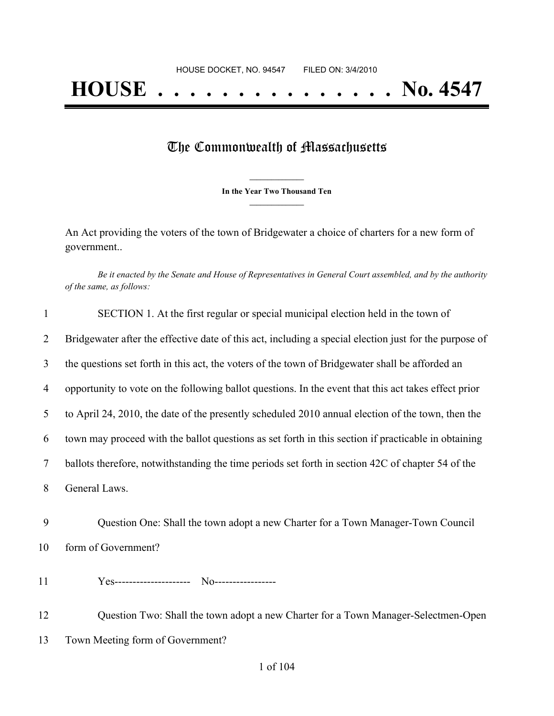# The Commonwealth of Massachusetts

**\_\_\_\_\_\_\_\_\_\_\_\_\_\_\_ In the Year Two Thousand Ten \_\_\_\_\_\_\_\_\_\_\_\_\_\_\_**

An Act providing the voters of the town of Bridgewater a choice of charters for a new form of government..

Be it enacted by the Senate and House of Representatives in General Court assembled, and by the authority *of the same, as follows:*

| $\mathbf{1}$ | SECTION 1. At the first regular or special municipal election held in the town of                      |
|--------------|--------------------------------------------------------------------------------------------------------|
| 2            | Bridgewater after the effective date of this act, including a special election just for the purpose of |
| 3            | the questions set forth in this act, the voters of the town of Bridgewater shall be afforded an        |
| 4            | opportunity to vote on the following ballot questions. In the event that this act takes effect prior   |
| 5            | to April 24, 2010, the date of the presently scheduled 2010 annual election of the town, then the      |
| 6            | town may proceed with the ballot questions as set forth in this section if practicable in obtaining    |
| $\tau$       | ballots therefore, notwithstanding the time periods set forth in section 42C of chapter 54 of the      |
| 8            | General Laws.                                                                                          |
| 9            | Question One: Shall the town adopt a new Charter for a Town Manager-Town Council                       |
| 10           | form of Government?                                                                                    |
| 11           |                                                                                                        |
| 12           | Question Two: Shall the town adopt a new Charter for a Town Manager-Selectmen-Open                     |
| 13           | Town Meeting form of Government?                                                                       |
|              |                                                                                                        |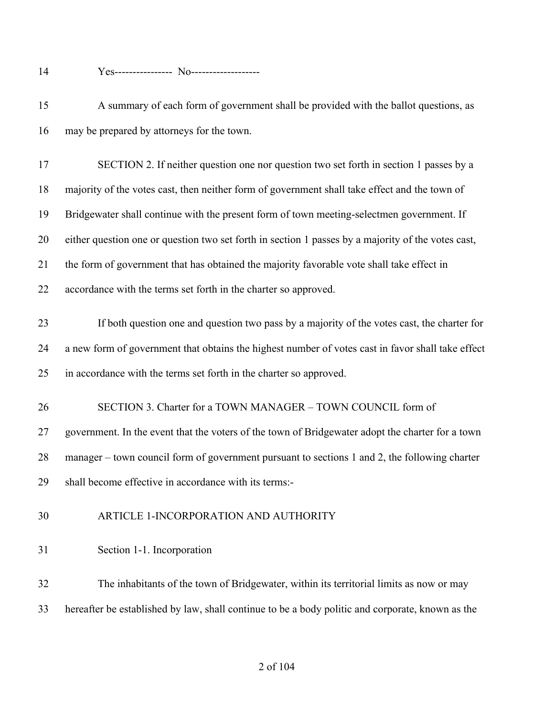- Yes---------------- No-------------------
- A summary of each form of government shall be provided with the ballot questions, as may be prepared by attorneys for the town.

 SECTION 2. If neither question one nor question two set forth in section 1 passes by a majority of the votes cast, then neither form of government shall take effect and the town of Bridgewater shall continue with the present form of town meeting-selectmen government. If either question one or question two set forth in section 1 passes by a majority of the votes cast, the form of government that has obtained the majority favorable vote shall take effect in accordance with the terms set forth in the charter so approved.

 If both question one and question two pass by a majority of the votes cast, the charter for a new form of government that obtains the highest number of votes cast in favor shall take effect in accordance with the terms set forth in the charter so approved.

- SECTION 3. Charter for a TOWN MANAGER TOWN COUNCIL form of government. In the event that the voters of the town of Bridgewater adopt the charter for a town manager – town council form of government pursuant to sections 1 and 2, the following charter
- shall become effective in accordance with its terms:-
- ARTICLE 1-INCORPORATION AND AUTHORITY
- Section 1-1. Incorporation

 The inhabitants of the town of Bridgewater, within its territorial limits as now or may hereafter be established by law, shall continue to be a body politic and corporate, known as the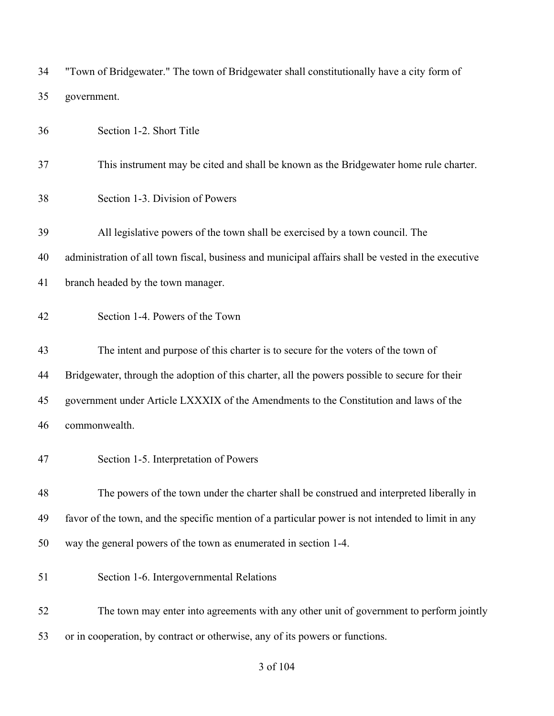| 34 | "Town of Bridgewater." The town of Bridgewater shall constitutionally have a city form of          |
|----|----------------------------------------------------------------------------------------------------|
| 35 | government.                                                                                        |
| 36 | Section 1-2. Short Title                                                                           |
| 37 | This instrument may be cited and shall be known as the Bridgewater home rule charter.              |
| 38 | Section 1-3. Division of Powers                                                                    |
| 39 | All legislative powers of the town shall be exercised by a town council. The                       |
| 40 | administration of all town fiscal, business and municipal affairs shall be vested in the executive |
| 41 | branch headed by the town manager.                                                                 |
| 42 | Section 1-4. Powers of the Town                                                                    |
| 43 | The intent and purpose of this charter is to secure for the voters of the town of                  |
| 44 | Bridgewater, through the adoption of this charter, all the powers possible to secure for their     |
| 45 | government under Article LXXXIX of the Amendments to the Constitution and laws of the              |
| 46 | commonwealth.                                                                                      |
| 47 | Section 1-5. Interpretation of Powers                                                              |
| 48 | The powers of the town under the charter shall be construed and interpreted liberally in           |
| 49 | favor of the town, and the specific mention of a particular power is not intended to limit in any  |
| 50 | way the general powers of the town as enumerated in section 1-4.                                   |
| 51 | Section 1-6. Intergovernmental Relations                                                           |
| 52 | The town may enter into agreements with any other unit of government to perform jointly            |
| 53 | or in cooperation, by contract or otherwise, any of its powers or functions.                       |

### of 104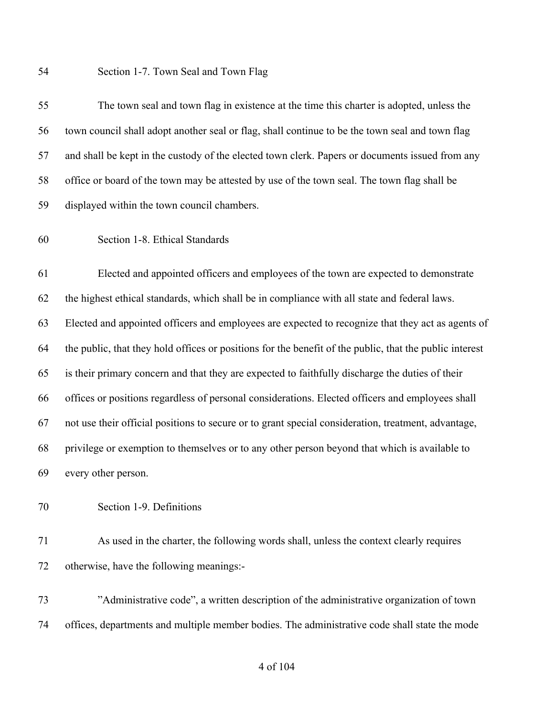Section 1-7. Town Seal and Town Flag

 The town seal and town flag in existence at the time this charter is adopted, unless the town council shall adopt another seal or flag, shall continue to be the town seal and town flag and shall be kept in the custody of the elected town clerk. Papers or documents issued from any office or board of the town may be attested by use of the town seal. The town flag shall be displayed within the town council chambers.

Section 1-8. Ethical Standards

 Elected and appointed officers and employees of the town are expected to demonstrate the highest ethical standards, which shall be in compliance with all state and federal laws. Elected and appointed officers and employees are expected to recognize that they act as agents of the public, that they hold offices or positions for the benefit of the public, that the public interest is their primary concern and that they are expected to faithfully discharge the duties of their offices or positions regardless of personal considerations. Elected officers and employees shall not use their official positions to secure or to grant special consideration, treatment, advantage, privilege or exemption to themselves or to any other person beyond that which is available to every other person.

Section 1-9. Definitions

 As used in the charter, the following words shall, unless the context clearly requires otherwise, have the following meanings:-

 "Administrative code", a written description of the administrative organization of town offices, departments and multiple member bodies. The administrative code shall state the mode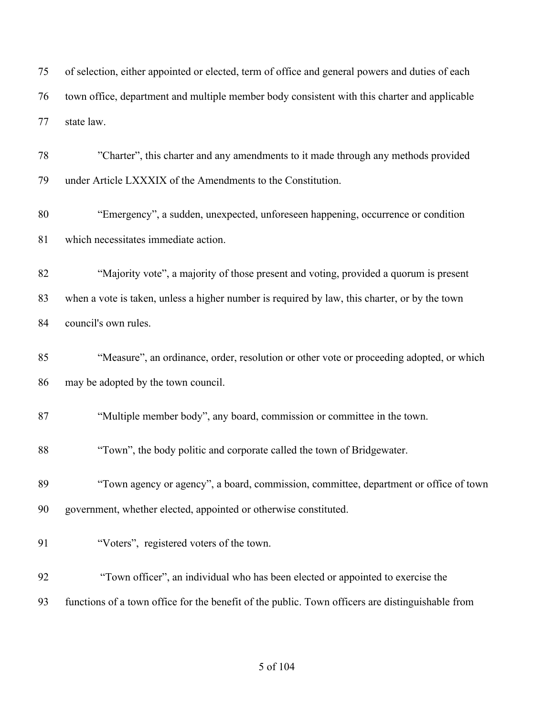| 75 | of selection, either appointed or elected, term of office and general powers and duties of each |
|----|-------------------------------------------------------------------------------------------------|
| 76 | town office, department and multiple member body consistent with this charter and applicable    |
| 77 | state law.                                                                                      |

 "Charter", this charter and any amendments to it made through any methods provided under Article LXXXIX of the Amendments to the Constitution.

 "Emergency", a sudden, unexpected, unforeseen happening, occurrence or condition which necessitates immediate action.

 "Majority vote", a majority of those present and voting, provided a quorum is present when a vote is taken, unless a higher number is required by law, this charter, or by the town council's own rules.

 "Measure", an ordinance, order, resolution or other vote or proceeding adopted, or which may be adopted by the town council.

"Multiple member body", any board, commission or committee in the town.

"Town", the body politic and corporate called the town of Bridgewater.

 "Town agency or agency", a board, commission, committee, department or office of town government, whether elected, appointed or otherwise constituted.

| 91 | "Voters", registered voters of the town. |  |  |
|----|------------------------------------------|--|--|
|    |                                          |  |  |

- "Town officer", an individual who has been elected or appointed to exercise the
- functions of a town office for the benefit of the public. Town officers are distinguishable from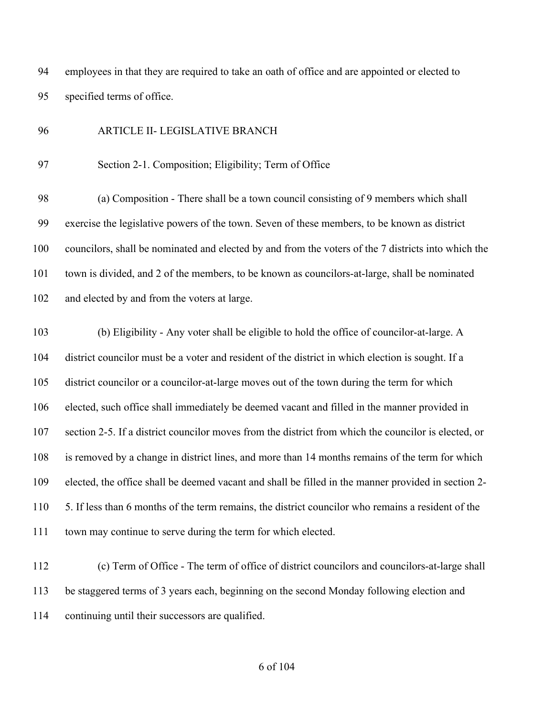employees in that they are required to take an oath of office and are appointed or elected to specified terms of office.

#### ARTICLE II- LEGISLATIVE BRANCH

Section 2-1. Composition; Eligibility; Term of Office

 (a) Composition - There shall be a town council consisting of 9 members which shall exercise the legislative powers of the town. Seven of these members, to be known as district councilors, shall be nominated and elected by and from the voters of the 7 districts into which the town is divided, and 2 of the members, to be known as councilors-at-large, shall be nominated and elected by and from the voters at large.

 (b) Eligibility - Any voter shall be eligible to hold the office of councilor-at-large. A district councilor must be a voter and resident of the district in which election is sought. If a district councilor or a councilor-at-large moves out of the town during the term for which elected, such office shall immediately be deemed vacant and filled in the manner provided in section 2-5. If a district councilor moves from the district from which the councilor is elected, or is removed by a change in district lines, and more than 14 months remains of the term for which elected, the office shall be deemed vacant and shall be filled in the manner provided in section 2- 5. If less than 6 months of the term remains, the district councilor who remains a resident of the town may continue to serve during the term for which elected.

 (c) Term of Office - The term of office of district councilors and councilors-at-large shall be staggered terms of 3 years each, beginning on the second Monday following election and continuing until their successors are qualified.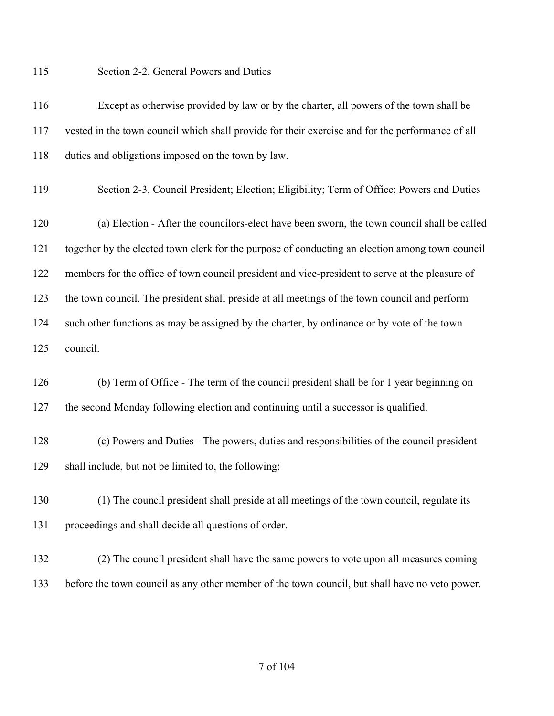Section 2-2. General Powers and Duties

| 116 | Except as otherwise provided by law or by the charter, all powers of the town shall be           |
|-----|--------------------------------------------------------------------------------------------------|
| 117 | vested in the town council which shall provide for their exercise and for the performance of all |
| 118 | duties and obligations imposed on the town by law.                                               |

- Section 2-3. Council President; Election; Eligibility; Term of Office; Powers and Duties
- (a) Election After the councilors-elect have been sworn, the town council shall be called together by the elected town clerk for the purpose of conducting an election among town council members for the office of town council president and vice-president to serve at the pleasure of the town council. The president shall preside at all meetings of the town council and perform such other functions as may be assigned by the charter, by ordinance or by vote of the town council.
- (b) Term of Office The term of the council president shall be for 1 year beginning on the second Monday following election and continuing until a successor is qualified.
- (c) Powers and Duties The powers, duties and responsibilities of the council president shall include, but not be limited to, the following:
- (1) The council president shall preside at all meetings of the town council, regulate its proceedings and shall decide all questions of order.
- (2) The council president shall have the same powers to vote upon all measures coming before the town council as any other member of the town council, but shall have no veto power.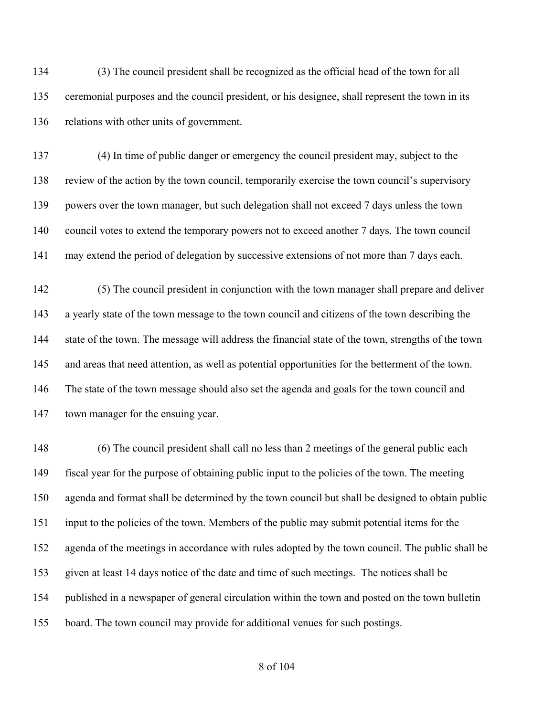(3) The council president shall be recognized as the official head of the town for all ceremonial purposes and the council president, or his designee, shall represent the town in its relations with other units of government.

 (4) In time of public danger or emergency the council president may, subject to the review of the action by the town council, temporarily exercise the town council's supervisory powers over the town manager, but such delegation shall not exceed 7 days unless the town council votes to extend the temporary powers not to exceed another 7 days. The town council may extend the period of delegation by successive extensions of not more than 7 days each.

 (5) The council president in conjunction with the town manager shall prepare and deliver a yearly state of the town message to the town council and citizens of the town describing the state of the town. The message will address the financial state of the town, strengths of the town and areas that need attention, as well as potential opportunities for the betterment of the town. The state of the town message should also set the agenda and goals for the town council and town manager for the ensuing year.

 (6) The council president shall call no less than 2 meetings of the general public each fiscal year for the purpose of obtaining public input to the policies of the town. The meeting agenda and format shall be determined by the town council but shall be designed to obtain public input to the policies of the town. Members of the public may submit potential items for the agenda of the meetings in accordance with rules adopted by the town council. The public shall be given at least 14 days notice of the date and time of such meetings. The notices shall be published in a newspaper of general circulation within the town and posted on the town bulletin board. The town council may provide for additional venues for such postings.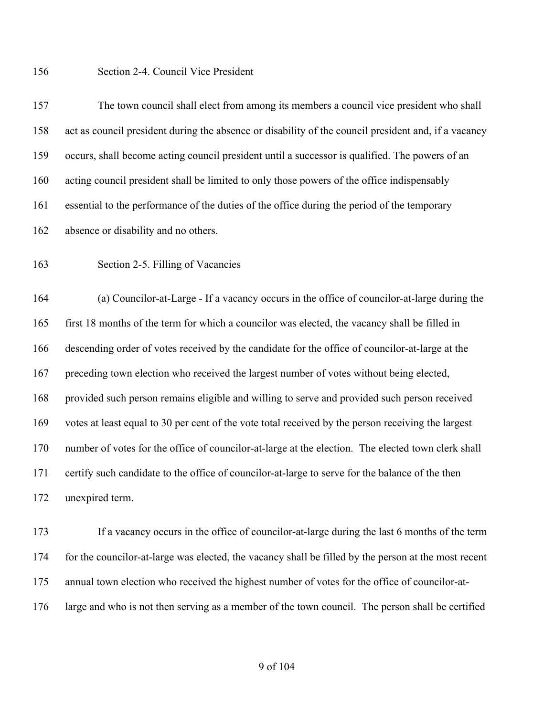Section 2-4. Council Vice President

 The town council shall elect from among its members a council vice president who shall act as council president during the absence or disability of the council president and, if a vacancy occurs, shall become acting council president until a successor is qualified. The powers of an acting council president shall be limited to only those powers of the office indispensably essential to the performance of the duties of the office during the period of the temporary absence or disability and no others.

Section 2-5. Filling of Vacancies

 (a) Councilor-at-Large - If a vacancy occurs in the office of councilor-at-large during the first 18 months of the term for which a councilor was elected, the vacancy shall be filled in descending order of votes received by the candidate for the office of councilor-at-large at the preceding town election who received the largest number of votes without being elected, provided such person remains eligible and willing to serve and provided such person received votes at least equal to 30 per cent of the vote total received by the person receiving the largest number of votes for the office of councilor-at-large at the election. The elected town clerk shall certify such candidate to the office of councilor-at-large to serve for the balance of the then unexpired term.

 If a vacancy occurs in the office of councilor-at-large during the last 6 months of the term for the councilor-at-large was elected, the vacancy shall be filled by the person at the most recent annual town election who received the highest number of votes for the office of councilor-at-large and who is not then serving as a member of the town council. The person shall be certified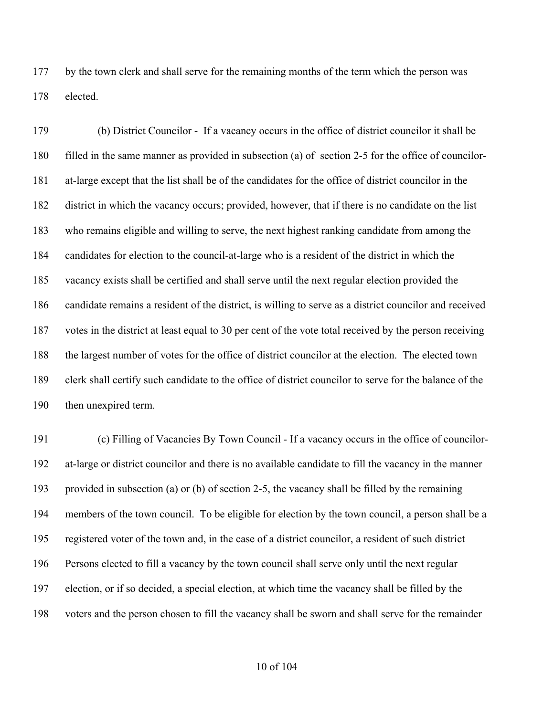by the town clerk and shall serve for the remaining months of the term which the person was elected.

 (b) District Councilor - If a vacancy occurs in the office of district councilor it shall be filled in the same manner as provided in subsection (a) of section 2-5 for the office of councilor- at-large except that the list shall be of the candidates for the office of district councilor in the district in which the vacancy occurs; provided, however, that if there is no candidate on the list who remains eligible and willing to serve, the next highest ranking candidate from among the candidates for election to the council-at-large who is a resident of the district in which the vacancy exists shall be certified and shall serve until the next regular election provided the candidate remains a resident of the district, is willing to serve as a district councilor and received votes in the district at least equal to 30 per cent of the vote total received by the person receiving the largest number of votes for the office of district councilor at the election. The elected town clerk shall certify such candidate to the office of district councilor to serve for the balance of the then unexpired term.

 (c) Filling of Vacancies By Town Council - If a vacancy occurs in the office of councilor- at-large or district councilor and there is no available candidate to fill the vacancy in the manner provided in subsection (a) or (b) of section 2-5, the vacancy shall be filled by the remaining members of the town council. To be eligible for election by the town council, a person shall be a registered voter of the town and, in the case of a district councilor, a resident of such district Persons elected to fill a vacancy by the town council shall serve only until the next regular election, or if so decided, a special election, at which time the vacancy shall be filled by the voters and the person chosen to fill the vacancy shall be sworn and shall serve for the remainder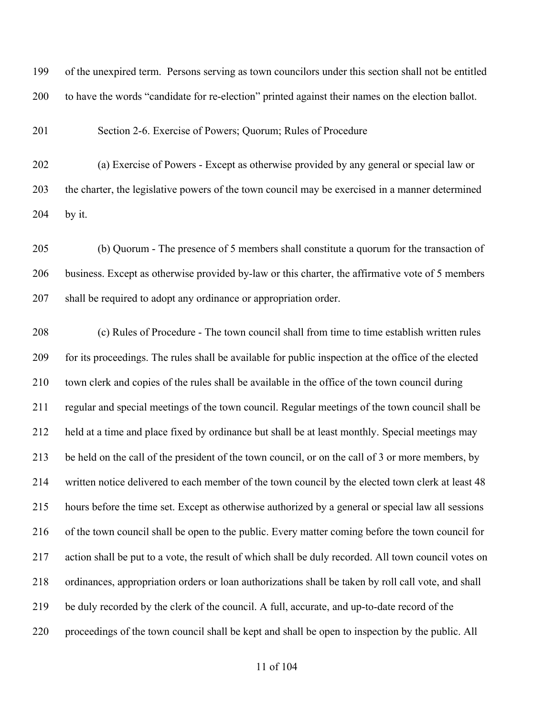of the unexpired term. Persons serving as town councilors under this section shall not be entitled to have the words "candidate for re-election" printed against their names on the election ballot.

Section 2-6. Exercise of Powers; Quorum; Rules of Procedure

 (a) Exercise of Powers - Except as otherwise provided by any general or special law or the charter, the legislative powers of the town council may be exercised in a manner determined by it.

 (b) Quorum - The presence of 5 members shall constitute a quorum for the transaction of business. Except as otherwise provided by-law or this charter, the affirmative vote of 5 members shall be required to adopt any ordinance or appropriation order.

 (c) Rules of Procedure - The town council shall from time to time establish written rules for its proceedings. The rules shall be available for public inspection at the office of the elected town clerk and copies of the rules shall be available in the office of the town council during regular and special meetings of the town council. Regular meetings of the town council shall be held at a time and place fixed by ordinance but shall be at least monthly. Special meetings may be held on the call of the president of the town council, or on the call of 3 or more members, by written notice delivered to each member of the town council by the elected town clerk at least 48 hours before the time set. Except as otherwise authorized by a general or special law all sessions of the town council shall be open to the public. Every matter coming before the town council for action shall be put to a vote, the result of which shall be duly recorded. All town council votes on ordinances, appropriation orders or loan authorizations shall be taken by roll call vote, and shall be duly recorded by the clerk of the council. A full, accurate, and up-to-date record of the proceedings of the town council shall be kept and shall be open to inspection by the public. All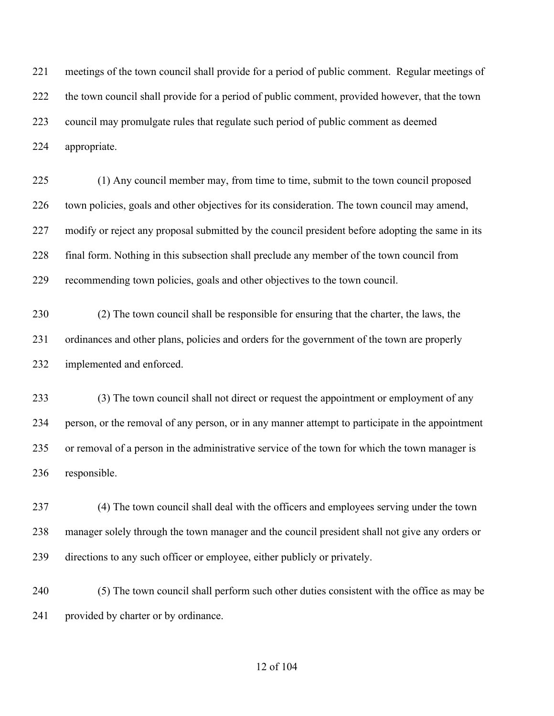meetings of the town council shall provide for a period of public comment. Regular meetings of the town council shall provide for a period of public comment, provided however, that the town council may promulgate rules that regulate such period of public comment as deemed appropriate.

 (1) Any council member may, from time to time, submit to the town council proposed town policies, goals and other objectives for its consideration. The town council may amend, modify or reject any proposal submitted by the council president before adopting the same in its final form. Nothing in this subsection shall preclude any member of the town council from recommending town policies, goals and other objectives to the town council.

 (2) The town council shall be responsible for ensuring that the charter, the laws, the ordinances and other plans, policies and orders for the government of the town are properly implemented and enforced.

 (3) The town council shall not direct or request the appointment or employment of any person, or the removal of any person, or in any manner attempt to participate in the appointment or removal of a person in the administrative service of the town for which the town manager is responsible.

 (4) The town council shall deal with the officers and employees serving under the town manager solely through the town manager and the council president shall not give any orders or directions to any such officer or employee, either publicly or privately.

 (5) The town council shall perform such other duties consistent with the office as may be provided by charter or by ordinance.

#### of 104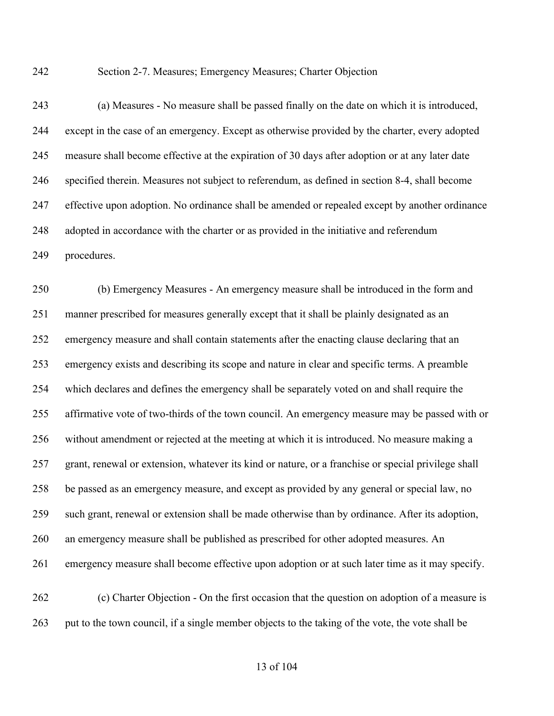Section 2-7. Measures; Emergency Measures; Charter Objection

 (a) Measures - No measure shall be passed finally on the date on which it is introduced, except in the case of an emergency. Except as otherwise provided by the charter, every adopted measure shall become effective at the expiration of 30 days after adoption or at any later date specified therein. Measures not subject to referendum, as defined in section 8-4, shall become effective upon adoption. No ordinance shall be amended or repealed except by another ordinance adopted in accordance with the charter or as provided in the initiative and referendum procedures.

 (b) Emergency Measures - An emergency measure shall be introduced in the form and manner prescribed for measures generally except that it shall be plainly designated as an emergency measure and shall contain statements after the enacting clause declaring that an emergency exists and describing its scope and nature in clear and specific terms. A preamble which declares and defines the emergency shall be separately voted on and shall require the affirmative vote of two-thirds of the town council. An emergency measure may be passed with or without amendment or rejected at the meeting at which it is introduced. No measure making a grant, renewal or extension, whatever its kind or nature, or a franchise or special privilege shall be passed as an emergency measure, and except as provided by any general or special law, no such grant, renewal or extension shall be made otherwise than by ordinance. After its adoption, an emergency measure shall be published as prescribed for other adopted measures. An emergency measure shall become effective upon adoption or at such later time as it may specify. (c) Charter Objection - On the first occasion that the question on adoption of a measure is

put to the town council, if a single member objects to the taking of the vote, the vote shall be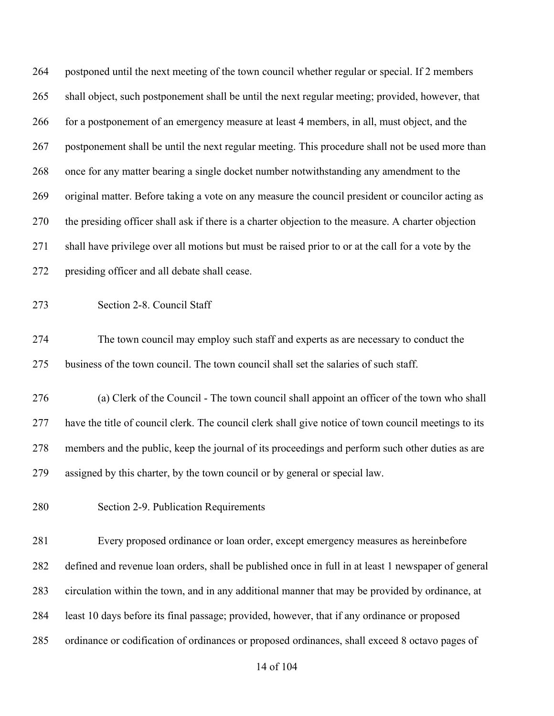| 264 | postponed until the next meeting of the town council whether regular or special. If 2 members        |
|-----|------------------------------------------------------------------------------------------------------|
| 265 | shall object, such postponement shall be until the next regular meeting; provided, however, that     |
| 266 | for a postponement of an emergency measure at least 4 members, in all, must object, and the          |
| 267 | postponement shall be until the next regular meeting. This procedure shall not be used more than     |
| 268 | once for any matter bearing a single docket number notwithstanding any amendment to the              |
| 269 | original matter. Before taking a vote on any measure the council president or councilor acting as    |
| 270 | the presiding officer shall ask if there is a charter objection to the measure. A charter objection  |
| 271 | shall have privilege over all motions but must be raised prior to or at the call for a vote by the   |
| 272 | presiding officer and all debate shall cease.                                                        |
| 273 | Section 2-8. Council Staff                                                                           |
| 274 | The town council may employ such staff and experts as are necessary to conduct the                   |
| 275 | business of the town council. The town council shall set the salaries of such staff.                 |
| 276 | (a) Clerk of the Council - The town council shall appoint an officer of the town who shall           |
| 277 | have the title of council clerk. The council clerk shall give notice of town council meetings to its |
| 278 | members and the public, keep the journal of its proceedings and perform such other duties as are     |
| 279 | assigned by this charter, by the town council or by general or special law.                          |
| 280 | Section 2-9. Publication Requirements                                                                |
| 281 | Every proposed ordinance or loan order, except emergency measures as hereinbefore                    |
| 282 | defined and revenue loan orders, shall be published once in full in at least 1 newspaper of general  |
| 283 | circulation within the town, and in any additional manner that may be provided by ordinance, at      |
| 284 | least 10 days before its final passage; provided, however, that if any ordinance or proposed         |
| 285 | ordinance or codification of ordinances or proposed ordinances, shall exceed 8 octavo pages of       |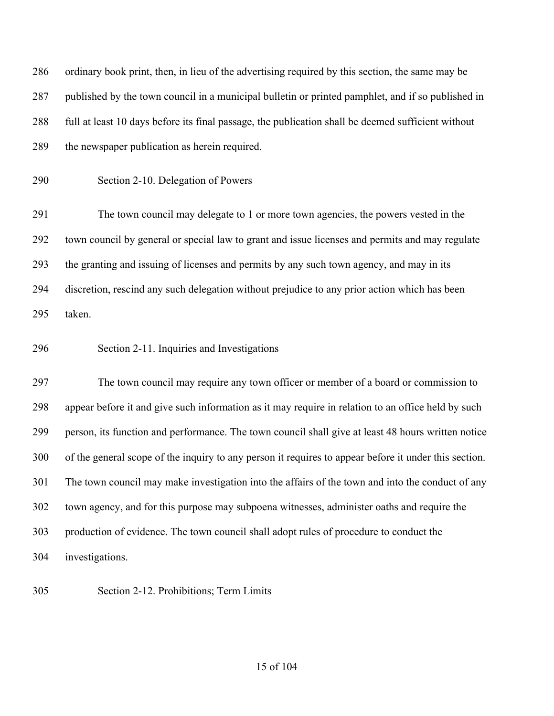| 286 | ordinary book print, then, in lieu of the advertising required by this section, the same may be       |
|-----|-------------------------------------------------------------------------------------------------------|
| 287 | published by the town council in a municipal bulletin or printed pamphlet, and if so published in     |
| 288 | full at least 10 days before its final passage, the publication shall be deemed sufficient without    |
| 289 | the newspaper publication as herein required.                                                         |
| 290 | Section 2-10. Delegation of Powers                                                                    |
| 291 | The town council may delegate to 1 or more town agencies, the powers vested in the                    |
| 292 | town council by general or special law to grant and issue licenses and permits and may regulate       |
| 293 | the granting and issuing of licenses and permits by any such town agency, and may in its              |
| 294 | discretion, rescind any such delegation without prejudice to any prior action which has been          |
| 295 | taken.                                                                                                |
| 296 | Section 2-11. Inquiries and Investigations                                                            |
| 297 | The town council may require any town officer or member of a board or commission to                   |
| 298 | appear before it and give such information as it may require in relation to an office held by such    |
| 299 | person, its function and performance. The town council shall give at least 48 hours written notice    |
| 300 | of the general scope of the inquiry to any person it requires to appear before it under this section. |
| 301 | The town council may make investigation into the affairs of the town and into the conduct of any      |
| 302 | town agency, and for this purpose may subpoena witnesses, administer oaths and require the            |
| 303 | production of evidence. The town council shall adopt rules of procedure to conduct the                |
| 304 | investigations.                                                                                       |
|     |                                                                                                       |

Section 2-12. Prohibitions; Term Limits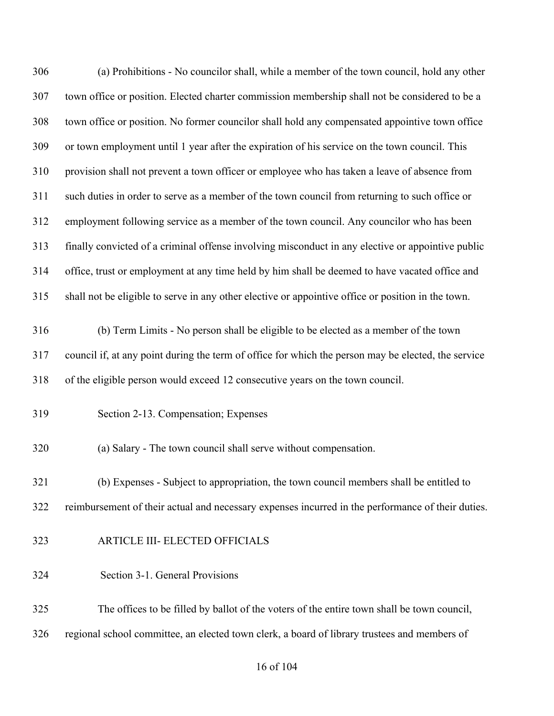| 306 | (a) Prohibitions - No councilor shall, while a member of the town council, hold any other           |
|-----|-----------------------------------------------------------------------------------------------------|
| 307 | town office or position. Elected charter commission membership shall not be considered to be a      |
| 308 | town office or position. No former councilor shall hold any compensated appointive town office      |
| 309 | or town employment until 1 year after the expiration of his service on the town council. This       |
| 310 | provision shall not prevent a town officer or employee who has taken a leave of absence from        |
| 311 | such duties in order to serve as a member of the town council from returning to such office or      |
| 312 | employment following service as a member of the town council. Any councilor who has been            |
| 313 | finally convicted of a criminal offense involving misconduct in any elective or appointive public   |
| 314 | office, trust or employment at any time held by him shall be deemed to have vacated office and      |
| 315 | shall not be eligible to serve in any other elective or appointive office or position in the town.  |
| 316 | (b) Term Limits - No person shall be eligible to be elected as a member of the town                 |
| 317 | council if, at any point during the term of office for which the person may be elected, the service |
| 318 | of the eligible person would exceed 12 consecutive years on the town council.                       |
| 319 | Section 2-13. Compensation; Expenses                                                                |
| 320 | (a) Salary - The town council shall serve without compensation.                                     |
| 321 | (b) Expenses - Subject to appropriation, the town council members shall be entitled to              |
| 322 | reimbursement of their actual and necessary expenses incurred in the performance of their duties.   |
| 323 | ARTICLE III- ELECTED OFFICIALS                                                                      |
| 324 | Section 3-1. General Provisions                                                                     |
| 325 | The offices to be filled by ballot of the voters of the entire town shall be town council,          |
| 326 | regional school committee, an elected town clerk, a board of library trustees and members of        |

# of 104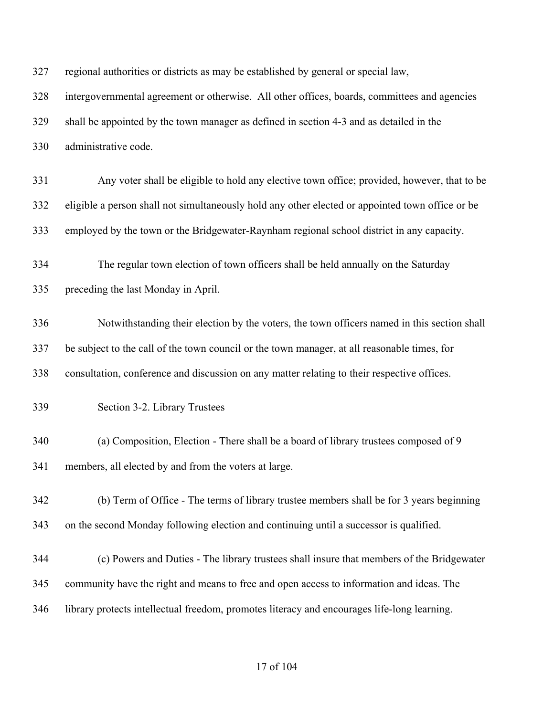| 327 | regional authorities or districts as may be established by general or special law,               |
|-----|--------------------------------------------------------------------------------------------------|
| 328 | intergovernmental agreement or otherwise. All other offices, boards, committees and agencies     |
| 329 | shall be appointed by the town manager as defined in section 4-3 and as detailed in the          |
| 330 | administrative code.                                                                             |
| 331 | Any voter shall be eligible to hold any elective town office; provided, however, that to be      |
| 332 | eligible a person shall not simultaneously hold any other elected or appointed town office or be |
| 333 | employed by the town or the Bridgewater-Raynham regional school district in any capacity.        |
| 334 | The regular town election of town officers shall be held annually on the Saturday                |
| 335 | preceding the last Monday in April.                                                              |
| 336 | Notwithstanding their election by the voters, the town officers named in this section shall      |
| 337 | be subject to the call of the town council or the town manager, at all reasonable times, for     |
| 338 | consultation, conference and discussion on any matter relating to their respective offices.      |
| 339 | Section 3-2. Library Trustees                                                                    |
| 340 | (a) Composition, Election - There shall be a board of library trustees composed of 9             |
| 341 | members, all elected by and from the voters at large.                                            |
| 342 | (b) Term of Office - The terms of library trustee members shall be for 3 years beginning         |
| 343 | on the second Monday following election and continuing until a successor is qualified.           |
| 344 | (c) Powers and Duties - The library trustees shall insure that members of the Bridgewater        |
| 345 | community have the right and means to free and open access to information and ideas. The         |
| 346 | library protects intellectual freedom, promotes literacy and encourages life-long learning.      |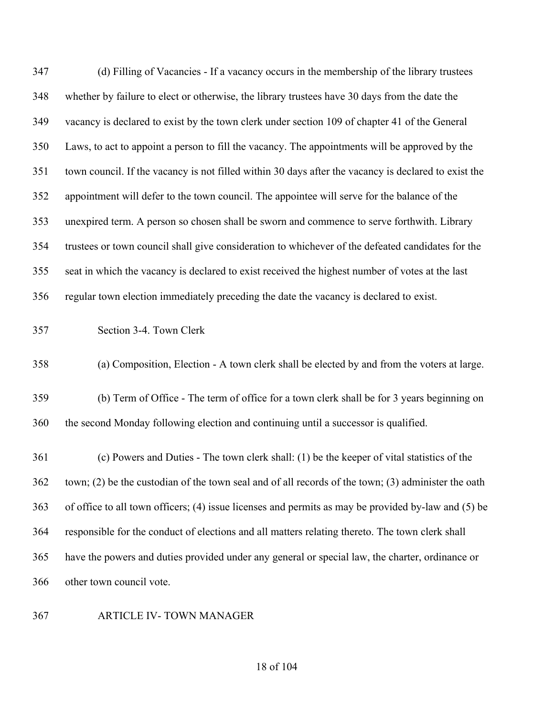| 347 | (d) Filling of Vacancies - If a vacancy occurs in the membership of the library trustees             |
|-----|------------------------------------------------------------------------------------------------------|
| 348 | whether by failure to elect or otherwise, the library trustees have 30 days from the date the        |
| 349 | vacancy is declared to exist by the town clerk under section 109 of chapter 41 of the General        |
| 350 | Laws, to act to appoint a person to fill the vacancy. The appointments will be approved by the       |
| 351 | town council. If the vacancy is not filled within 30 days after the vacancy is declared to exist the |
| 352 | appointment will defer to the town council. The appointee will serve for the balance of the          |
| 353 | unexpired term. A person so chosen shall be sworn and commence to serve forthwith. Library           |
| 354 | trustees or town council shall give consideration to whichever of the defeated candidates for the    |
| 355 | seat in which the vacancy is declared to exist received the highest number of votes at the last      |
| 356 | regular town election immediately preceding the date the vacancy is declared to exist.               |
| 357 | Section 3-4. Town Clerk                                                                              |
| 358 | (a) Composition, Election - A town clerk shall be elected by and from the voters at large.           |
| 359 | (b) Term of Office - The term of office for a town clerk shall be for 3 years beginning on           |
| 360 | the second Monday following election and continuing until a successor is qualified.                  |
| 361 | (c) Powers and Duties - The town clerk shall: (1) be the keeper of vital statistics of the           |
| 362 | town; (2) be the custodian of the town seal and of all records of the town; (3) administer the oath  |
| 363 | of office to all town officers; (4) issue licenses and permits as may be provided by-law and (5) be  |
| 364 | responsible for the conduct of elections and all matters relating thereto. The town clerk shall      |
| 365 | have the powers and duties provided under any general or special law, the charter, ordinance or      |
| 366 | other town council vote.                                                                             |
|     |                                                                                                      |

## ARTICLE IV- TOWN MANAGER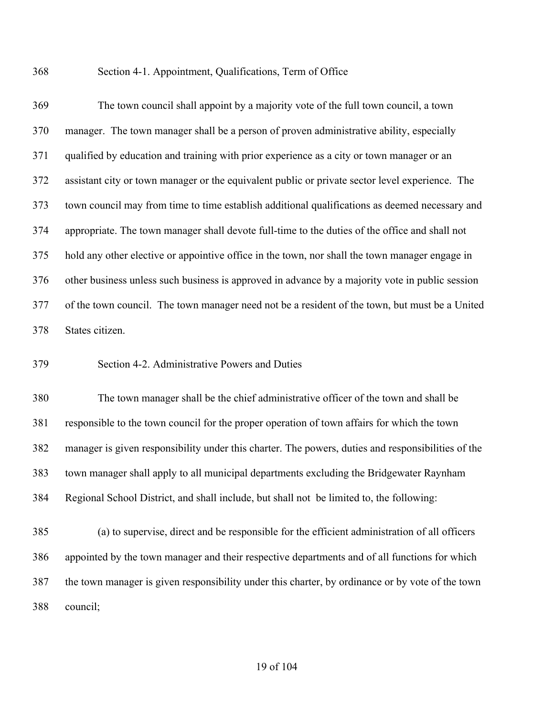Section 4-1. Appointment, Qualifications, Term of Office

 The town council shall appoint by a majority vote of the full town council, a town manager. The town manager shall be a person of proven administrative ability, especially qualified by education and training with prior experience as a city or town manager or an assistant city or town manager or the equivalent public or private sector level experience. The town council may from time to time establish additional qualifications as deemed necessary and appropriate. The town manager shall devote full-time to the duties of the office and shall not hold any other elective or appointive office in the town, nor shall the town manager engage in other business unless such business is approved in advance by a majority vote in public session of the town council. The town manager need not be a resident of the town, but must be a United States citizen.

Section 4-2. Administrative Powers and Duties

 The town manager shall be the chief administrative officer of the town and shall be responsible to the town council for the proper operation of town affairs for which the town manager is given responsibility under this charter. The powers, duties and responsibilities of the town manager shall apply to all municipal departments excluding the Bridgewater Raynham Regional School District, and shall include, but shall not be limited to, the following:

 (a) to supervise, direct and be responsible for the efficient administration of all officers appointed by the town manager and their respective departments and of all functions for which the town manager is given responsibility under this charter, by ordinance or by vote of the town council;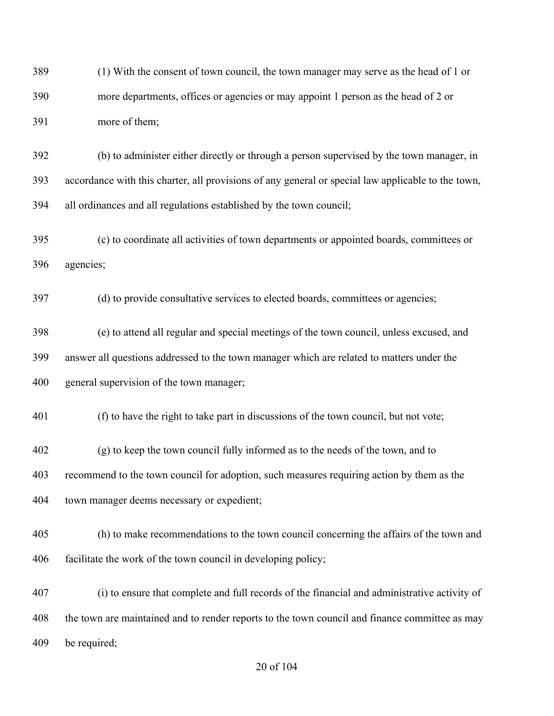(1) With the consent of town council, the town manager may serve as the head of 1 or more departments, offices or agencies or may appoint 1 person as the head of 2 or more of them;

 (b) to administer either directly or through a person supervised by the town manager, in accordance with this charter, all provisions of any general or special law applicable to the town, all ordinances and all regulations established by the town council;

 (c) to coordinate all activities of town departments or appointed boards, committees or agencies;

(d) to provide consultative services to elected boards, committees or agencies;

 (e) to attend all regular and special meetings of the town council, unless excused, and answer all questions addressed to the town manager which are related to matters under the general supervision of the town manager;

(f) to have the right to take part in discussions of the town council, but not vote;

 (g) to keep the town council fully informed as to the needs of the town, and to recommend to the town council for adoption, such measures requiring action by them as the town manager deems necessary or expedient;

 (h) to make recommendations to the town council concerning the affairs of the town and facilitate the work of the town council in developing policy;

 (i) to ensure that complete and full records of the financial and administrative activity of the town are maintained and to render reports to the town council and finance committee as may be required;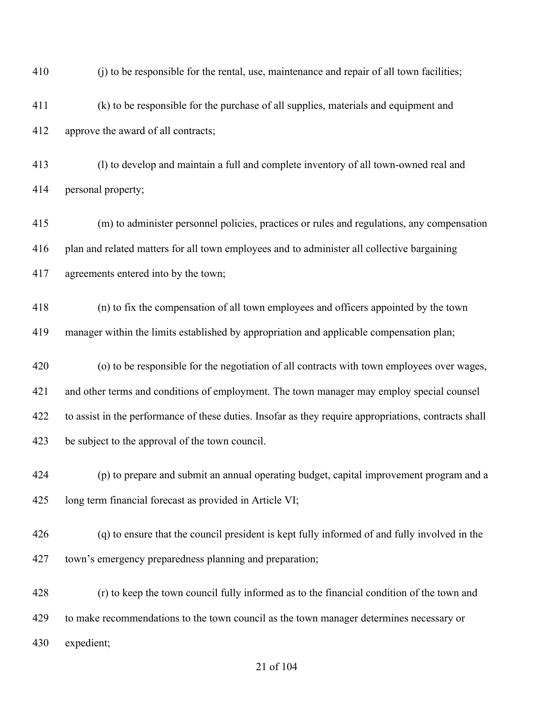| 410 | (i) to be responsible for the rental, use, maintenance and repair of all town facilities;             |
|-----|-------------------------------------------------------------------------------------------------------|
| 411 | (k) to be responsible for the purchase of all supplies, materials and equipment and                   |
| 412 | approve the award of all contracts;                                                                   |
| 413 | (1) to develop and maintain a full and complete inventory of all town-owned real and                  |
| 414 | personal property;                                                                                    |
| 415 | (m) to administer personnel policies, practices or rules and regulations, any compensation            |
| 416 | plan and related matters for all town employees and to administer all collective bargaining           |
| 417 | agreements entered into by the town;                                                                  |
| 418 | (n) to fix the compensation of all town employees and officers appointed by the town                  |
| 419 | manager within the limits established by appropriation and applicable compensation plan;              |
| 420 | (o) to be responsible for the negotiation of all contracts with town employees over wages,            |
| 421 | and other terms and conditions of employment. The town manager may employ special counsel             |
| 422 | to assist in the performance of these duties. Insofar as they require appropriations, contracts shall |
| 423 | be subject to the approval of the town council.                                                       |
| 424 | (p) to prepare and submit an annual operating budget, capital improvement program and a               |
| 425 | long term financial forecast as provided in Article VI;                                               |
| 426 | (q) to ensure that the council president is kept fully informed of and fully involved in the          |
| 427 | town's emergency preparedness planning and preparation;                                               |
| 428 | (r) to keep the town council fully informed as to the financial condition of the town and             |
| 429 | to make recommendations to the town council as the town manager determines necessary or               |
| 430 | expedient;                                                                                            |
|     |                                                                                                       |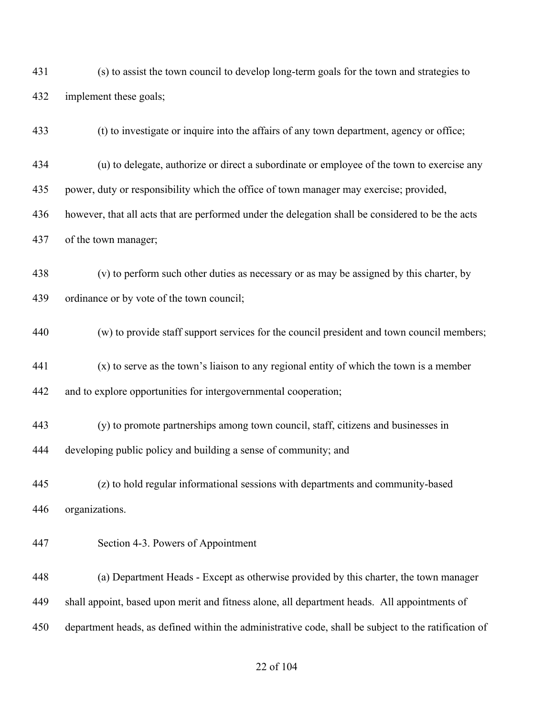(s) to assist the town council to develop long-term goals for the town and strategies to implement these goals;

(t) to investigate or inquire into the affairs of any town department, agency or office;

(u) to delegate, authorize or direct a subordinate or employee of the town to exercise any

power, duty or responsibility which the office of town manager may exercise; provided,

however, that all acts that are performed under the delegation shall be considered to be the acts

of the town manager;

 (v) to perform such other duties as necessary or as may be assigned by this charter, by ordinance or by vote of the town council;

(w) to provide staff support services for the council president and town council members;

 (x) to serve as the town's liaison to any regional entity of which the town is a member and to explore opportunities for intergovernmental cooperation;

 (y) to promote partnerships among town council, staff, citizens and businesses in developing public policy and building a sense of community; and

 (z) to hold regular informational sessions with departments and community-based organizations.

#### Section 4-3. Powers of Appointment

 (a) Department Heads - Except as otherwise provided by this charter, the town manager shall appoint, based upon merit and fitness alone, all department heads. All appointments of department heads, as defined within the administrative code, shall be subject to the ratification of

#### of 104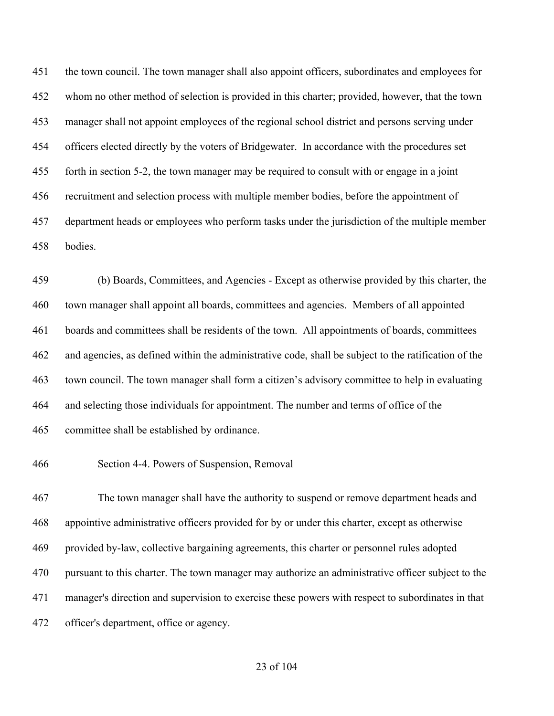the town council. The town manager shall also appoint officers, subordinates and employees for whom no other method of selection is provided in this charter; provided, however, that the town manager shall not appoint employees of the regional school district and persons serving under officers elected directly by the voters of Bridgewater. In accordance with the procedures set forth in section 5-2, the town manager may be required to consult with or engage in a joint recruitment and selection process with multiple member bodies, before the appointment of department heads or employees who perform tasks under the jurisdiction of the multiple member bodies.

 (b) Boards, Committees, and Agencies - Except as otherwise provided by this charter, the town manager shall appoint all boards, committees and agencies. Members of all appointed boards and committees shall be residents of the town. All appointments of boards, committees and agencies, as defined within the administrative code, shall be subject to the ratification of the town council. The town manager shall form a citizen's advisory committee to help in evaluating and selecting those individuals for appointment. The number and terms of office of the committee shall be established by ordinance.

Section 4-4. Powers of Suspension, Removal

 The town manager shall have the authority to suspend or remove department heads and appointive administrative officers provided for by or under this charter, except as otherwise provided by-law, collective bargaining agreements, this charter or personnel rules adopted pursuant to this charter. The town manager may authorize an administrative officer subject to the manager's direction and supervision to exercise these powers with respect to subordinates in that officer's department, office or agency.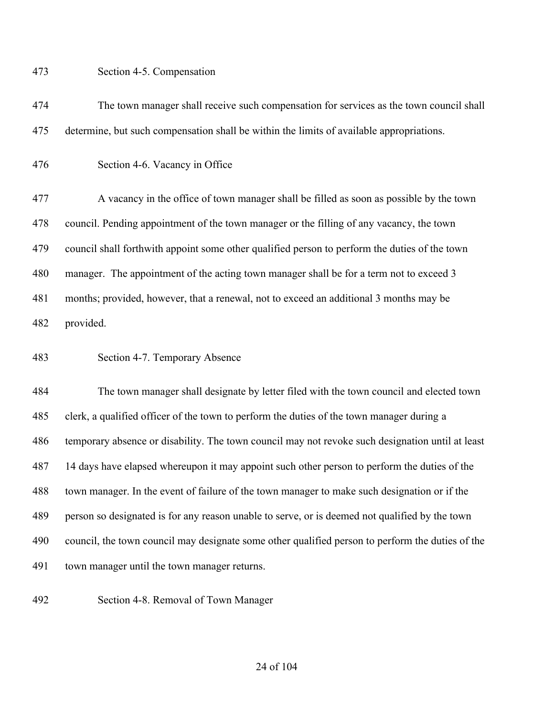Section 4-5. Compensation

 The town manager shall receive such compensation for services as the town council shall determine, but such compensation shall be within the limits of available appropriations.

Section 4-6. Vacancy in Office

 A vacancy in the office of town manager shall be filled as soon as possible by the town council. Pending appointment of the town manager or the filling of any vacancy, the town council shall forthwith appoint some other qualified person to perform the duties of the town 480 manager. The appointment of the acting town manager shall be for a term not to exceed 3 months; provided, however, that a renewal, not to exceed an additional 3 months may be provided.

Section 4-7. Temporary Absence

 The town manager shall designate by letter filed with the town council and elected town clerk, a qualified officer of the town to perform the duties of the town manager during a temporary absence or disability. The town council may not revoke such designation until at least 14 days have elapsed whereupon it may appoint such other person to perform the duties of the town manager. In the event of failure of the town manager to make such designation or if the person so designated is for any reason unable to serve, or is deemed not qualified by the town council, the town council may designate some other qualified person to perform the duties of the town manager until the town manager returns.

Section 4-8. Removal of Town Manager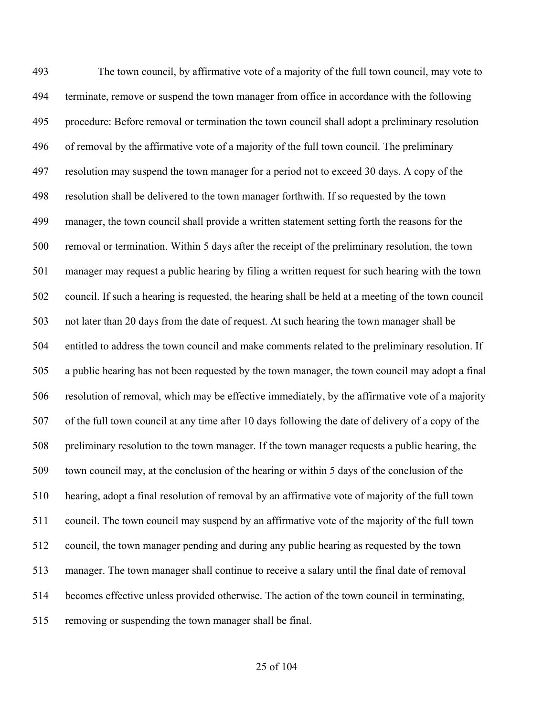The town council, by affirmative vote of a majority of the full town council, may vote to terminate, remove or suspend the town manager from office in accordance with the following procedure: Before removal or termination the town council shall adopt a preliminary resolution of removal by the affirmative vote of a majority of the full town council. The preliminary resolution may suspend the town manager for a period not to exceed 30 days. A copy of the resolution shall be delivered to the town manager forthwith. If so requested by the town manager, the town council shall provide a written statement setting forth the reasons for the removal or termination. Within 5 days after the receipt of the preliminary resolution, the town manager may request a public hearing by filing a written request for such hearing with the town council. If such a hearing is requested, the hearing shall be held at a meeting of the town council not later than 20 days from the date of request. At such hearing the town manager shall be entitled to address the town council and make comments related to the preliminary resolution. If a public hearing has not been requested by the town manager, the town council may adopt a final resolution of removal, which may be effective immediately, by the affirmative vote of a majority of the full town council at any time after 10 days following the date of delivery of a copy of the preliminary resolution to the town manager. If the town manager requests a public hearing, the town council may, at the conclusion of the hearing or within 5 days of the conclusion of the hearing, adopt a final resolution of removal by an affirmative vote of majority of the full town council. The town council may suspend by an affirmative vote of the majority of the full town council, the town manager pending and during any public hearing as requested by the town manager. The town manager shall continue to receive a salary until the final date of removal becomes effective unless provided otherwise. The action of the town council in terminating, removing or suspending the town manager shall be final.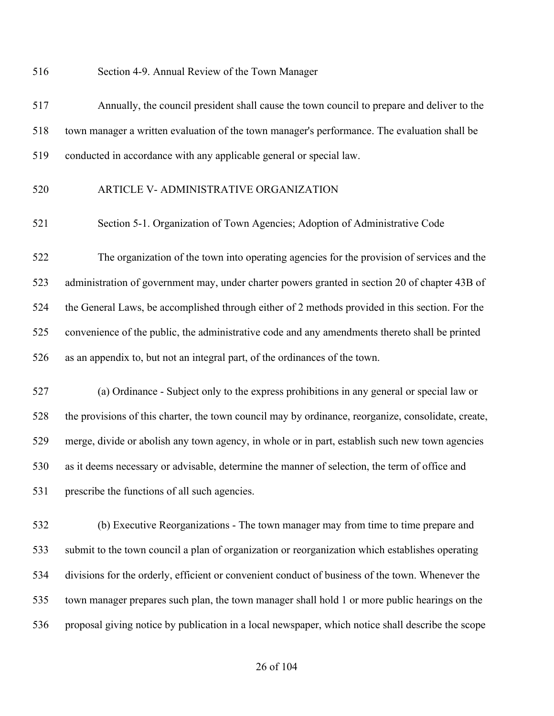Section 4-9. Annual Review of the Town Manager

 Annually, the council president shall cause the town council to prepare and deliver to the town manager a written evaluation of the town manager's performance. The evaluation shall be conducted in accordance with any applicable general or special law.

#### ARTICLE V- ADMINISTRATIVE ORGANIZATION

Section 5-1. Organization of Town Agencies; Adoption of Administrative Code

 The organization of the town into operating agencies for the provision of services and the administration of government may, under charter powers granted in section 20 of chapter 43B of the General Laws, be accomplished through either of 2 methods provided in this section. For the convenience of the public, the administrative code and any amendments thereto shall be printed as an appendix to, but not an integral part, of the ordinances of the town.

 (a) Ordinance - Subject only to the express prohibitions in any general or special law or the provisions of this charter, the town council may by ordinance, reorganize, consolidate, create, merge, divide or abolish any town agency, in whole or in part, establish such new town agencies as it deems necessary or advisable, determine the manner of selection, the term of office and prescribe the functions of all such agencies.

 (b) Executive Reorganizations - The town manager may from time to time prepare and submit to the town council a plan of organization or reorganization which establishes operating divisions for the orderly, efficient or convenient conduct of business of the town. Whenever the town manager prepares such plan, the town manager shall hold 1 or more public hearings on the proposal giving notice by publication in a local newspaper, which notice shall describe the scope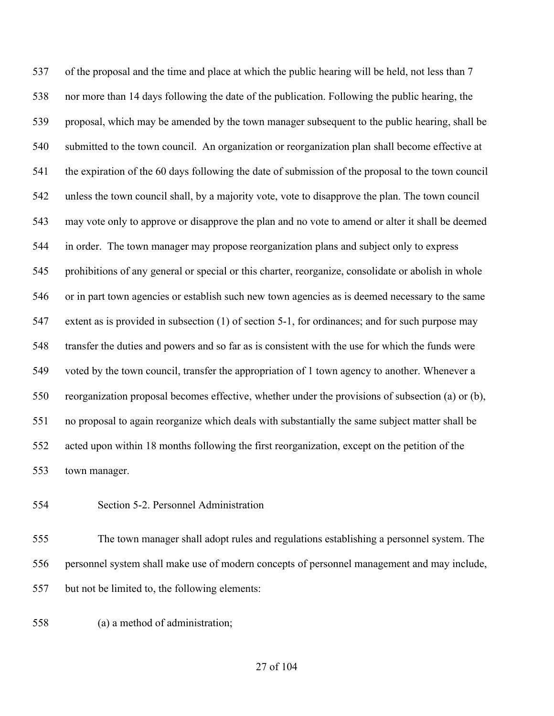537 of the proposal and the time and place at which the public hearing will be held, not less than 7 nor more than 14 days following the date of the publication. Following the public hearing, the proposal, which may be amended by the town manager subsequent to the public hearing, shall be submitted to the town council. An organization or reorganization plan shall become effective at the expiration of the 60 days following the date of submission of the proposal to the town council unless the town council shall, by a majority vote, vote to disapprove the plan. The town council may vote only to approve or disapprove the plan and no vote to amend or alter it shall be deemed in order. The town manager may propose reorganization plans and subject only to express prohibitions of any general or special or this charter, reorganize, consolidate or abolish in whole or in part town agencies or establish such new town agencies as is deemed necessary to the same extent as is provided in subsection (1) of section 5-1, for ordinances; and for such purpose may transfer the duties and powers and so far as is consistent with the use for which the funds were voted by the town council, transfer the appropriation of 1 town agency to another. Whenever a reorganization proposal becomes effective, whether under the provisions of subsection (a) or (b), no proposal to again reorganize which deals with substantially the same subject matter shall be acted upon within 18 months following the first reorganization, except on the petition of the town manager.

#### Section 5-2. Personnel Administration

 The town manager shall adopt rules and regulations establishing a personnel system. The personnel system shall make use of modern concepts of personnel management and may include, but not be limited to, the following elements:

(a) a method of administration;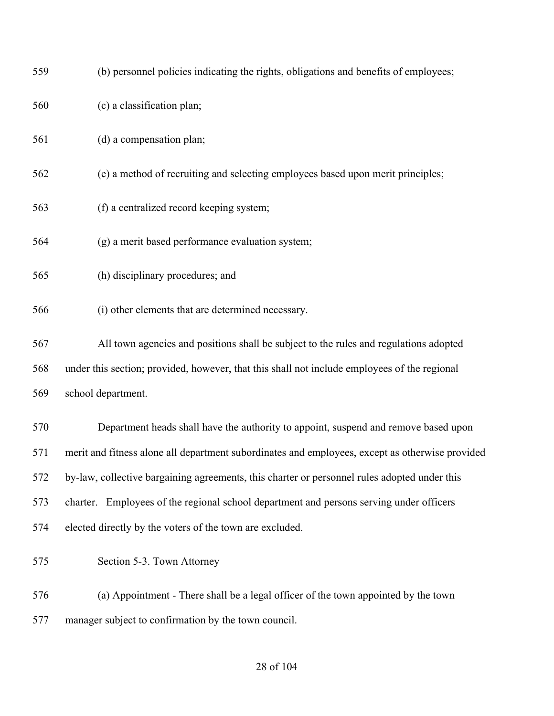| 559 | (b) personnel policies indicating the rights, obligations and benefits of employees;            |
|-----|-------------------------------------------------------------------------------------------------|
| 560 | (c) a classification plan;                                                                      |
| 561 | (d) a compensation plan;                                                                        |
| 562 | (e) a method of recruiting and selecting employees based upon merit principles;                 |
| 563 | (f) a centralized record keeping system;                                                        |
| 564 | (g) a merit based performance evaluation system;                                                |
| 565 | (h) disciplinary procedures; and                                                                |
| 566 | (i) other elements that are determined necessary.                                               |
| 567 | All town agencies and positions shall be subject to the rules and regulations adopted           |
| 568 | under this section; provided, however, that this shall not include employees of the regional    |
| 569 | school department.                                                                              |
| 570 | Department heads shall have the authority to appoint, suspend and remove based upon             |
| 571 | merit and fitness alone all department subordinates and employees, except as otherwise provided |
| 572 | by-law, collective bargaining agreements, this charter or personnel rules adopted under this    |
| 573 | charter. Employees of the regional school department and persons serving under officers         |
| 574 | elected directly by the voters of the town are excluded.                                        |
| 575 | Section 5-3. Town Attorney                                                                      |
| 576 | (a) Appointment - There shall be a legal officer of the town appointed by the town              |
| 577 | manager subject to confirmation by the town council.                                            |

## of 104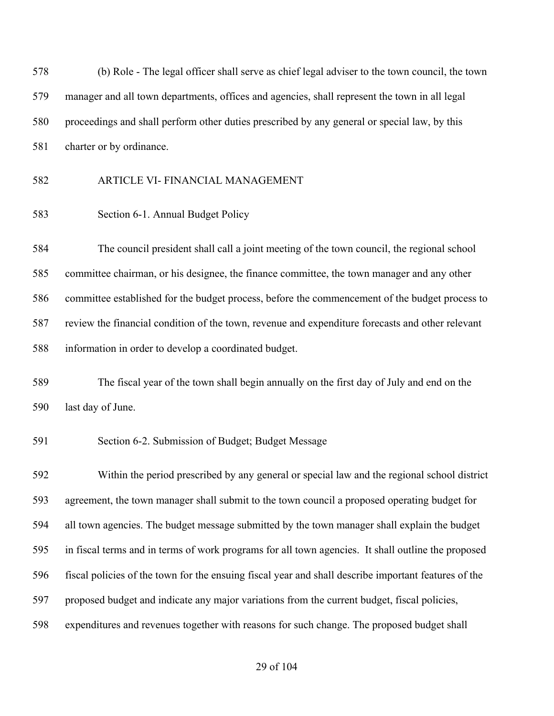(b) Role - The legal officer shall serve as chief legal adviser to the town council, the town manager and all town departments, offices and agencies, shall represent the town in all legal proceedings and shall perform other duties prescribed by any general or special law, by this charter or by ordinance.

#### ARTICLE VI- FINANCIAL MANAGEMENT

Section 6-1. Annual Budget Policy

 The council president shall call a joint meeting of the town council, the regional school committee chairman, or his designee, the finance committee, the town manager and any other committee established for the budget process, before the commencement of the budget process to review the financial condition of the town, revenue and expenditure forecasts and other relevant information in order to develop a coordinated budget.

 The fiscal year of the town shall begin annually on the first day of July and end on the last day of June.

#### Section 6-2. Submission of Budget; Budget Message

 Within the period prescribed by any general or special law and the regional school district agreement, the town manager shall submit to the town council a proposed operating budget for all town agencies. The budget message submitted by the town manager shall explain the budget in fiscal terms and in terms of work programs for all town agencies. It shall outline the proposed fiscal policies of the town for the ensuing fiscal year and shall describe important features of the proposed budget and indicate any major variations from the current budget, fiscal policies, expenditures and revenues together with reasons for such change. The proposed budget shall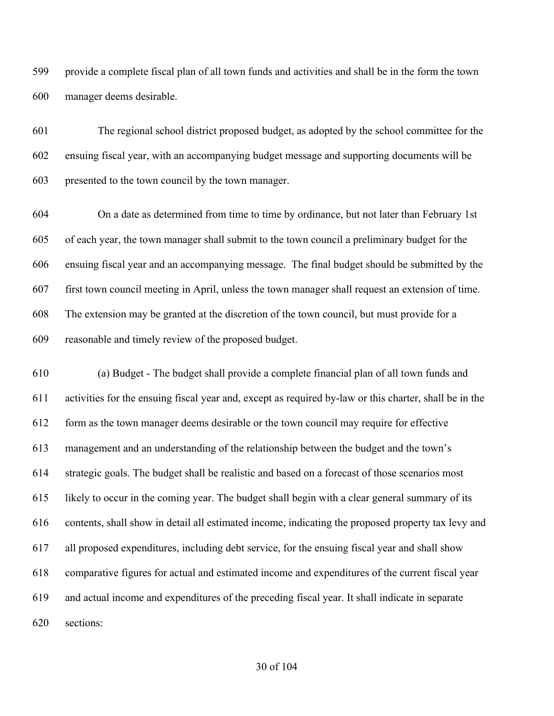provide a complete fiscal plan of all town funds and activities and shall be in the form the town manager deems desirable.

 The regional school district proposed budget, as adopted by the school committee for the ensuing fiscal year, with an accompanying budget message and supporting documents will be presented to the town council by the town manager.

 On a date as determined from time to time by ordinance, but not later than February 1st of each year, the town manager shall submit to the town council a preliminary budget for the ensuing fiscal year and an accompanying message. The final budget should be submitted by the first town council meeting in April, unless the town manager shall request an extension of time. The extension may be granted at the discretion of the town council, but must provide for a reasonable and timely review of the proposed budget.

 (a) Budget - The budget shall provide a complete financial plan of all town funds and activities for the ensuing fiscal year and, except as required by-law or this charter, shall be in the form as the town manager deems desirable or the town council may require for effective management and an understanding of the relationship between the budget and the town's strategic goals. The budget shall be realistic and based on a forecast of those scenarios most likely to occur in the coming year. The budget shall begin with a clear general summary of its contents, shall show in detail all estimated income, indicating the proposed property tax levy and all proposed expenditures, including debt service, for the ensuing fiscal year and shall show comparative figures for actual and estimated income and expenditures of the current fiscal year and actual income and expenditures of the preceding fiscal year. It shall indicate in separate sections: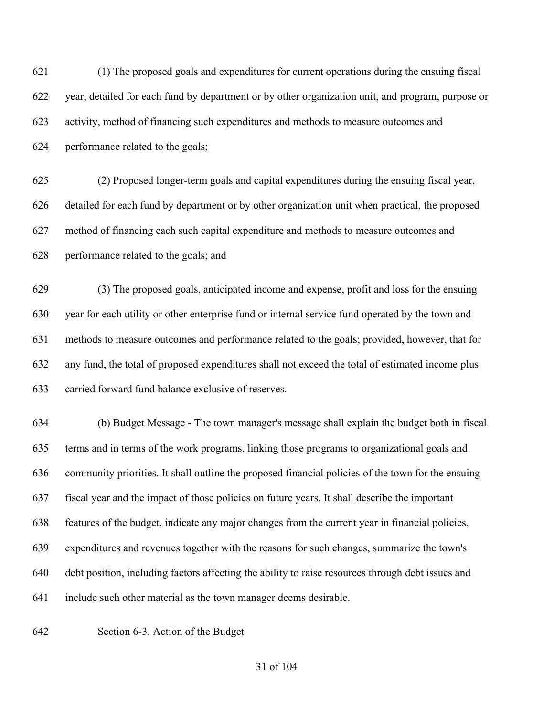(1) The proposed goals and expenditures for current operations during the ensuing fiscal year, detailed for each fund by department or by other organization unit, and program, purpose or activity, method of financing such expenditures and methods to measure outcomes and performance related to the goals;

 (2) Proposed longer-term goals and capital expenditures during the ensuing fiscal year, detailed for each fund by department or by other organization unit when practical, the proposed method of financing each such capital expenditure and methods to measure outcomes and performance related to the goals; and

 (3) The proposed goals, anticipated income and expense, profit and loss for the ensuing year for each utility or other enterprise fund or internal service fund operated by the town and methods to measure outcomes and performance related to the goals; provided, however, that for any fund, the total of proposed expenditures shall not exceed the total of estimated income plus carried forward fund balance exclusive of reserves.

 (b) Budget Message - The town manager's message shall explain the budget both in fiscal terms and in terms of the work programs, linking those programs to organizational goals and community priorities. It shall outline the proposed financial policies of the town for the ensuing fiscal year and the impact of those policies on future years. It shall describe the important features of the budget, indicate any major changes from the current year in financial policies, expenditures and revenues together with the reasons for such changes, summarize the town's debt position, including factors affecting the ability to raise resources through debt issues and include such other material as the town manager deems desirable.

Section 6-3. Action of the Budget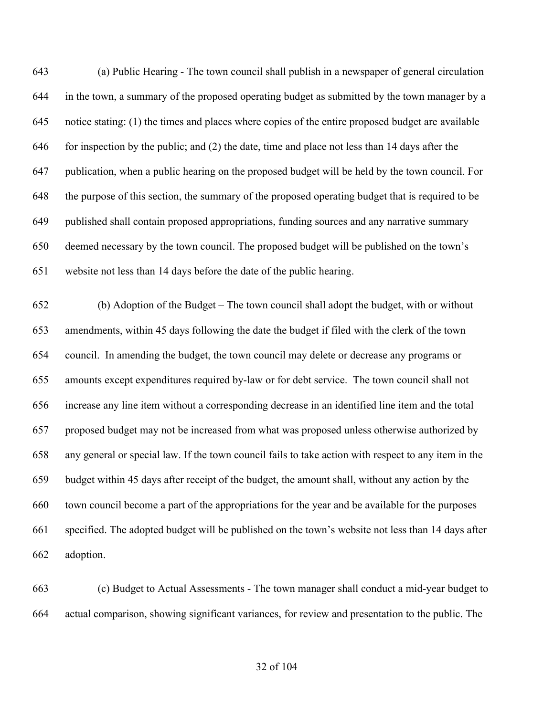(a) Public Hearing - The town council shall publish in a newspaper of general circulation in the town, a summary of the proposed operating budget as submitted by the town manager by a notice stating: (1) the times and places where copies of the entire proposed budget are available for inspection by the public; and (2) the date, time and place not less than 14 days after the publication, when a public hearing on the proposed budget will be held by the town council. For the purpose of this section, the summary of the proposed operating budget that is required to be published shall contain proposed appropriations, funding sources and any narrative summary deemed necessary by the town council. The proposed budget will be published on the town's website not less than 14 days before the date of the public hearing.

 (b) Adoption of the Budget – The town council shall adopt the budget, with or without amendments, within 45 days following the date the budget if filed with the clerk of the town council. In amending the budget, the town council may delete or decrease any programs or amounts except expenditures required by-law or for debt service. The town council shall not increase any line item without a corresponding decrease in an identified line item and the total proposed budget may not be increased from what was proposed unless otherwise authorized by any general or special law. If the town council fails to take action with respect to any item in the budget within 45 days after receipt of the budget, the amount shall, without any action by the town council become a part of the appropriations for the year and be available for the purposes specified. The adopted budget will be published on the town's website not less than 14 days after adoption.

 (c) Budget to Actual Assessments - The town manager shall conduct a mid-year budget to actual comparison, showing significant variances, for review and presentation to the public. The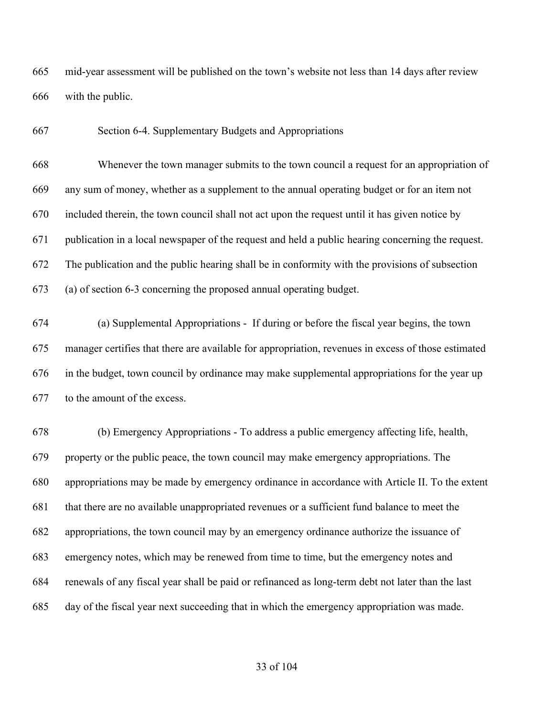mid-year assessment will be published on the town's website not less than 14 days after review with the public.

Section 6-4. Supplementary Budgets and Appropriations

 Whenever the town manager submits to the town council a request for an appropriation of any sum of money, whether as a supplement to the annual operating budget or for an item not included therein, the town council shall not act upon the request until it has given notice by publication in a local newspaper of the request and held a public hearing concerning the request. The publication and the public hearing shall be in conformity with the provisions of subsection (a) of section 6-3 concerning the proposed annual operating budget.

 (a) Supplemental Appropriations - If during or before the fiscal year begins, the town manager certifies that there are available for appropriation, revenues in excess of those estimated in the budget, town council by ordinance may make supplemental appropriations for the year up to the amount of the excess.

 (b) Emergency Appropriations - To address a public emergency affecting life, health, property or the public peace, the town council may make emergency appropriations. The appropriations may be made by emergency ordinance in accordance with Article II. To the extent that there are no available unappropriated revenues or a sufficient fund balance to meet the appropriations, the town council may by an emergency ordinance authorize the issuance of emergency notes, which may be renewed from time to time, but the emergency notes and renewals of any fiscal year shall be paid or refinanced as long-term debt not later than the last day of the fiscal year next succeeding that in which the emergency appropriation was made.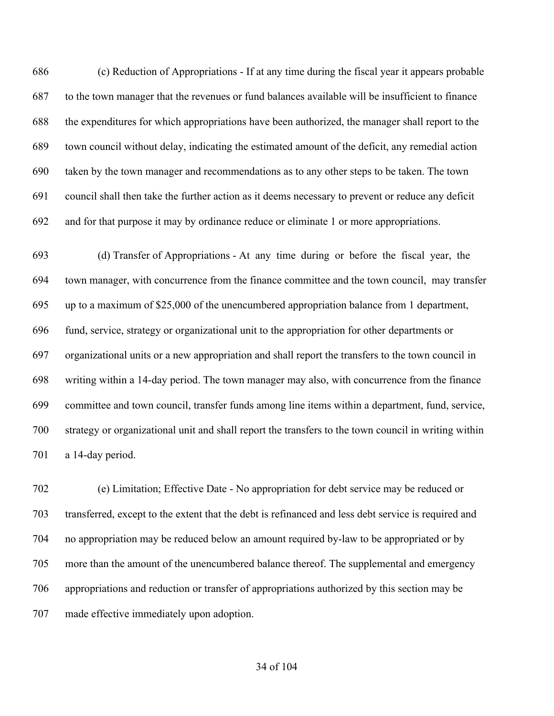(c) Reduction of Appropriations - If at any time during the fiscal year it appears probable to the town manager that the revenues or fund balances available will be insufficient to finance the expenditures for which appropriations have been authorized, the manager shall report to the town council without delay, indicating the estimated amount of the deficit, any remedial action taken by the town manager and recommendations as to any other steps to be taken. The town council shall then take the further action as it deems necessary to prevent or reduce any deficit and for that purpose it may by ordinance reduce or eliminate 1 or more appropriations.

 (d) Transfer of Appropriations - At any time during or before the fiscal year, the town manager, with concurrence from the finance committee and the town council, may transfer up to a maximum of \$25,000 of the unencumbered appropriation balance from 1 department, fund, service, strategy or organizational unit to the appropriation for other departments or organizational units or a new appropriation and shall report the transfers to the town council in writing within a 14-day period. The town manager may also, with concurrence from the finance committee and town council, transfer funds among line items within a department, fund, service, strategy or organizational unit and shall report the transfers to the town council in writing within a 14-day period.

 (e) Limitation; Effective Date - No appropriation for debt service may be reduced or transferred, except to the extent that the debt is refinanced and less debt service is required and no appropriation may be reduced below an amount required by-law to be appropriated or by more than the amount of the unencumbered balance thereof. The supplemental and emergency appropriations and reduction or transfer of appropriations authorized by this section may be made effective immediately upon adoption.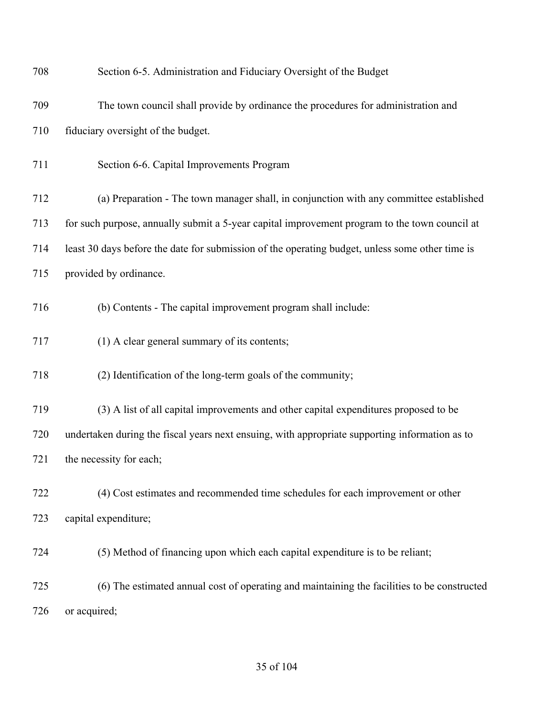| 708 | Section 6-5. Administration and Fiduciary Oversight of the Budget                               |
|-----|-------------------------------------------------------------------------------------------------|
| 709 | The town council shall provide by ordinance the procedures for administration and               |
| 710 | fiduciary oversight of the budget.                                                              |
| 711 | Section 6-6. Capital Improvements Program                                                       |
| 712 | (a) Preparation - The town manager shall, in conjunction with any committee established         |
| 713 | for such purpose, annually submit a 5-year capital improvement program to the town council at   |
| 714 | least 30 days before the date for submission of the operating budget, unless some other time is |
| 715 | provided by ordinance.                                                                          |
| 716 | (b) Contents - The capital improvement program shall include:                                   |
| 717 | (1) A clear general summary of its contents;                                                    |
| 718 | (2) Identification of the long-term goals of the community;                                     |
| 719 | (3) A list of all capital improvements and other capital expenditures proposed to be            |
| 720 | undertaken during the fiscal years next ensuing, with appropriate supporting information as to  |
| 721 | the necessity for each;                                                                         |
| 722 | (4) Cost estimates and recommended time schedules for each improvement or other                 |
| 723 | capital expenditure;                                                                            |
| 724 | (5) Method of financing upon which each capital expenditure is to be reliant;                   |
| 725 | (6) The estimated annual cost of operating and maintaining the facilities to be constructed     |
| 726 | or acquired;                                                                                    |
|     |                                                                                                 |

### of 104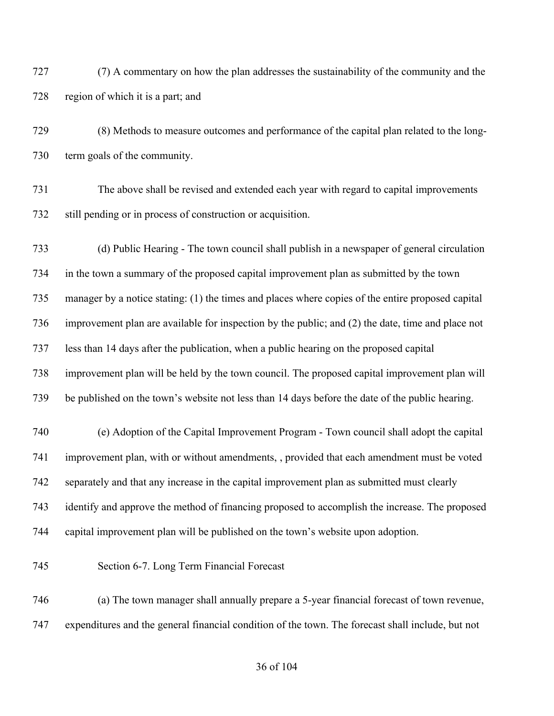(7) A commentary on how the plan addresses the sustainability of the community and the region of which it is a part; and

 (8) Methods to measure outcomes and performance of the capital plan related to the long-term goals of the community.

 The above shall be revised and extended each year with regard to capital improvements still pending or in process of construction or acquisition.

 (d) Public Hearing - The town council shall publish in a newspaper of general circulation in the town a summary of the proposed capital improvement plan as submitted by the town manager by a notice stating: (1) the times and places where copies of the entire proposed capital improvement plan are available for inspection by the public; and (2) the date, time and place not less than 14 days after the publication, when a public hearing on the proposed capital improvement plan will be held by the town council. The proposed capital improvement plan will be published on the town's website not less than 14 days before the date of the public hearing.

 (e) Adoption of the Capital Improvement Program - Town council shall adopt the capital improvement plan, with or without amendments, , provided that each amendment must be voted separately and that any increase in the capital improvement plan as submitted must clearly identify and approve the method of financing proposed to accomplish the increase. The proposed capital improvement plan will be published on the town's website upon adoption.

Section 6-7. Long Term Financial Forecast

 (a) The town manager shall annually prepare a 5-year financial forecast of town revenue, expenditures and the general financial condition of the town. The forecast shall include, but not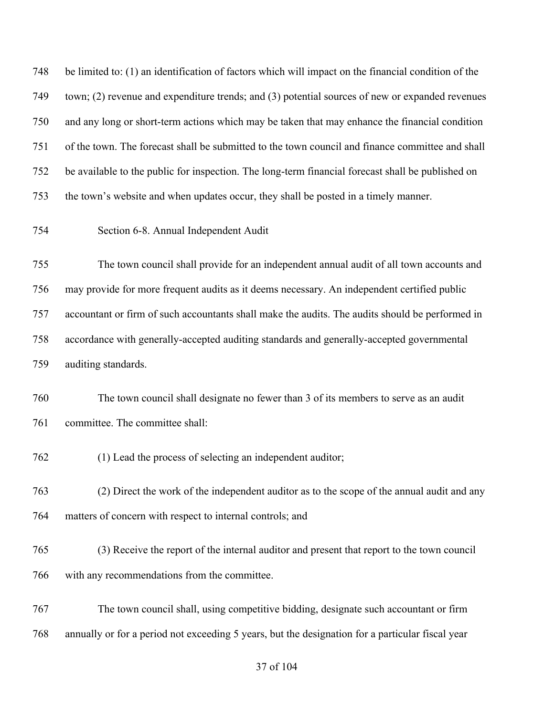be limited to: (1) an identification of factors which will impact on the financial condition of the town; (2) revenue and expenditure trends; and (3) potential sources of new or expanded revenues and any long or short-term actions which may be taken that may enhance the financial condition of the town. The forecast shall be submitted to the town council and finance committee and shall be available to the public for inspection. The long-term financial forecast shall be published on the town's website and when updates occur, they shall be posted in a timely manner.

Section 6-8. Annual Independent Audit

 The town council shall provide for an independent annual audit of all town accounts and may provide for more frequent audits as it deems necessary. An independent certified public accountant or firm of such accountants shall make the audits. The audits should be performed in accordance with generally-accepted auditing standards and generally-accepted governmental auditing standards.

 The town council shall designate no fewer than 3 of its members to serve as an audit committee. The committee shall:

(1) Lead the process of selecting an independent auditor;

 (2) Direct the work of the independent auditor as to the scope of the annual audit and any matters of concern with respect to internal controls; and

 (3) Receive the report of the internal auditor and present that report to the town council with any recommendations from the committee.

 The town council shall, using competitive bidding, designate such accountant or firm annually or for a period not exceeding 5 years, but the designation for a particular fiscal year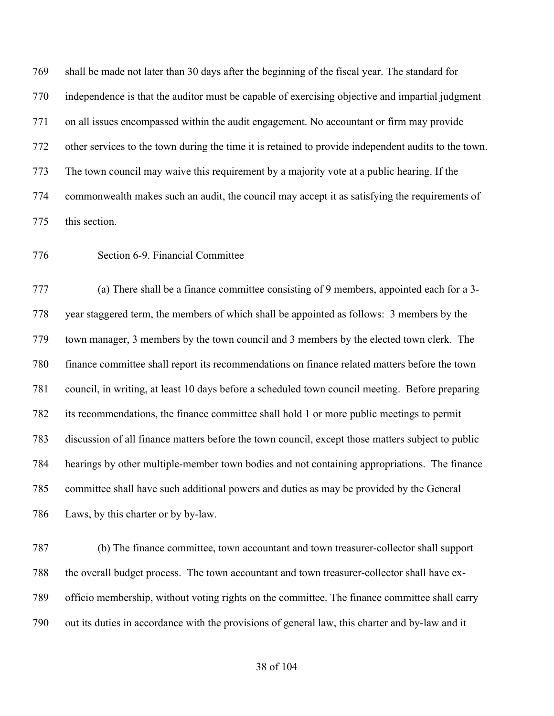shall be made not later than 30 days after the beginning of the fiscal year. The standard for independence is that the auditor must be capable of exercising objective and impartial judgment on all issues encompassed within the audit engagement. No accountant or firm may provide other services to the town during the time it is retained to provide independent audits to the town. The town council may waive this requirement by a majority vote at a public hearing. If the commonwealth makes such an audit, the council may accept it as satisfying the requirements of this section.

## Section 6-9. Financial Committee

 (a) There shall be a finance committee consisting of 9 members, appointed each for a 3- year staggered term, the members of which shall be appointed as follows: 3 members by the town manager, 3 members by the town council and 3 members by the elected town clerk. The finance committee shall report its recommendations on finance related matters before the town council, in writing, at least 10 days before a scheduled town council meeting. Before preparing its recommendations, the finance committee shall hold 1 or more public meetings to permit discussion of all finance matters before the town council, except those matters subject to public hearings by other multiple-member town bodies and not containing appropriations. The finance committee shall have such additional powers and duties as may be provided by the General Laws, by this charter or by by-law.

 (b) The finance committee, town accountant and town treasurer-collector shall support the overall budget process. The town accountant and town treasurer-collector shall have ex- officio membership, without voting rights on the committee. The finance committee shall carry out its duties in accordance with the provisions of general law, this charter and by-law and it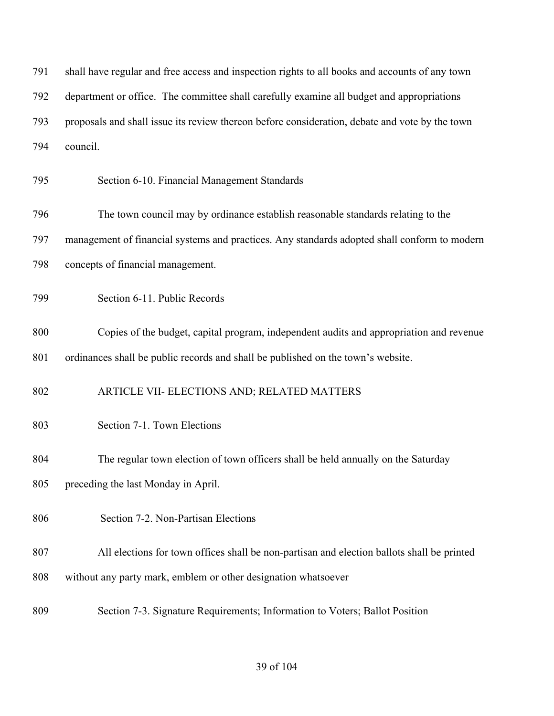| 791 | shall have regular and free access and inspection rights to all books and accounts of any town |
|-----|------------------------------------------------------------------------------------------------|
| 792 | department or office. The committee shall carefully examine all budget and appropriations      |
| 793 | proposals and shall issue its review thereon before consideration, debate and vote by the town |
| 794 | council.                                                                                       |
| 795 | Section 6-10. Financial Management Standards                                                   |
| 796 | The town council may by ordinance establish reasonable standards relating to the               |
| 797 | management of financial systems and practices. Any standards adopted shall conform to modern   |
| 798 | concepts of financial management.                                                              |
| 799 | Section 6-11. Public Records                                                                   |
| 800 | Copies of the budget, capital program, independent audits and appropriation and revenue        |
| 801 | ordinances shall be public records and shall be published on the town's website.               |
| 802 | ARTICLE VII- ELECTIONS AND; RELATED MATTERS                                                    |
| 803 | Section 7-1. Town Elections                                                                    |
| 804 | The regular town election of town officers shall be held annually on the Saturday              |
| 805 | preceding the last Monday in April.                                                            |
| 806 | Section 7-2. Non-Partisan Elections                                                            |
| 807 | All elections for town offices shall be non-partisan and election ballots shall be printed     |
| 808 | without any party mark, emblem or other designation whatsoever                                 |
| 809 | Section 7-3. Signature Requirements; Information to Voters; Ballot Position                    |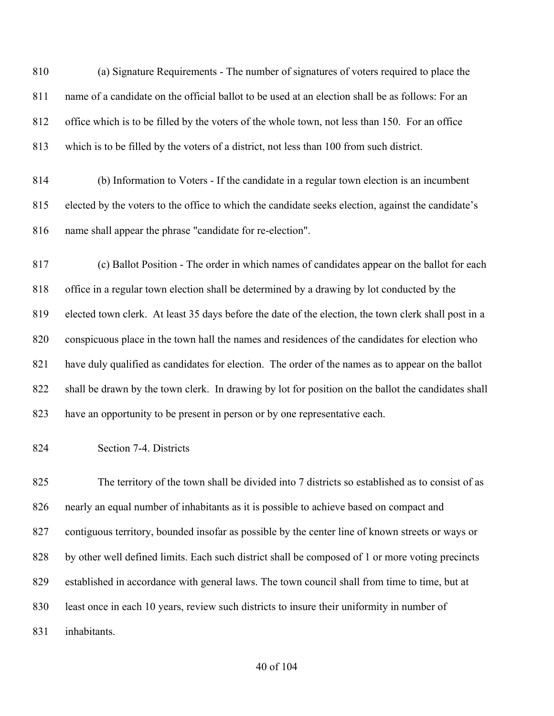(a) Signature Requirements - The number of signatures of voters required to place the name of a candidate on the official ballot to be used at an election shall be as follows: For an office which is to be filled by the voters of the whole town, not less than 150. For an office which is to be filled by the voters of a district, not less than 100 from such district.

 (b) Information to Voters - If the candidate in a regular town election is an incumbent elected by the voters to the office to which the candidate seeks election, against the candidate's name shall appear the phrase "candidate for re-election".

 (c) Ballot Position - The order in which names of candidates appear on the ballot for each office in a regular town election shall be determined by a drawing by lot conducted by the elected town clerk. At least 35 days before the date of the election, the town clerk shall post in a conspicuous place in the town hall the names and residences of the candidates for election who have duly qualified as candidates for election. The order of the names as to appear on the ballot shall be drawn by the town clerk. In drawing by lot for position on the ballot the candidates shall have an opportunity to be present in person or by one representative each.

Section 7-4. Districts

 The territory of the town shall be divided into 7 districts so established as to consist of as nearly an equal number of inhabitants as it is possible to achieve based on compact and contiguous territory, bounded insofar as possible by the center line of known streets or ways or 828 by other well defined limits. Each such district shall be composed of 1 or more voting precincts established in accordance with general laws. The town council shall from time to time, but at least once in each 10 years, review such districts to insure their uniformity in number of inhabitants.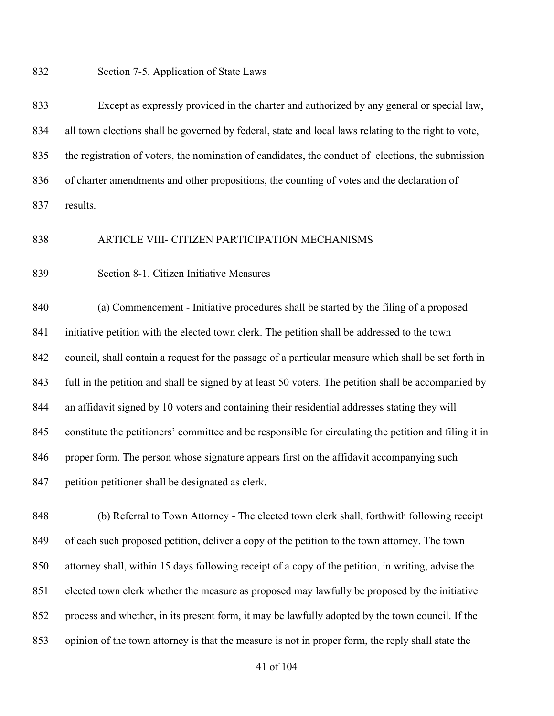Section 7-5. Application of State Laws

 Except as expressly provided in the charter and authorized by any general or special law, all town elections shall be governed by federal, state and local laws relating to the right to vote, the registration of voters, the nomination of candidates, the conduct of elections, the submission of charter amendments and other propositions, the counting of votes and the declaration of results.

### ARTICLE VIII- CITIZEN PARTICIPATION MECHANISMS

Section 8-1. Citizen Initiative Measures

 (a) Commencement - Initiative procedures shall be started by the filing of a proposed initiative petition with the elected town clerk. The petition shall be addressed to the town council, shall contain a request for the passage of a particular measure which shall be set forth in full in the petition and shall be signed by at least 50 voters. The petition shall be accompanied by an affidavit signed by 10 voters and containing their residential addresses stating they will constitute the petitioners' committee and be responsible for circulating the petition and filing it in 846 proper form. The person whose signature appears first on the affidavit accompanying such petition petitioner shall be designated as clerk.

 (b) Referral to Town Attorney - The elected town clerk shall, forthwith following receipt of each such proposed petition, deliver a copy of the petition to the town attorney. The town attorney shall, within 15 days following receipt of a copy of the petition, in writing, advise the elected town clerk whether the measure as proposed may lawfully be proposed by the initiative process and whether, in its present form, it may be lawfully adopted by the town council. If the opinion of the town attorney is that the measure is not in proper form, the reply shall state the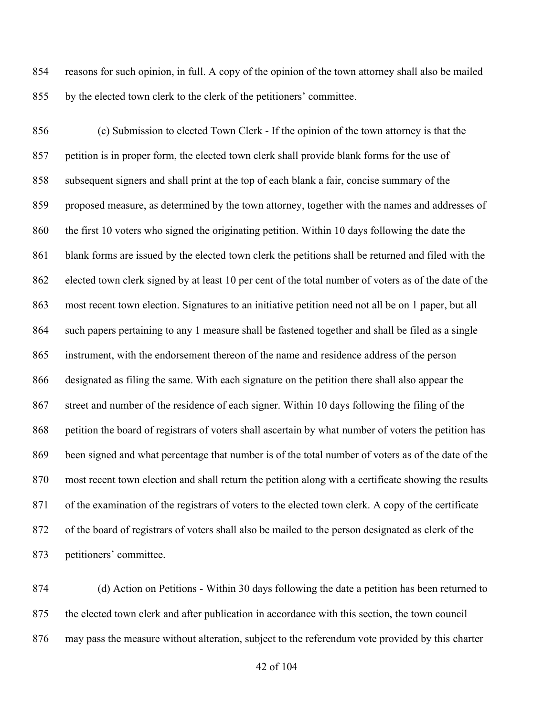reasons for such opinion, in full. A copy of the opinion of the town attorney shall also be mailed by the elected town clerk to the clerk of the petitioners' committee.

 (c) Submission to elected Town Clerk - If the opinion of the town attorney is that the petition is in proper form, the elected town clerk shall provide blank forms for the use of subsequent signers and shall print at the top of each blank a fair, concise summary of the proposed measure, as determined by the town attorney, together with the names and addresses of the first 10 voters who signed the originating petition. Within 10 days following the date the blank forms are issued by the elected town clerk the petitions shall be returned and filed with the elected town clerk signed by at least 10 per cent of the total number of voters as of the date of the most recent town election. Signatures to an initiative petition need not all be on 1 paper, but all such papers pertaining to any 1 measure shall be fastened together and shall be filed as a single instrument, with the endorsement thereon of the name and residence address of the person designated as filing the same. With each signature on the petition there shall also appear the street and number of the residence of each signer. Within 10 days following the filing of the petition the board of registrars of voters shall ascertain by what number of voters the petition has been signed and what percentage that number is of the total number of voters as of the date of the most recent town election and shall return the petition along with a certificate showing the results of the examination of the registrars of voters to the elected town clerk. A copy of the certificate of the board of registrars of voters shall also be mailed to the person designated as clerk of the petitioners' committee.

 (d) Action on Petitions - Within 30 days following the date a petition has been returned to the elected town clerk and after publication in accordance with this section, the town council may pass the measure without alteration, subject to the referendum vote provided by this charter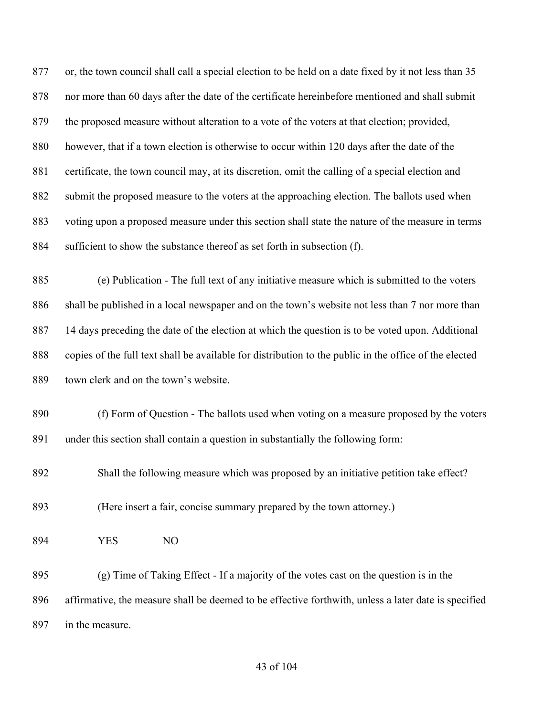or, the town council shall call a special election to be held on a date fixed by it not less than 35 nor more than 60 days after the date of the certificate hereinbefore mentioned and shall submit the proposed measure without alteration to a vote of the voters at that election; provided, however, that if a town election is otherwise to occur within 120 days after the date of the 881 certificate, the town council may, at its discretion, omit the calling of a special election and submit the proposed measure to the voters at the approaching election. The ballots used when voting upon a proposed measure under this section shall state the nature of the measure in terms sufficient to show the substance thereof as set forth in subsection (f).

 (e) Publication - The full text of any initiative measure which is submitted to the voters shall be published in a local newspaper and on the town's website not less than 7 nor more than 14 days preceding the date of the election at which the question is to be voted upon. Additional copies of the full text shall be available for distribution to the public in the office of the elected town clerk and on the town's website.

 (f) Form of Question - The ballots used when voting on a measure proposed by the voters under this section shall contain a question in substantially the following form:

Shall the following measure which was proposed by an initiative petition take effect?

(Here insert a fair, concise summary prepared by the town attorney.)

YES NO

 (g) Time of Taking Effect - If a majority of the votes cast on the question is in the affirmative, the measure shall be deemed to be effective forthwith, unless a later date is specified in the measure.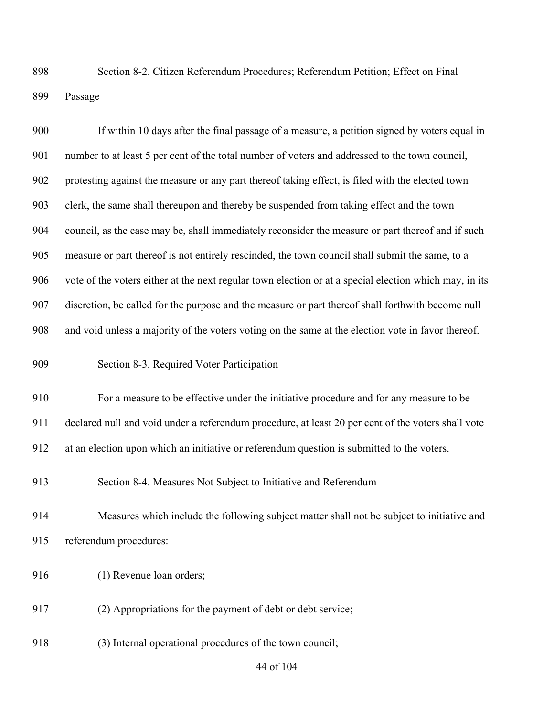Section 8-2. Citizen Referendum Procedures; Referendum Petition; Effect on Final Passage

 If within 10 days after the final passage of a measure, a petition signed by voters equal in number to at least 5 per cent of the total number of voters and addressed to the town council, protesting against the measure or any part thereof taking effect, is filed with the elected town clerk, the same shall thereupon and thereby be suspended from taking effect and the town council, as the case may be, shall immediately reconsider the measure or part thereof and if such measure or part thereof is not entirely rescinded, the town council shall submit the same, to a vote of the voters either at the next regular town election or at a special election which may, in its discretion, be called for the purpose and the measure or part thereof shall forthwith become null and void unless a majority of the voters voting on the same at the election vote in favor thereof. Section 8-3. Required Voter Participation For a measure to be effective under the initiative procedure and for any measure to be declared null and void under a referendum procedure, at least 20 per cent of the voters shall vote at an election upon which an initiative or referendum question is submitted to the voters. Section 8-4. Measures Not Subject to Initiative and Referendum Measures which include the following subject matter shall not be subject to initiative and referendum procedures: (1) Revenue loan orders; (2) Appropriations for the payment of debt or debt service; (3) Internal operational procedures of the town council;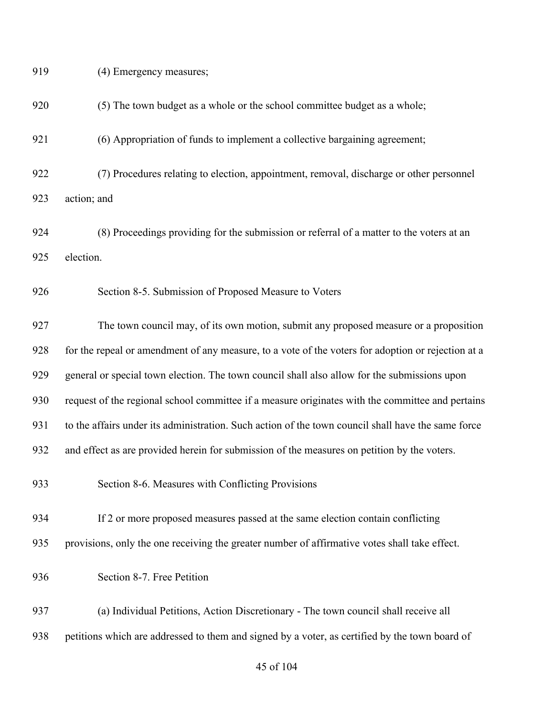| 919 | (4) Emergency measures;                                                                            |
|-----|----------------------------------------------------------------------------------------------------|
| 920 | (5) The town budget as a whole or the school committee budget as a whole;                          |
| 921 | (6) Appropriation of funds to implement a collective bargaining agreement;                         |
| 922 | (7) Procedures relating to election, appointment, removal, discharge or other personnel            |
| 923 | action; and                                                                                        |
| 924 | (8) Proceedings providing for the submission or referral of a matter to the voters at an           |
| 925 | election.                                                                                          |
| 926 | Section 8-5. Submission of Proposed Measure to Voters                                              |
| 927 | The town council may, of its own motion, submit any proposed measure or a proposition              |
| 928 | for the repeal or amendment of any measure, to a vote of the voters for adoption or rejection at a |
| 929 | general or special town election. The town council shall also allow for the submissions upon       |
| 930 | request of the regional school committee if a measure originates with the committee and pertains   |
| 931 | to the affairs under its administration. Such action of the town council shall have the same force |
| 932 | and effect as are provided herein for submission of the measures on petition by the voters.        |
| 933 | Section 8-6. Measures with Conflicting Provisions                                                  |
| 934 | If 2 or more proposed measures passed at the same election contain conflicting                     |
| 935 | provisions, only the one receiving the greater number of affirmative votes shall take effect.      |
| 936 | Section 8-7. Free Petition                                                                         |
| 937 | (a) Individual Petitions, Action Discretionary - The town council shall receive all                |
| 938 | petitions which are addressed to them and signed by a voter, as certified by the town board of     |
|     |                                                                                                    |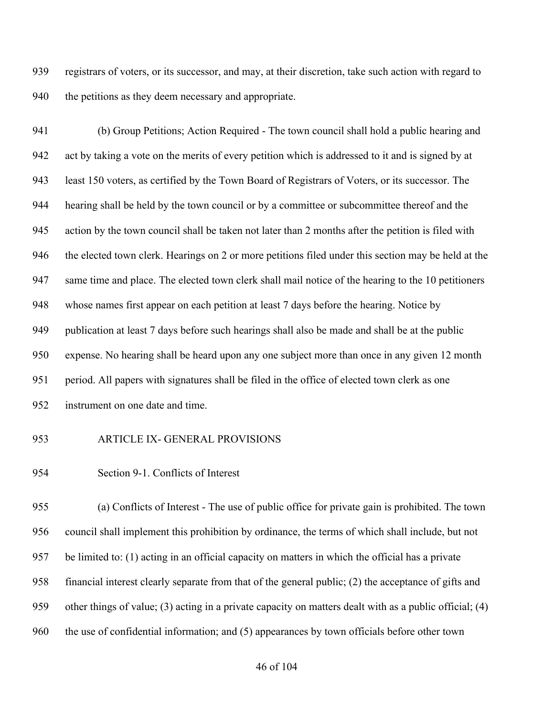registrars of voters, or its successor, and may, at their discretion, take such action with regard to 940 the petitions as they deem necessary and appropriate.

 (b) Group Petitions; Action Required - The town council shall hold a public hearing and act by taking a vote on the merits of every petition which is addressed to it and is signed by at least 150 voters, as certified by the Town Board of Registrars of Voters, or its successor. The hearing shall be held by the town council or by a committee or subcommittee thereof and the action by the town council shall be taken not later than 2 months after the petition is filed with the elected town clerk. Hearings on 2 or more petitions filed under this section may be held at the same time and place. The elected town clerk shall mail notice of the hearing to the 10 petitioners whose names first appear on each petition at least 7 days before the hearing. Notice by 949 publication at least 7 days before such hearings shall also be made and shall be at the public expense. No hearing shall be heard upon any one subject more than once in any given 12 month period. All papers with signatures shall be filed in the office of elected town clerk as one instrument on one date and time.

# ARTICLE IX- GENERAL PROVISIONS

Section 9-1. Conflicts of Interest

 (a) Conflicts of Interest - The use of public office for private gain is prohibited. The town council shall implement this prohibition by ordinance, the terms of which shall include, but not be limited to: (1) acting in an official capacity on matters in which the official has a private financial interest clearly separate from that of the general public; (2) the acceptance of gifts and other things of value; (3) acting in a private capacity on matters dealt with as a public official; (4) the use of confidential information; and (5) appearances by town officials before other town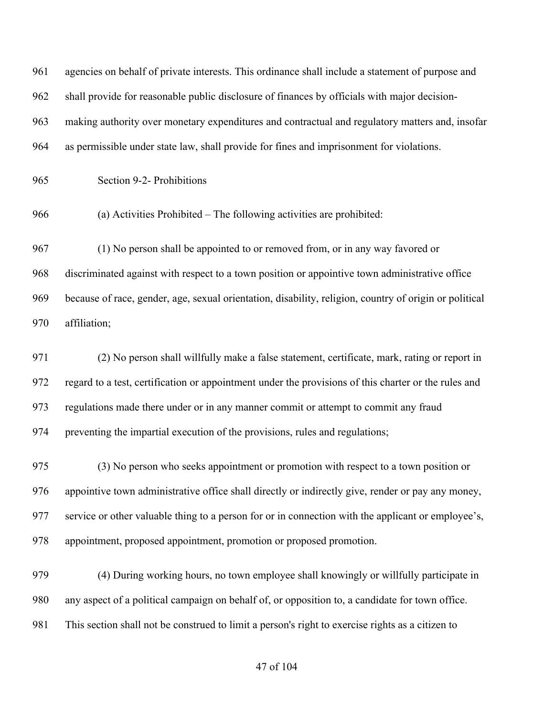| 961 | agencies on behalf of private interests. This ordinance shall include a statement of purpose and       |
|-----|--------------------------------------------------------------------------------------------------------|
| 962 | shall provide for reasonable public disclosure of finances by officials with major decision-           |
| 963 | making authority over monetary expenditures and contractual and regulatory matters and, insofar        |
| 964 | as permissible under state law, shall provide for fines and imprisonment for violations.               |
| 965 | Section 9-2- Prohibitions                                                                              |
| 966 | (a) Activities Prohibited - The following activities are prohibited:                                   |
| 967 | (1) No person shall be appointed to or removed from, or in any way favored or                          |
| 968 | discriminated against with respect to a town position or appointive town administrative office         |
| 969 | because of race, gender, age, sexual orientation, disability, religion, country of origin or political |
| 970 | affiliation;                                                                                           |
| 971 | (2) No person shall willfully make a false statement, certificate, mark, rating or report in           |
| 972 | regard to a test, certification or appointment under the provisions of this charter or the rules and   |
| 973 | regulations made there under or in any manner commit or attempt to commit any fraud                    |
| 974 | preventing the impartial execution of the provisions, rules and regulations;                           |
| 975 | (3) No person who seeks appointment or promotion with respect to a town position or                    |
| 976 | appointive town administrative office shall directly or indirectly give, render or pay any money,      |
| 977 | service or other valuable thing to a person for or in connection with the applicant or employee's,     |
| 978 | appointment, proposed appointment, promotion or proposed promotion.                                    |

 (4) During working hours, no town employee shall knowingly or willfully participate in any aspect of a political campaign on behalf of, or opposition to, a candidate for town office. This section shall not be construed to limit a person's right to exercise rights as a citizen to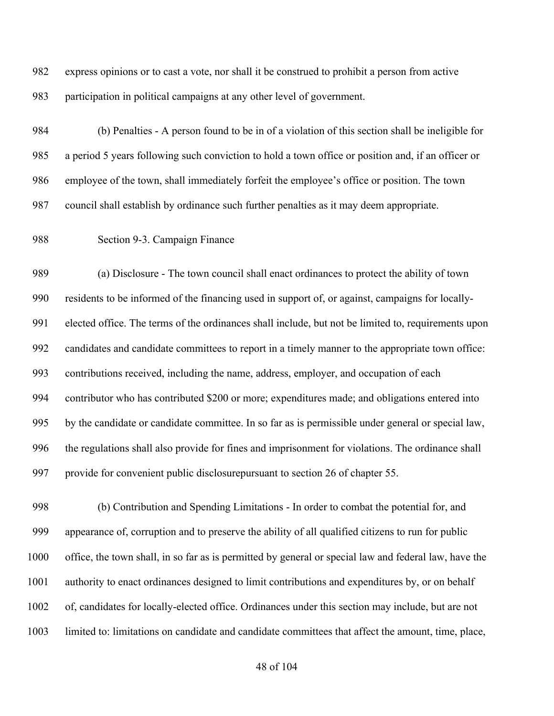express opinions or to cast a vote, nor shall it be construed to prohibit a person from active participation in political campaigns at any other level of government.

 (b) Penalties - A person found to be in of a violation of this section shall be ineligible for a period 5 years following such conviction to hold a town office or position and, if an officer or employee of the town, shall immediately forfeit the employee's office or position. The town council shall establish by ordinance such further penalties as it may deem appropriate.

Section 9-3. Campaign Finance

 (a) Disclosure - The town council shall enact ordinances to protect the ability of town residents to be informed of the financing used in support of, or against, campaigns for locally- elected office. The terms of the ordinances shall include, but not be limited to, requirements upon candidates and candidate committees to report in a timely manner to the appropriate town office: contributions received, including the name, address, employer, and occupation of each contributor who has contributed \$200 or more; expenditures made; and obligations entered into by the candidate or candidate committee. In so far as is permissible under general or special law, the regulations shall also provide for fines and imprisonment for violations. The ordinance shall provide for convenient public disclosurepursuant to section 26 of chapter 55.

 (b) Contribution and Spending Limitations - In order to combat the potential for, and appearance of, corruption and to preserve the ability of all qualified citizens to run for public office, the town shall, in so far as is permitted by general or special law and federal law, have the authority to enact ordinances designed to limit contributions and expenditures by, or on behalf of, candidates for locally-elected office. Ordinances under this section may include, but are not limited to: limitations on candidate and candidate committees that affect the amount, time, place,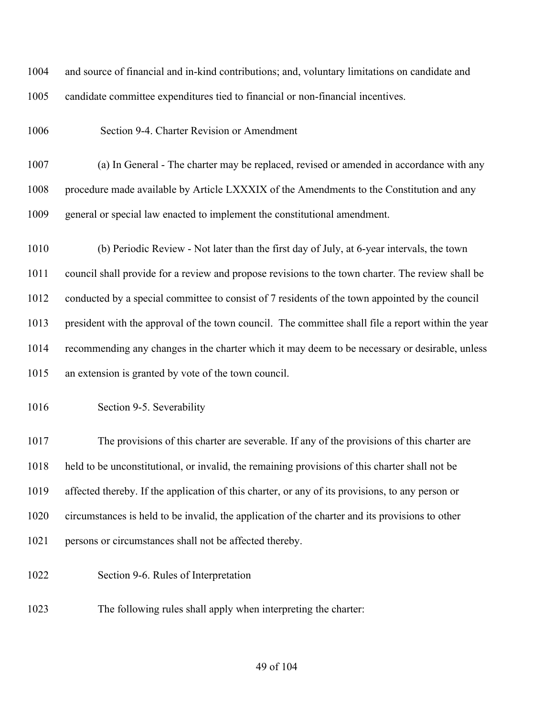and source of financial and in-kind contributions; and, voluntary limitations on candidate and candidate committee expenditures tied to financial or non-financial incentives.

Section 9-4. Charter Revision or Amendment

 (a) In General - The charter may be replaced, revised or amended in accordance with any 1008 procedure made available by Article LXXXIX of the Amendments to the Constitution and any general or special law enacted to implement the constitutional amendment.

 (b) Periodic Review - Not later than the first day of July, at 6-year intervals, the town council shall provide for a review and propose revisions to the town charter. The review shall be conducted by a special committee to consist of 7 residents of the town appointed by the council president with the approval of the town council. The committee shall file a report within the year recommending any changes in the charter which it may deem to be necessary or desirable, unless an extension is granted by vote of the town council.

#### Section 9-5. Severability

 The provisions of this charter are severable. If any of the provisions of this charter are held to be unconstitutional, or invalid, the remaining provisions of this charter shall not be affected thereby. If the application of this charter, or any of its provisions, to any person or circumstances is held to be invalid, the application of the charter and its provisions to other persons or circumstances shall not be affected thereby.

- Section 9-6. Rules of Interpretation
- The following rules shall apply when interpreting the charter: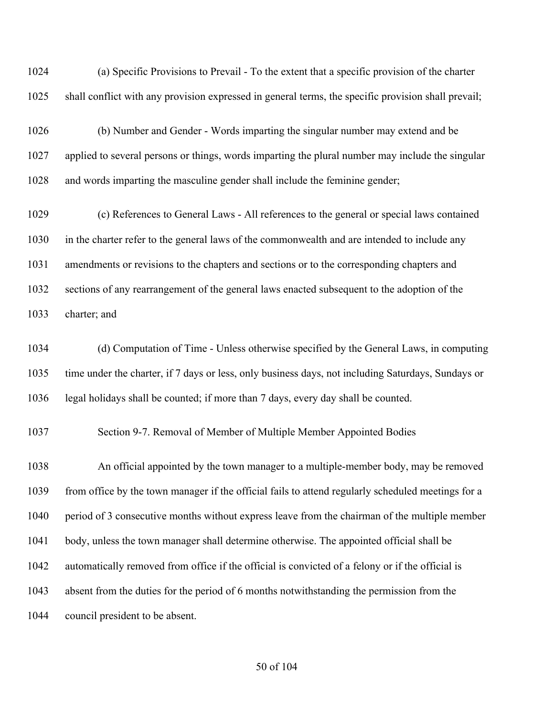(a) Specific Provisions to Prevail - To the extent that a specific provision of the charter shall conflict with any provision expressed in general terms, the specific provision shall prevail;

 (b) Number and Gender - Words imparting the singular number may extend and be applied to several persons or things, words imparting the plural number may include the singular and words imparting the masculine gender shall include the feminine gender;

 (c) References to General Laws - All references to the general or special laws contained in the charter refer to the general laws of the commonwealth and are intended to include any amendments or revisions to the chapters and sections or to the corresponding chapters and sections of any rearrangement of the general laws enacted subsequent to the adoption of the charter; and

 (d) Computation of Time - Unless otherwise specified by the General Laws, in computing time under the charter, if 7 days or less, only business days, not including Saturdays, Sundays or legal holidays shall be counted; if more than 7 days, every day shall be counted.

Section 9-7. Removal of Member of Multiple Member Appointed Bodies

 An official appointed by the town manager to a multiple-member body, may be removed from office by the town manager if the official fails to attend regularly scheduled meetings for a period of 3 consecutive months without express leave from the chairman of the multiple member 1041 body, unless the town manager shall determine otherwise. The appointed official shall be automatically removed from office if the official is convicted of a felony or if the official is absent from the duties for the period of 6 months notwithstanding the permission from the council president to be absent.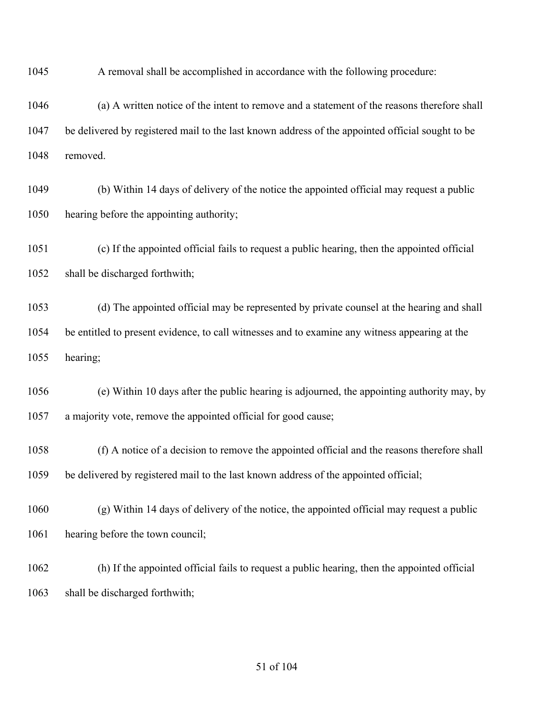A removal shall be accomplished in accordance with the following procedure:

 (a) A written notice of the intent to remove and a statement of the reasons therefore shall be delivered by registered mail to the last known address of the appointed official sought to be removed.

 (b) Within 14 days of delivery of the notice the appointed official may request a public hearing before the appointing authority;

 (c) If the appointed official fails to request a public hearing, then the appointed official shall be discharged forthwith;

 (d) The appointed official may be represented by private counsel at the hearing and shall be entitled to present evidence, to call witnesses and to examine any witness appearing at the hearing;

 (e) Within 10 days after the public hearing is adjourned, the appointing authority may, by a majority vote, remove the appointed official for good cause;

 (f) A notice of a decision to remove the appointed official and the reasons therefore shall be delivered by registered mail to the last known address of the appointed official;

 (g) Within 14 days of delivery of the notice, the appointed official may request a public 1061 hearing before the town council;

 (h) If the appointed official fails to request a public hearing, then the appointed official shall be discharged forthwith;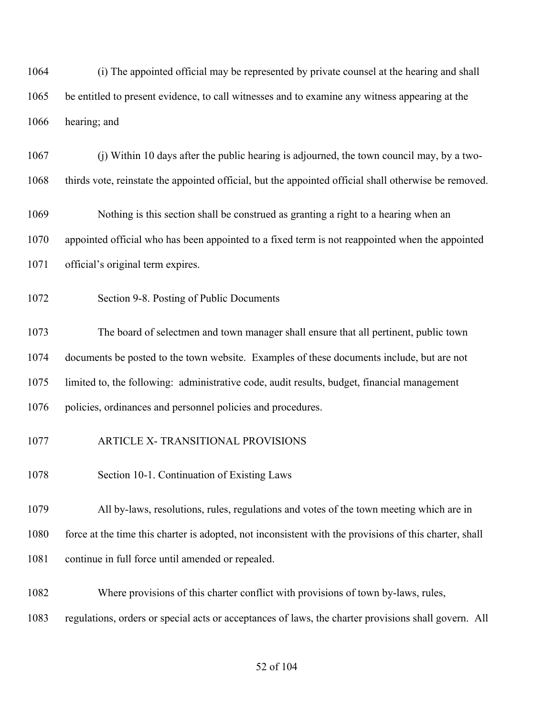(i) The appointed official may be represented by private counsel at the hearing and shall be entitled to present evidence, to call witnesses and to examine any witness appearing at the hearing; and

 (j) Within 10 days after the public hearing is adjourned, the town council may, by a two-thirds vote, reinstate the appointed official, but the appointed official shall otherwise be removed.

 Nothing is this section shall be construed as granting a right to a hearing when an appointed official who has been appointed to a fixed term is not reappointed when the appointed official's original term expires.

Section 9-8. Posting of Public Documents

 The board of selectmen and town manager shall ensure that all pertinent, public town documents be posted to the town website. Examples of these documents include, but are not limited to, the following: administrative code, audit results, budget, financial management policies, ordinances and personnel policies and procedures.

- ARTICLE X- TRANSITIONAL PROVISIONS
- Section 10-1. Continuation of Existing Laws

 All by-laws, resolutions, rules, regulations and votes of the town meeting which are in 1080 force at the time this charter is adopted, not inconsistent with the provisions of this charter, shall continue in full force until amended or repealed.

Where provisions of this charter conflict with provisions of town by-laws, rules,

regulations, orders or special acts or acceptances of laws, the charter provisions shall govern. All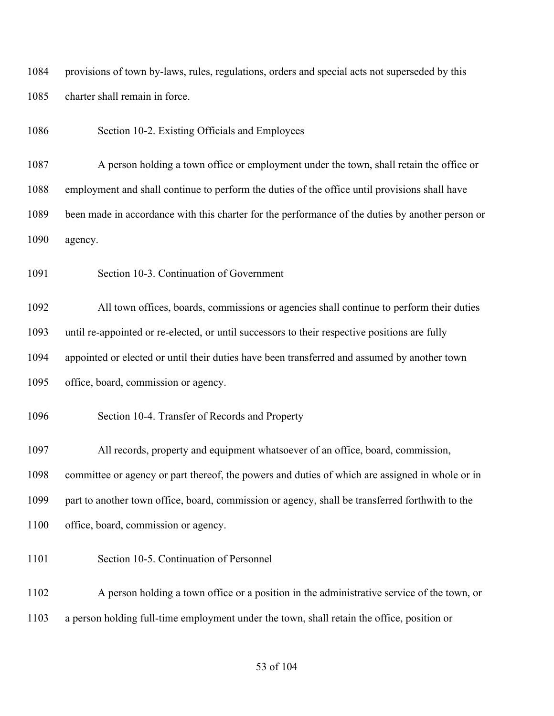provisions of town by-laws, rules, regulations, orders and special acts not superseded by this charter shall remain in force.

Section 10-2. Existing Officials and Employees

 A person holding a town office or employment under the town, shall retain the office or employment and shall continue to perform the duties of the office until provisions shall have been made in accordance with this charter for the performance of the duties by another person or agency.

Section 10-3. Continuation of Government

 All town offices, boards, commissions or agencies shall continue to perform their duties until re-appointed or re-elected, or until successors to their respective positions are fully appointed or elected or until their duties have been transferred and assumed by another town office, board, commission or agency.

Section 10-4. Transfer of Records and Property

All records, property and equipment whatsoever of an office, board, commission,

committee or agency or part thereof, the powers and duties of which are assigned in whole or in

part to another town office, board, commission or agency, shall be transferred forthwith to the

- office, board, commission or agency.
- Section 10-5. Continuation of Personnel
- A person holding a town office or a position in the administrative service of the town, or a person holding full-time employment under the town, shall retain the office, position or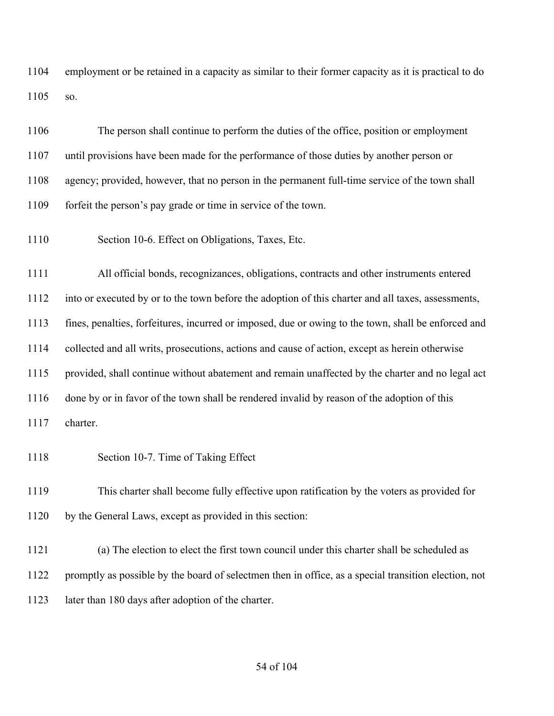employment or be retained in a capacity as similar to their former capacity as it is practical to do so.

 The person shall continue to perform the duties of the office, position or employment until provisions have been made for the performance of those duties by another person or agency; provided, however, that no person in the permanent full-time service of the town shall forfeit the person's pay grade or time in service of the town.

Section 10-6. Effect on Obligations, Taxes, Etc.

 All official bonds, recognizances, obligations, contracts and other instruments entered into or executed by or to the town before the adoption of this charter and all taxes, assessments, fines, penalties, forfeitures, incurred or imposed, due or owing to the town, shall be enforced and collected and all writs, prosecutions, actions and cause of action, except as herein otherwise provided, shall continue without abatement and remain unaffected by the charter and no legal act done by or in favor of the town shall be rendered invalid by reason of the adoption of this charter.

Section 10-7. Time of Taking Effect

 This charter shall become fully effective upon ratification by the voters as provided for by the General Laws, except as provided in this section:

 (a) The election to elect the first town council under this charter shall be scheduled as promptly as possible by the board of selectmen then in office, as a special transition election, not later than 180 days after adoption of the charter.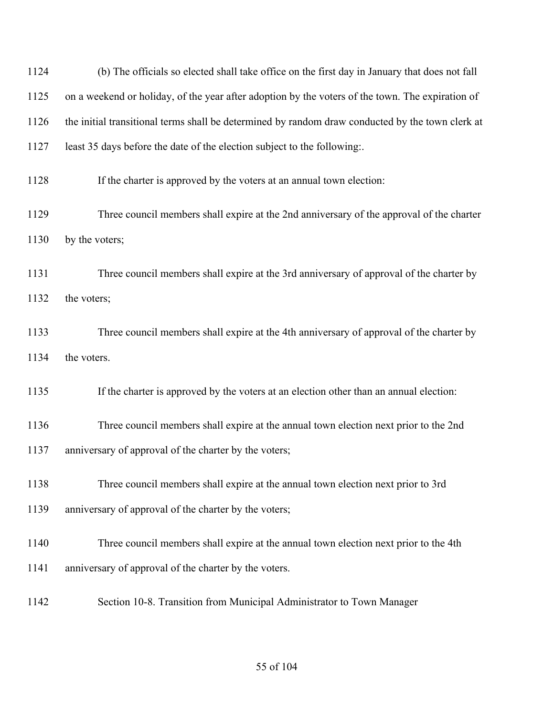| 1124 | (b) The officials so elected shall take office on the first day in January that does not fall    |
|------|--------------------------------------------------------------------------------------------------|
| 1125 | on a weekend or holiday, of the year after adoption by the voters of the town. The expiration of |
| 1126 | the initial transitional terms shall be determined by random draw conducted by the town clerk at |
| 1127 | least 35 days before the date of the election subject to the following.                          |
| 1128 | If the charter is approved by the voters at an annual town election:                             |
| 1129 | Three council members shall expire at the 2nd anniversary of the approval of the charter         |
| 1130 | by the voters;                                                                                   |
| 1131 | Three council members shall expire at the 3rd anniversary of approval of the charter by          |
| 1132 | the voters;                                                                                      |
| 1133 | Three council members shall expire at the 4th anniversary of approval of the charter by          |
| 1134 | the voters.                                                                                      |
| 1135 | If the charter is approved by the voters at an election other than an annual election:           |
| 1136 | Three council members shall expire at the annual town election next prior to the 2nd             |
| 1137 | anniversary of approval of the charter by the voters;                                            |
| 1138 | Three council members shall expire at the annual town election next prior to 3rd                 |
| 1139 | anniversary of approval of the charter by the voters;                                            |
| 1140 | Three council members shall expire at the annual town election next prior to the 4th             |
| 1141 | anniversary of approval of the charter by the voters.                                            |
| 1142 | Section 10-8. Transition from Municipal Administrator to Town Manager                            |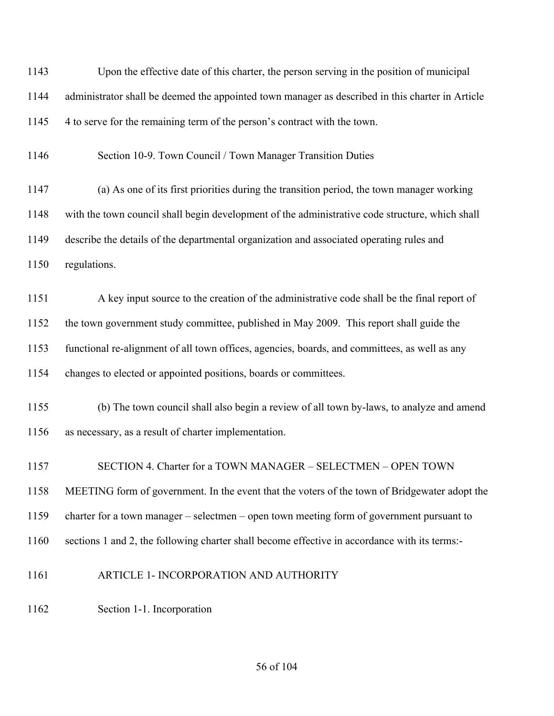| 1143 | Upon the effective date of this charter, the person serving in the position of municipal         |
|------|--------------------------------------------------------------------------------------------------|
| 1144 | administrator shall be deemed the appointed town manager as described in this charter in Article |
| 1145 | 4 to serve for the remaining term of the person's contract with the town.                        |
| 1146 | Section 10-9. Town Council / Town Manager Transition Duties                                      |
| 1147 | (a) As one of its first priorities during the transition period, the town manager working        |
| 1148 | with the town council shall begin development of the administrative code structure, which shall  |
| 1149 | describe the details of the departmental organization and associated operating rules and         |
| 1150 | regulations.                                                                                     |
| 1151 | A key input source to the creation of the administrative code shall be the final report of       |
| 1152 | the town government study committee, published in May 2009. This report shall guide the          |
| 1153 | functional re-alignment of all town offices, agencies, boards, and committees, as well as any    |
| 1154 | changes to elected or appointed positions, boards or committees.                                 |
| 1155 | (b) The town council shall also begin a review of all town by-laws, to analyze and amend         |
| 1156 | as necessary, as a result of charter implementation.                                             |
| 1157 | SECTION 4. Charter for a TOWN MANAGER - SELECTMEN - OPEN TOWN                                    |
| 1158 | MEETING form of government. In the event that the voters of the town of Bridgewater adopt the    |
| 1159 | charter for a town manager – selectmen – open town meeting form of government pursuant to        |
| 1160 | sections 1 and 2, the following charter shall become effective in accordance with its terms:-    |
| 1161 | ARTICLE 1- INCORPORATION AND AUTHORITY                                                           |
| 1162 | Section 1-1. Incorporation                                                                       |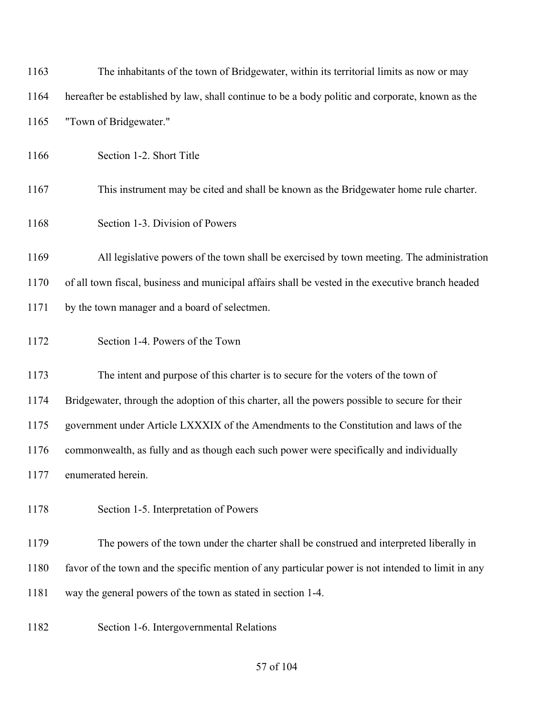| 1163 | The inhabitants of the town of Bridgewater, within its territorial limits as now or may            |
|------|----------------------------------------------------------------------------------------------------|
| 1164 | hereafter be established by law, shall continue to be a body politic and corporate, known as the   |
| 1165 | "Town of Bridgewater."                                                                             |
| 1166 | Section 1-2. Short Title                                                                           |
| 1167 | This instrument may be cited and shall be known as the Bridgewater home rule charter.              |
| 1168 | Section 1-3. Division of Powers                                                                    |
| 1169 | All legislative powers of the town shall be exercised by town meeting. The administration          |
| 1170 | of all town fiscal, business and municipal affairs shall be vested in the executive branch headed  |
| 1171 | by the town manager and a board of selectmen.                                                      |
| 1172 | Section 1-4. Powers of the Town                                                                    |
| 1173 | The intent and purpose of this charter is to secure for the voters of the town of                  |
| 1174 | Bridgewater, through the adoption of this charter, all the powers possible to secure for their     |
| 1175 | government under Article LXXXIX of the Amendments to the Constitution and laws of the              |
| 1176 | commonwealth, as fully and as though each such power were specifically and individually            |
| 1177 | enumerated herein.                                                                                 |
| 1178 | Section 1-5. Interpretation of Powers                                                              |
| 1179 | The powers of the town under the charter shall be construed and interpreted liberally in           |
| 1180 | favor of the town and the specific mention of any particular power is not intended to limit in any |
| 1181 | way the general powers of the town as stated in section 1-4.                                       |
| 1182 | Section 1-6. Intergovernmental Relations                                                           |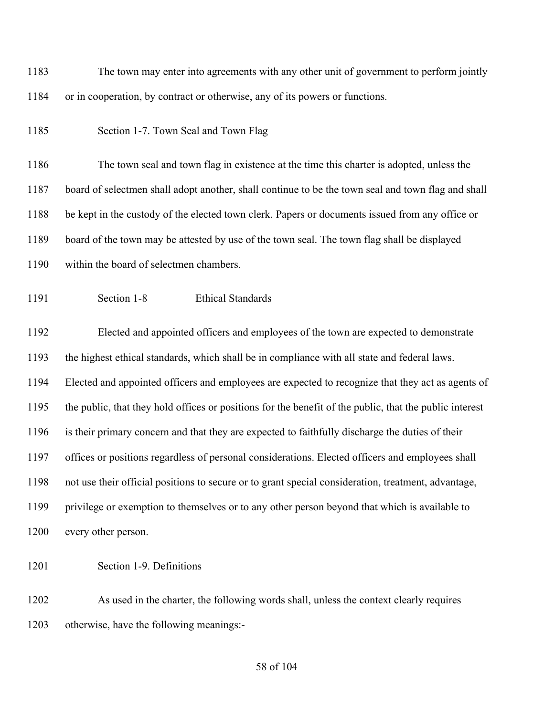The town may enter into agreements with any other unit of government to perform jointly or in cooperation, by contract or otherwise, any of its powers or functions.

Section 1-7. Town Seal and Town Flag

 The town seal and town flag in existence at the time this charter is adopted, unless the board of selectmen shall adopt another, shall continue to be the town seal and town flag and shall be kept in the custody of the elected town clerk. Papers or documents issued from any office or board of the town may be attested by use of the town seal. The town flag shall be displayed within the board of selectmen chambers.

Section 1-8 Ethical Standards

 Elected and appointed officers and employees of the town are expected to demonstrate the highest ethical standards, which shall be in compliance with all state and federal laws. Elected and appointed officers and employees are expected to recognize that they act as agents of the public, that they hold offices or positions for the benefit of the public, that the public interest is their primary concern and that they are expected to faithfully discharge the duties of their offices or positions regardless of personal considerations. Elected officers and employees shall not use their official positions to secure or to grant special consideration, treatment, advantage, privilege or exemption to themselves or to any other person beyond that which is available to 1200 every other person.

Section 1-9. Definitions

 As used in the charter, the following words shall, unless the context clearly requires otherwise, have the following meanings:-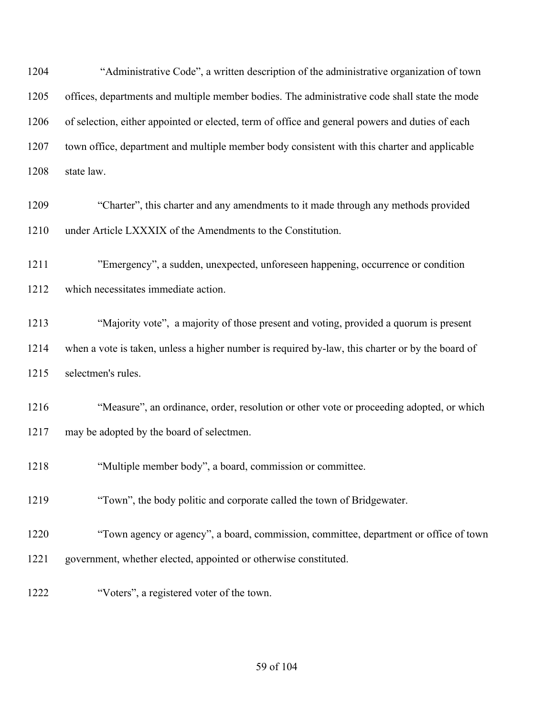"Administrative Code", a written description of the administrative organization of town offices, departments and multiple member bodies. The administrative code shall state the mode of selection, either appointed or elected, term of office and general powers and duties of each town office, department and multiple member body consistent with this charter and applicable state law.

- "Charter", this charter and any amendments to it made through any methods provided under Article LXXXIX of the Amendments to the Constitution.
- "Emergency", a sudden, unexpected, unforeseen happening, occurrence or condition which necessitates immediate action.
- "Majority vote", a majority of those present and voting, provided a quorum is present when a vote is taken, unless a higher number is required by-law, this charter or by the board of selectmen's rules.
- "Measure", an ordinance, order, resolution or other vote or proceeding adopted, or which may be adopted by the board of selectmen.
- "Multiple member body", a board, commission or committee.
- "Town", the body politic and corporate called the town of Bridgewater.
- "Town agency or agency", a board, commission, committee, department or office of town government, whether elected, appointed or otherwise constituted.
- "Voters", a registered voter of the town.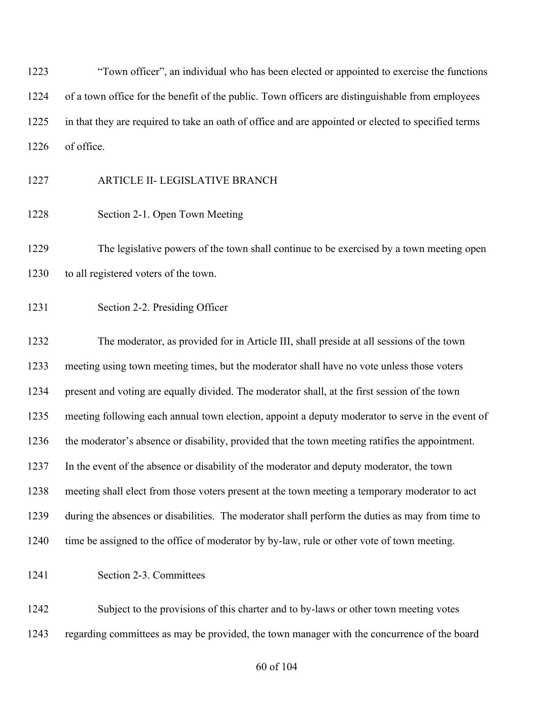"Town officer", an individual who has been elected or appointed to exercise the functions of a town office for the benefit of the public. Town officers are distinguishable from employees in that they are required to take an oath of office and are appointed or elected to specified terms of office.

- ARTICLE II- LEGISLATIVE BRANCH
- Section 2-1. Open Town Meeting

 The legislative powers of the town shall continue to be exercised by a town meeting open 1230 to all registered voters of the town.

Section 2-2. Presiding Officer

 The moderator, as provided for in Article III, shall preside at all sessions of the town meeting using town meeting times, but the moderator shall have no vote unless those voters present and voting are equally divided. The moderator shall, at the first session of the town meeting following each annual town election, appoint a deputy moderator to serve in the event of the moderator's absence or disability, provided that the town meeting ratifies the appointment. In the event of the absence or disability of the moderator and deputy moderator, the town meeting shall elect from those voters present at the town meeting a temporary moderator to act during the absences or disabilities. The moderator shall perform the duties as may from time to 1240 time be assigned to the office of moderator by by-law, rule or other vote of town meeting.

Section 2-3. Committees

 Subject to the provisions of this charter and to by-laws or other town meeting votes regarding committees as may be provided, the town manager with the concurrence of the board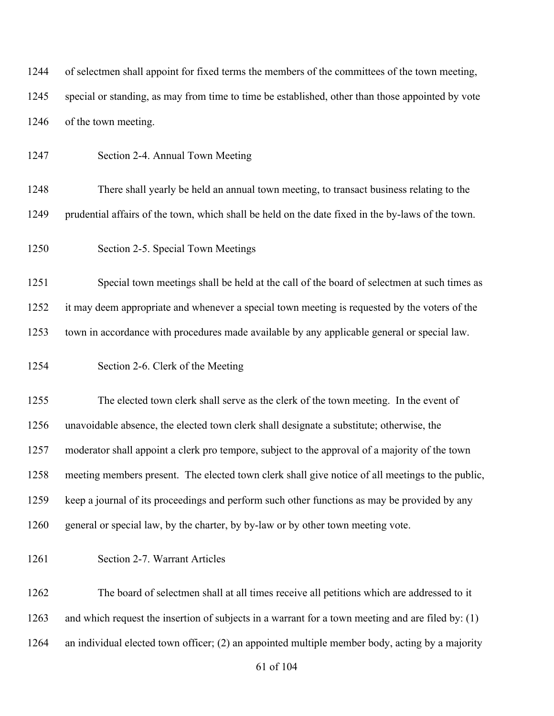| 1244 | of selectmen shall appoint for fixed terms the members of the committees of the town meeting,       |
|------|-----------------------------------------------------------------------------------------------------|
| 1245 | special or standing, as may from time to time be established, other than those appointed by vote    |
| 1246 | of the town meeting.                                                                                |
| 1247 | Section 2-4. Annual Town Meeting                                                                    |
| 1248 | There shall yearly be held an annual town meeting, to transact business relating to the             |
| 1249 | prudential affairs of the town, which shall be held on the date fixed in the by-laws of the town.   |
| 1250 | Section 2-5. Special Town Meetings                                                                  |
| 1251 | Special town meetings shall be held at the call of the board of selectmen at such times as          |
| 1252 | it may deem appropriate and whenever a special town meeting is requested by the voters of the       |
| 1253 | town in accordance with procedures made available by any applicable general or special law.         |
| 1254 | Section 2-6. Clerk of the Meeting                                                                   |
| 1255 | The elected town clerk shall serve as the clerk of the town meeting. In the event of                |
| 1256 | unavoidable absence, the elected town clerk shall designate a substitute; otherwise, the            |
| 1257 | moderator shall appoint a clerk pro tempore, subject to the approval of a majority of the town      |
| 1258 | meeting members present. The elected town clerk shall give notice of all meetings to the public,    |
| 1259 | keep a journal of its proceedings and perform such other functions as may be provided by any        |
| 1260 | general or special law, by the charter, by by-law or by other town meeting vote.                    |
| 1261 | Section 2-7. Warrant Articles                                                                       |
| 1262 | The board of selectmen shall at all times receive all petitions which are addressed to it           |
| 1263 | and which request the insertion of subjects in a warrant for a town meeting and are filed by: $(1)$ |
| 1264 | an individual elected town officer; (2) an appointed multiple member body, acting by a majority     |
|      | 61 of 104                                                                                           |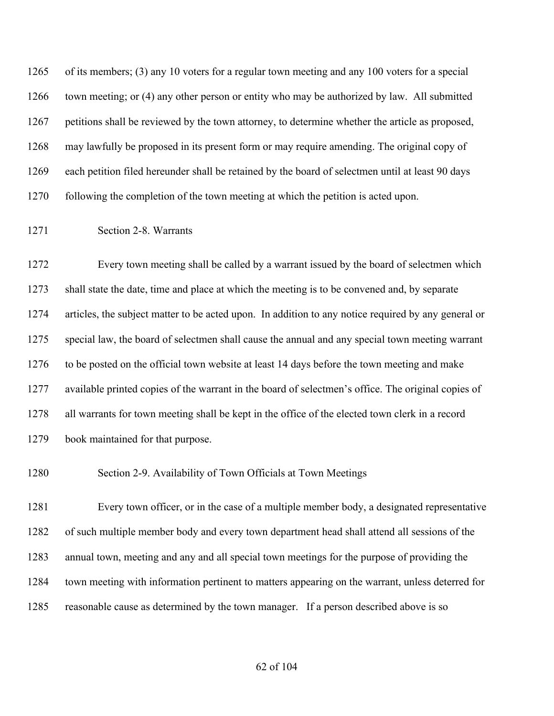of its members; (3) any 10 voters for a regular town meeting and any 100 voters for a special town meeting; or (4) any other person or entity who may be authorized by law. All submitted petitions shall be reviewed by the town attorney, to determine whether the article as proposed, may lawfully be proposed in its present form or may require amending. The original copy of each petition filed hereunder shall be retained by the board of selectmen until at least 90 days following the completion of the town meeting at which the petition is acted upon.

### Section 2-8. Warrants

 Every town meeting shall be called by a warrant issued by the board of selectmen which shall state the date, time and place at which the meeting is to be convened and, by separate articles, the subject matter to be acted upon. In addition to any notice required by any general or special law, the board of selectmen shall cause the annual and any special town meeting warrant to be posted on the official town website at least 14 days before the town meeting and make available printed copies of the warrant in the board of selectmen's office. The original copies of all warrants for town meeting shall be kept in the office of the elected town clerk in a record book maintained for that purpose.

Section 2-9. Availability of Town Officials at Town Meetings

 Every town officer, or in the case of a multiple member body, a designated representative of such multiple member body and every town department head shall attend all sessions of the annual town, meeting and any and all special town meetings for the purpose of providing the town meeting with information pertinent to matters appearing on the warrant, unless deterred for reasonable cause as determined by the town manager. If a person described above is so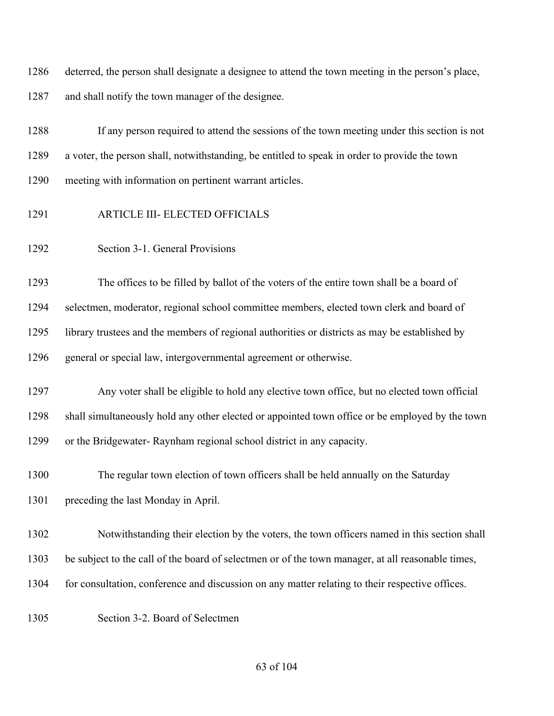deterred, the person shall designate a designee to attend the town meeting in the person's place, and shall notify the town manager of the designee.

 If any person required to attend the sessions of the town meeting under this section is not a voter, the person shall, notwithstanding, be entitled to speak in order to provide the town meeting with information on pertinent warrant articles.

- ARTICLE III- ELECTED OFFICIALS
- Section 3-1. General Provisions

 The offices to be filled by ballot of the voters of the entire town shall be a board of selectmen, moderator, regional school committee members, elected town clerk and board of library trustees and the members of regional authorities or districts as may be established by general or special law, intergovernmental agreement or otherwise.

 Any voter shall be eligible to hold any elective town office, but no elected town official shall simultaneously hold any other elected or appointed town office or be employed by the town or the Bridgewater- Raynham regional school district in any capacity.

 The regular town election of town officers shall be held annually on the Saturday preceding the last Monday in April.

- Notwithstanding their election by the voters, the town officers named in this section shall
- be subject to the call of the board of selectmen or of the town manager, at all reasonable times,
- for consultation, conference and discussion on any matter relating to their respective offices.
- 

Section 3-2. Board of Selectmen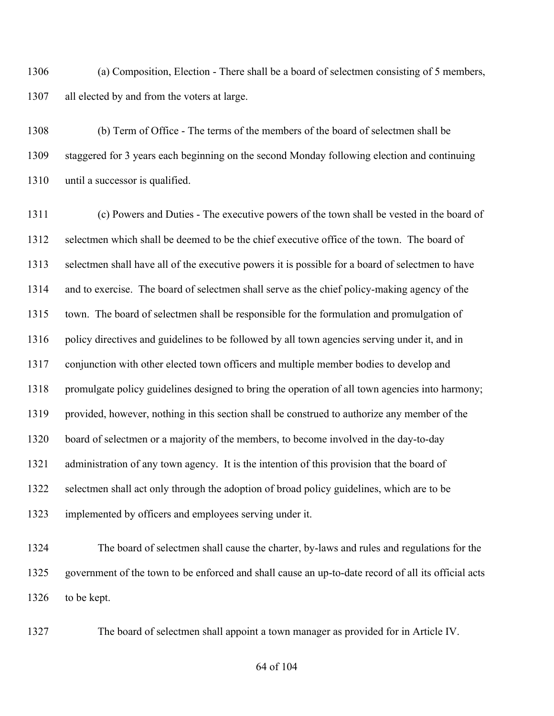(a) Composition, Election - There shall be a board of selectmen consisting of 5 members, all elected by and from the voters at large.

 (b) Term of Office - The terms of the members of the board of selectmen shall be staggered for 3 years each beginning on the second Monday following election and continuing until a successor is qualified.

 (c) Powers and Duties - The executive powers of the town shall be vested in the board of selectmen which shall be deemed to be the chief executive office of the town. The board of selectmen shall have all of the executive powers it is possible for a board of selectmen to have and to exercise. The board of selectmen shall serve as the chief policy-making agency of the town. The board of selectmen shall be responsible for the formulation and promulgation of 1316 policy directives and guidelines to be followed by all town agencies serving under it, and in conjunction with other elected town officers and multiple member bodies to develop and 1318 promulgate policy guidelines designed to bring the operation of all town agencies into harmony; provided, however, nothing in this section shall be construed to authorize any member of the board of selectmen or a majority of the members, to become involved in the day-to-day administration of any town agency. It is the intention of this provision that the board of selectmen shall act only through the adoption of broad policy guidelines, which are to be implemented by officers and employees serving under it.

 The board of selectmen shall cause the charter, by-laws and rules and regulations for the government of the town to be enforced and shall cause an up-to-date record of all its official acts 1326 to be kept.

The board of selectmen shall appoint a town manager as provided for in Article IV.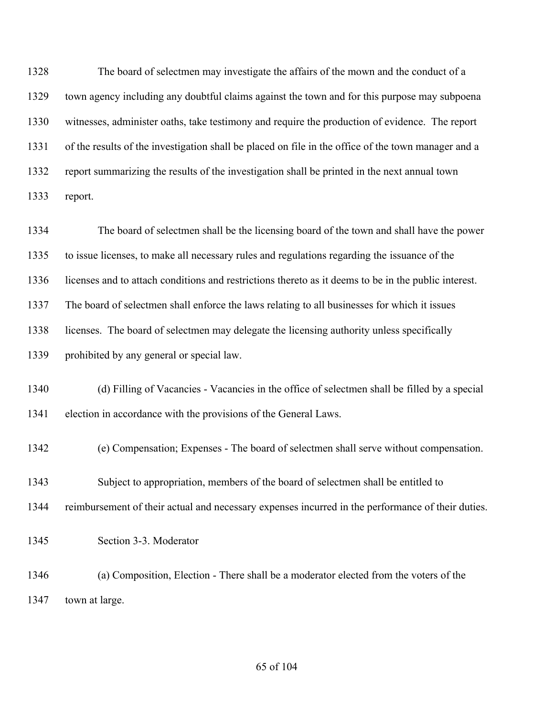The board of selectmen may investigate the affairs of the mown and the conduct of a town agency including any doubtful claims against the town and for this purpose may subpoena witnesses, administer oaths, take testimony and require the production of evidence. The report of the results of the investigation shall be placed on file in the office of the town manager and a report summarizing the results of the investigation shall be printed in the next annual town report.

 The board of selectmen shall be the licensing board of the town and shall have the power to issue licenses, to make all necessary rules and regulations regarding the issuance of the licenses and to attach conditions and restrictions thereto as it deems to be in the public interest. The board of selectmen shall enforce the laws relating to all businesses for which it issues 1338 licenses. The board of selectmen may delegate the licensing authority unless specifically prohibited by any general or special law.

 (d) Filling of Vacancies - Vacancies in the office of selectmen shall be filled by a special election in accordance with the provisions of the General Laws.

- (e) Compensation; Expenses The board of selectmen shall serve without compensation.
- Subject to appropriation, members of the board of selectmen shall be entitled to
- reimbursement of their actual and necessary expenses incurred in the performance of their duties.
- Section 3-3. Moderator
- (a) Composition, Election There shall be a moderator elected from the voters of the town at large.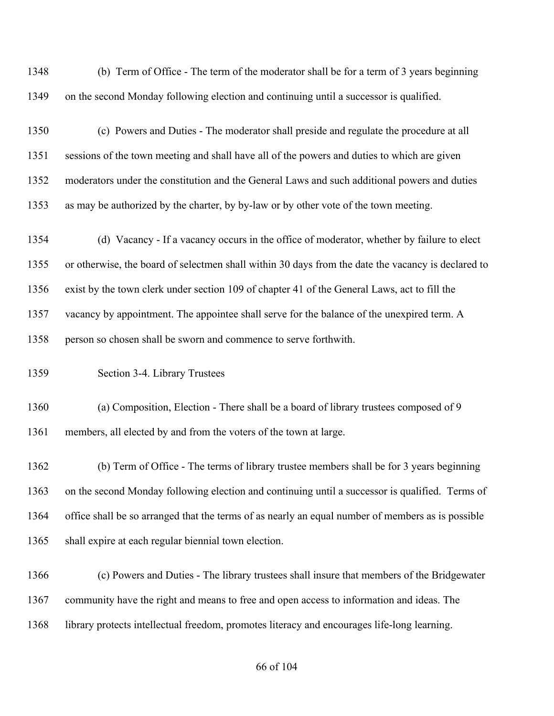| 1348 | (b) Term of Office - The term of the moderator shall be for a term of 3 years beginning            |
|------|----------------------------------------------------------------------------------------------------|
| 1349 | on the second Monday following election and continuing until a successor is qualified.             |
| 1350 | (c) Powers and Duties - The moderator shall preside and regulate the procedure at all              |
| 1351 | sessions of the town meeting and shall have all of the powers and duties to which are given        |
| 1352 | moderators under the constitution and the General Laws and such additional powers and duties       |
| 1353 | as may be authorized by the charter, by by-law or by other vote of the town meeting.               |
| 1354 | (d) Vacancy - If a vacancy occurs in the office of moderator, whether by failure to elect          |
| 1355 | or otherwise, the board of selectmen shall within 30 days from the date the vacancy is declared to |
| 1356 | exist by the town clerk under section 109 of chapter 41 of the General Laws, act to fill the       |
| 1357 | vacancy by appointment. The appointee shall serve for the balance of the unexpired term. A         |
| 1358 | person so chosen shall be sworn and commence to serve forthwith.                                   |
| 1359 | Section 3-4. Library Trustees                                                                      |
| 1360 | (a) Composition, Election - There shall be a board of library trustees composed of 9               |
| 1361 | members, all elected by and from the voters of the town at large.                                  |
| 1362 | (b) Term of Office - The terms of library trustee members shall be for 3 years beginning           |
| 1363 | on the second Monday following election and continuing until a successor is qualified. Terms of    |
| 1364 | office shall be so arranged that the terms of as nearly an equal number of members as is possible  |
| 1365 | shall expire at each regular biennial town election.                                               |
| 1366 | (c) Powers and Duties - The library trustees shall insure that members of the Bridgewater          |
| 1367 | community have the right and means to free and open access to information and ideas. The           |
| 1368 | library protects intellectual freedom, promotes literacy and encourages life-long learning.        |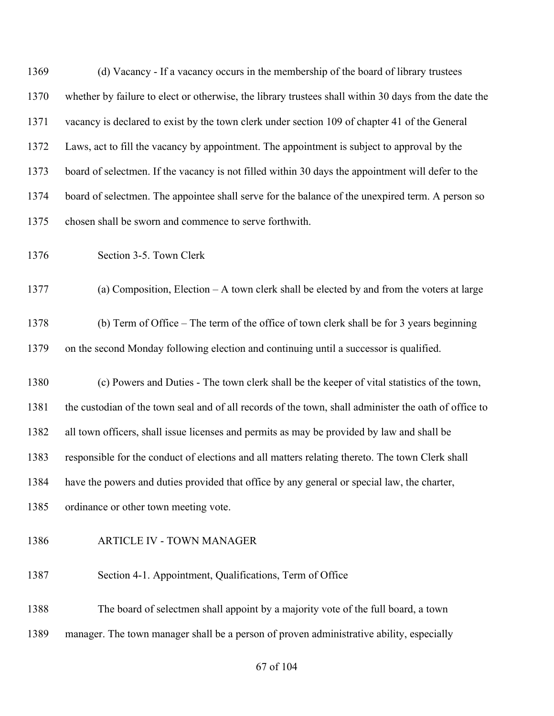(d) Vacancy - If a vacancy occurs in the membership of the board of library trustees whether by failure to elect or otherwise, the library trustees shall within 30 days from the date the vacancy is declared to exist by the town clerk under section 109 of chapter 41 of the General Laws, act to fill the vacancy by appointment. The appointment is subject to approval by the board of selectmen. If the vacancy is not filled within 30 days the appointment will defer to the board of selectmen. The appointee shall serve for the balance of the unexpired term. A person so chosen shall be sworn and commence to serve forthwith. Section 3-5. Town Clerk (a) Composition, Election – A town clerk shall be elected by and from the voters at large (b) Term of Office – The term of the office of town clerk shall be for 3 years beginning on the second Monday following election and continuing until a successor is qualified. (c) Powers and Duties - The town clerk shall be the keeper of vital statistics of the town, the custodian of the town seal and of all records of the town, shall administer the oath of office to all town officers, shall issue licenses and permits as may be provided by law and shall be responsible for the conduct of elections and all matters relating thereto. The town Clerk shall have the powers and duties provided that office by any general or special law, the charter, 1385 ordinance or other town meeting vote. ARTICLE IV - TOWN MANAGER Section 4-1. Appointment, Qualifications, Term of Office The board of selectmen shall appoint by a majority vote of the full board, a town manager. The town manager shall be a person of proven administrative ability, especially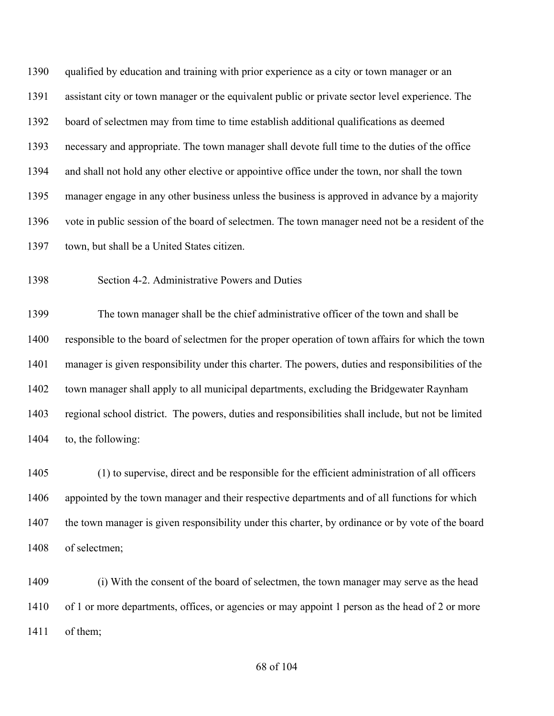qualified by education and training with prior experience as a city or town manager or an assistant city or town manager or the equivalent public or private sector level experience. The board of selectmen may from time to time establish additional qualifications as deemed necessary and appropriate. The town manager shall devote full time to the duties of the office and shall not hold any other elective or appointive office under the town, nor shall the town manager engage in any other business unless the business is approved in advance by a majority vote in public session of the board of selectmen. The town manager need not be a resident of the town, but shall be a United States citizen.

Section 4-2. Administrative Powers and Duties

 The town manager shall be the chief administrative officer of the town and shall be responsible to the board of selectmen for the proper operation of town affairs for which the town manager is given responsibility under this charter. The powers, duties and responsibilities of the town manager shall apply to all municipal departments, excluding the Bridgewater Raynham regional school district. The powers, duties and responsibilities shall include, but not be limited to, the following:

 (1) to supervise, direct and be responsible for the efficient administration of all officers appointed by the town manager and their respective departments and of all functions for which the town manager is given responsibility under this charter, by ordinance or by vote of the board of selectmen;

 (i) With the consent of the board of selectmen, the town manager may serve as the head 1410 of 1 or more departments, offices, or agencies or may appoint 1 person as the head of 2 or more of them;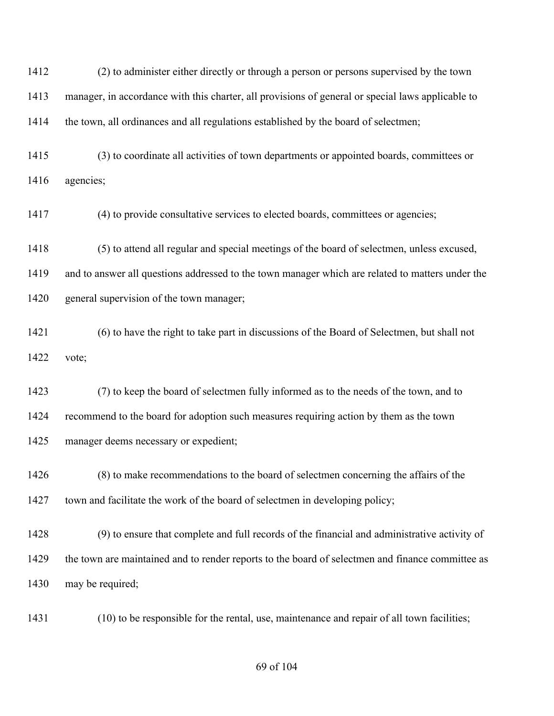(2) to administer either directly or through a person or persons supervised by the town manager, in accordance with this charter, all provisions of general or special laws applicable to the town, all ordinances and all regulations established by the board of selectmen;

 (3) to coordinate all activities of town departments or appointed boards, committees or agencies;

(4) to provide consultative services to elected boards, committees or agencies;

(5) to attend all regular and special meetings of the board of selectmen, unless excused,

 and to answer all questions addressed to the town manager which are related to matters under the general supervision of the town manager;

 (6) to have the right to take part in discussions of the Board of Selectmen, but shall not vote;

 (7) to keep the board of selectmen fully informed as to the needs of the town, and to recommend to the board for adoption such measures requiring action by them as the town manager deems necessary or expedient;

 (8) to make recommendations to the board of selectmen concerning the affairs of the 1427 town and facilitate the work of the board of selectmen in developing policy;

 (9) to ensure that complete and full records of the financial and administrative activity of 1429 the town are maintained and to render reports to the board of selectmen and finance committee as may be required;

(10) to be responsible for the rental, use, maintenance and repair of all town facilities;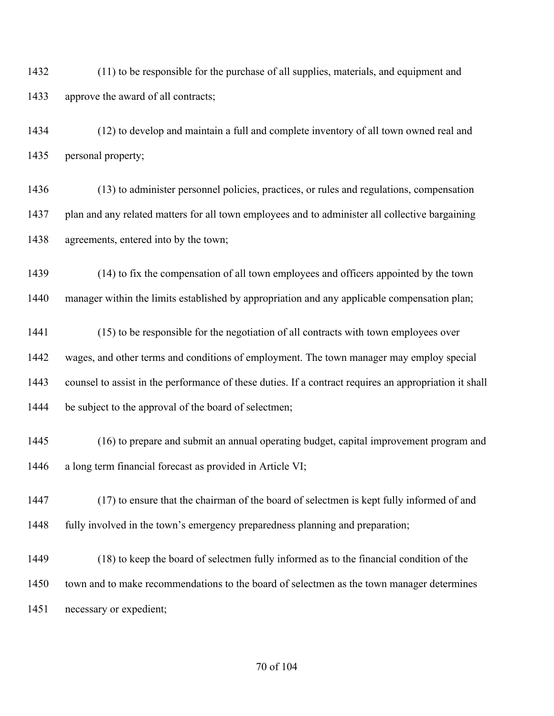(11) to be responsible for the purchase of all supplies, materials, and equipment and approve the award of all contracts;

 (12) to develop and maintain a full and complete inventory of all town owned real and personal property;

 (13) to administer personnel policies, practices, or rules and regulations, compensation plan and any related matters for all town employees and to administer all collective bargaining agreements, entered into by the town;

 (14) to fix the compensation of all town employees and officers appointed by the town manager within the limits established by appropriation and any applicable compensation plan;

 (15) to be responsible for the negotiation of all contracts with town employees over wages, and other terms and conditions of employment. The town manager may employ special counsel to assist in the performance of these duties. If a contract requires an appropriation it shall 1444 be subject to the approval of the board of selectmen;

 (16) to prepare and submit an annual operating budget, capital improvement program and a long term financial forecast as provided in Article VI;

 (17) to ensure that the chairman of the board of selectmen is kept fully informed of and fully involved in the town's emergency preparedness planning and preparation;

 (18) to keep the board of selectmen fully informed as to the financial condition of the 1450 town and to make recommendations to the board of selectmen as the town manager determines necessary or expedient;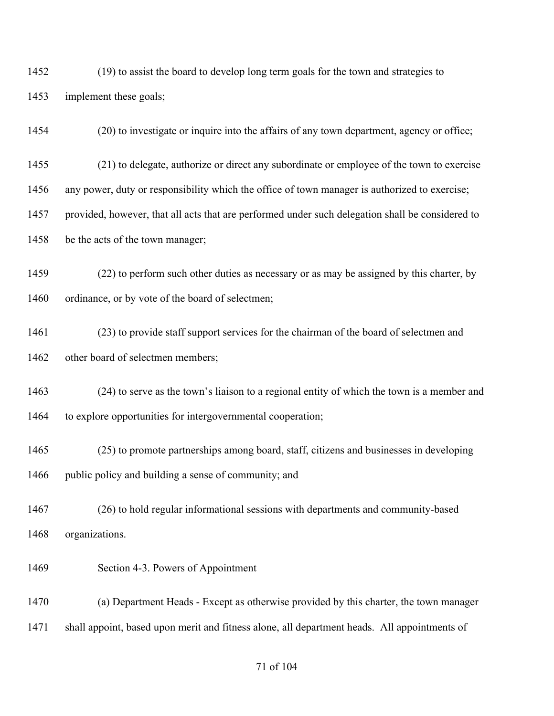(19) to assist the board to develop long term goals for the town and strategies to implement these goals;

(20) to investigate or inquire into the affairs of any town department, agency or office;

(21) to delegate, authorize or direct any subordinate or employee of the town to exercise

any power, duty or responsibility which the office of town manager is authorized to exercise;

provided, however, that all acts that are performed under such delegation shall be considered to

be the acts of the town manager;

 (22) to perform such other duties as necessary or as may be assigned by this charter, by 1460 ordinance, or by vote of the board of selectmen;

 (23) to provide staff support services for the chairman of the board of selectmen and 1462 other board of selectmen members;

 (24) to serve as the town's liaison to a regional entity of which the town is a member and to explore opportunities for intergovernmental cooperation;

 (25) to promote partnerships among board, staff, citizens and businesses in developing 1466 public policy and building a sense of community; and

 (26) to hold regular informational sessions with departments and community-based organizations.

Section 4-3. Powers of Appointment

 (a) Department Heads - Except as otherwise provided by this charter, the town manager shall appoint, based upon merit and fitness alone, all department heads. All appointments of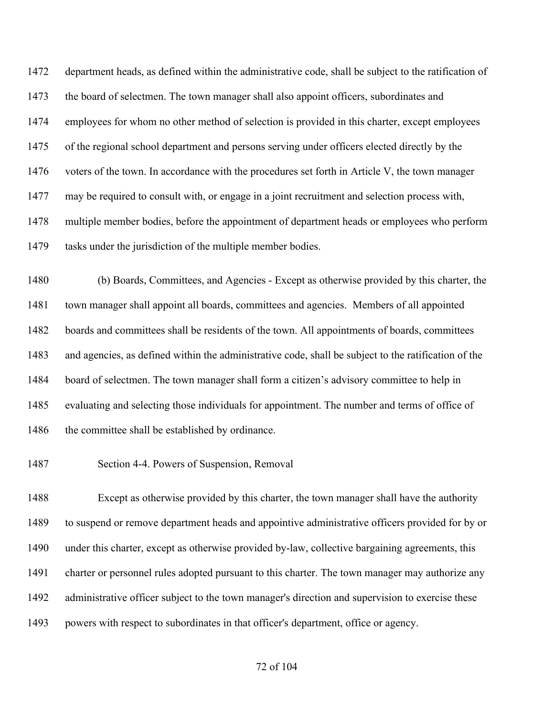department heads, as defined within the administrative code, shall be subject to the ratification of 1473 the board of selectmen. The town manager shall also appoint officers, subordinates and employees for whom no other method of selection is provided in this charter, except employees of the regional school department and persons serving under officers elected directly by the 1476 voters of the town. In accordance with the procedures set forth in Article V, the town manager may be required to consult with, or engage in a joint recruitment and selection process with, multiple member bodies, before the appointment of department heads or employees who perform 1479 tasks under the jurisdiction of the multiple member bodies.

 (b) Boards, Committees, and Agencies - Except as otherwise provided by this charter, the town manager shall appoint all boards, committees and agencies. Members of all appointed boards and committees shall be residents of the town. All appointments of boards, committees and agencies, as defined within the administrative code, shall be subject to the ratification of the board of selectmen. The town manager shall form a citizen's advisory committee to help in evaluating and selecting those individuals for appointment. The number and terms of office of 1486 the committee shall be established by ordinance.

Section 4-4. Powers of Suspension, Removal

 Except as otherwise provided by this charter, the town manager shall have the authority to suspend or remove department heads and appointive administrative officers provided for by or under this charter, except as otherwise provided by-law, collective bargaining agreements, this charter or personnel rules adopted pursuant to this charter. The town manager may authorize any administrative officer subject to the town manager's direction and supervision to exercise these powers with respect to subordinates in that officer's department, office or agency.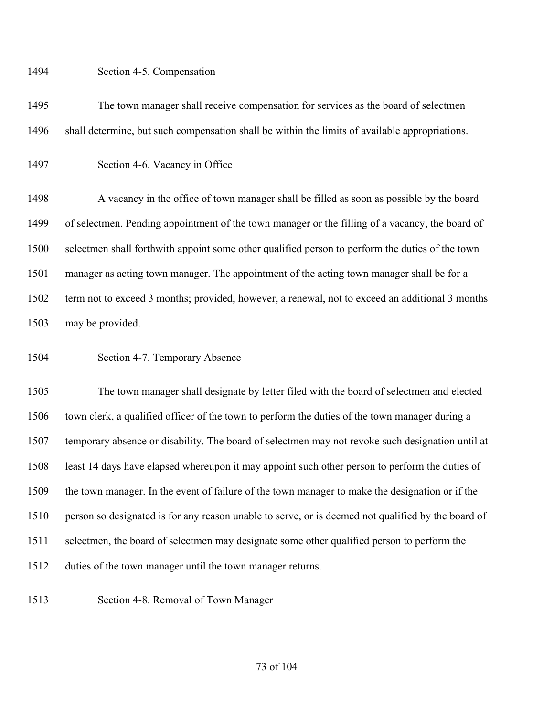#### Section 4-5. Compensation

 The town manager shall receive compensation for services as the board of selectmen shall determine, but such compensation shall be within the limits of available appropriations.

Section 4-6. Vacancy in Office

1498 A vacancy in the office of town manager shall be filled as soon as possible by the board of selectmen. Pending appointment of the town manager or the filling of a vacancy, the board of selectmen shall forthwith appoint some other qualified person to perform the duties of the town manager as acting town manager. The appointment of the acting town manager shall be for a term not to exceed 3 months; provided, however, a renewal, not to exceed an additional 3 months may be provided.

Section 4-7. Temporary Absence

 The town manager shall designate by letter filed with the board of selectmen and elected town clerk, a qualified officer of the town to perform the duties of the town manager during a temporary absence or disability. The board of selectmen may not revoke such designation until at least 14 days have elapsed whereupon it may appoint such other person to perform the duties of the town manager. In the event of failure of the town manager to make the designation or if the person so designated is for any reason unable to serve, or is deemed not qualified by the board of selectmen, the board of selectmen may designate some other qualified person to perform the duties of the town manager until the town manager returns.

Section 4-8. Removal of Town Manager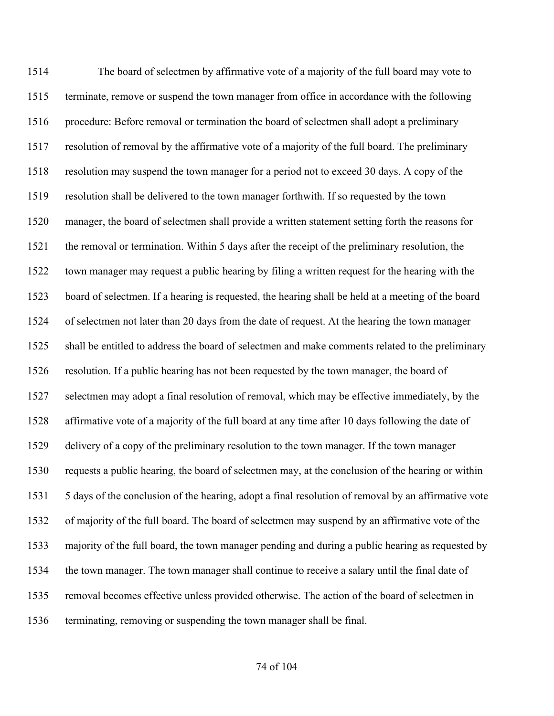The board of selectmen by affirmative vote of a majority of the full board may vote to terminate, remove or suspend the town manager from office in accordance with the following 1516 procedure: Before removal or termination the board of selectmen shall adopt a preliminary resolution of removal by the affirmative vote of a majority of the full board. The preliminary resolution may suspend the town manager for a period not to exceed 30 days. A copy of the resolution shall be delivered to the town manager forthwith. If so requested by the town manager, the board of selectmen shall provide a written statement setting forth the reasons for the removal or termination. Within 5 days after the receipt of the preliminary resolution, the town manager may request a public hearing by filing a written request for the hearing with the board of selectmen. If a hearing is requested, the hearing shall be held at a meeting of the board of selectmen not later than 20 days from the date of request. At the hearing the town manager shall be entitled to address the board of selectmen and make comments related to the preliminary resolution. If a public hearing has not been requested by the town manager, the board of selectmen may adopt a final resolution of removal, which may be effective immediately, by the affirmative vote of a majority of the full board at any time after 10 days following the date of delivery of a copy of the preliminary resolution to the town manager. If the town manager requests a public hearing, the board of selectmen may, at the conclusion of the hearing or within 5 days of the conclusion of the hearing, adopt a final resolution of removal by an affirmative vote of majority of the full board. The board of selectmen may suspend by an affirmative vote of the majority of the full board, the town manager pending and during a public hearing as requested by the town manager. The town manager shall continue to receive a salary until the final date of removal becomes effective unless provided otherwise. The action of the board of selectmen in terminating, removing or suspending the town manager shall be final.

#### of 104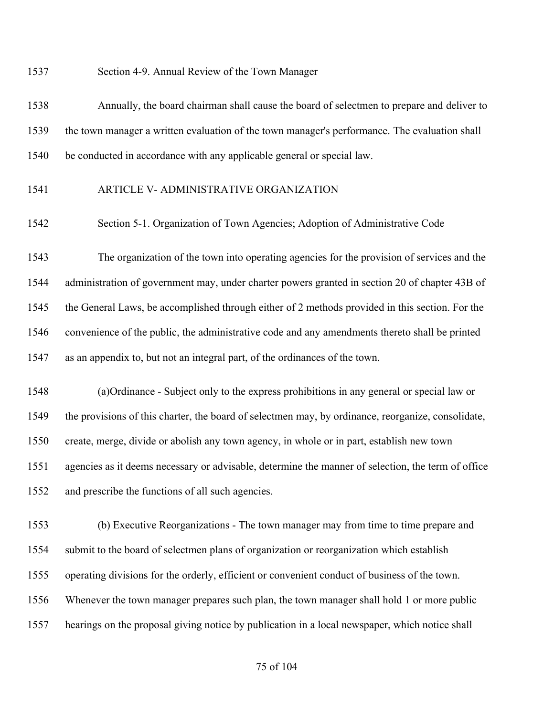Section 4-9. Annual Review of the Town Manager

 Annually, the board chairman shall cause the board of selectmen to prepare and deliver to the town manager a written evaluation of the town manager's performance. The evaluation shall be conducted in accordance with any applicable general or special law.

## ARTICLE V- ADMINISTRATIVE ORGANIZATION

Section 5-1. Organization of Town Agencies; Adoption of Administrative Code

 The organization of the town into operating agencies for the provision of services and the administration of government may, under charter powers granted in section 20 of chapter 43B of the General Laws, be accomplished through either of 2 methods provided in this section. For the convenience of the public, the administrative code and any amendments thereto shall be printed as an appendix to, but not an integral part, of the ordinances of the town.

 (a)Ordinance - Subject only to the express prohibitions in any general or special law or the provisions of this charter, the board of selectmen may, by ordinance, reorganize, consolidate, create, merge, divide or abolish any town agency, in whole or in part, establish new town agencies as it deems necessary or advisable, determine the manner of selection, the term of office and prescribe the functions of all such agencies.

 (b) Executive Reorganizations - The town manager may from time to time prepare and submit to the board of selectmen plans of organization or reorganization which establish operating divisions for the orderly, efficient or convenient conduct of business of the town. Whenever the town manager prepares such plan, the town manager shall hold 1 or more public hearings on the proposal giving notice by publication in a local newspaper, which notice shall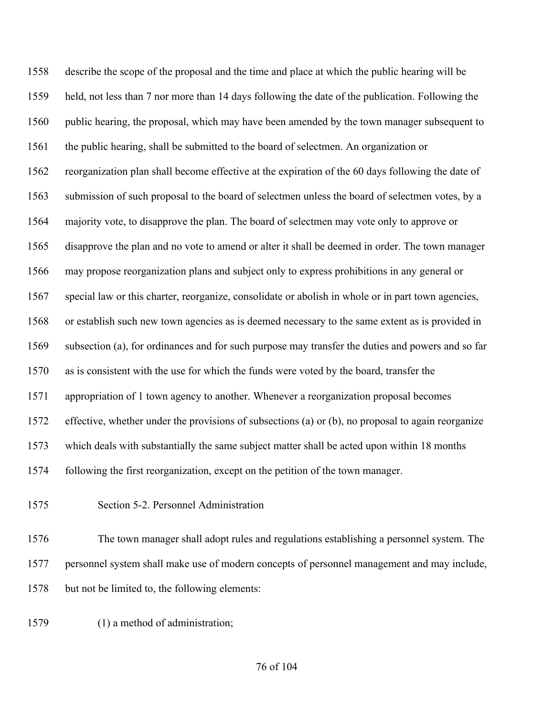describe the scope of the proposal and the time and place at which the public hearing will be held, not less than 7 nor more than 14 days following the date of the publication. Following the public hearing, the proposal, which may have been amended by the town manager subsequent to the public hearing, shall be submitted to the board of selectmen. An organization or reorganization plan shall become effective at the expiration of the 60 days following the date of submission of such proposal to the board of selectmen unless the board of selectmen votes, by a majority vote, to disapprove the plan. The board of selectmen may vote only to approve or disapprove the plan and no vote to amend or alter it shall be deemed in order. The town manager may propose reorganization plans and subject only to express prohibitions in any general or special law or this charter, reorganize, consolidate or abolish in whole or in part town agencies, or establish such new town agencies as is deemed necessary to the same extent as is provided in subsection (a), for ordinances and for such purpose may transfer the duties and powers and so far as is consistent with the use for which the funds were voted by the board, transfer the appropriation of 1 town agency to another. Whenever a reorganization proposal becomes effective, whether under the provisions of subsections (a) or (b), no proposal to again reorganize which deals with substantially the same subject matter shall be acted upon within 18 months following the first reorganization, except on the petition of the town manager.

Section 5-2. Personnel Administration

 The town manager shall adopt rules and regulations establishing a personnel system. The personnel system shall make use of modern concepts of personnel management and may include, but not be limited to, the following elements:

(1) a method of administration;

#### of 104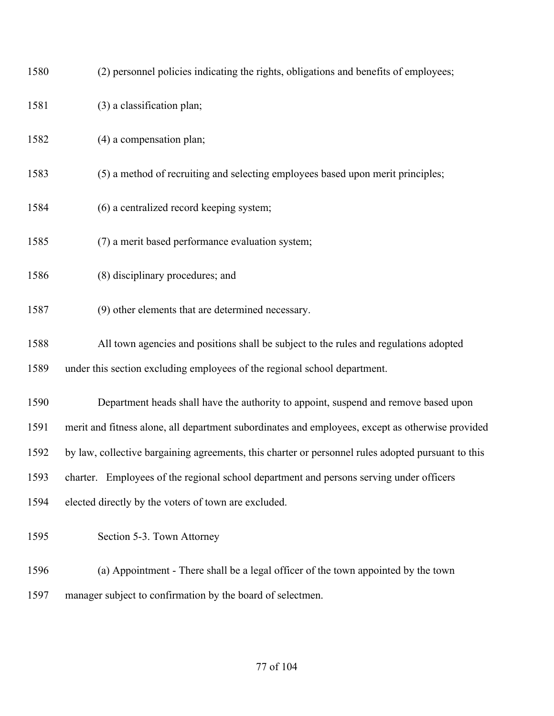| 1580 | (2) personnel policies indicating the rights, obligations and benefits of employees;               |
|------|----------------------------------------------------------------------------------------------------|
| 1581 | (3) a classification plan;                                                                         |
| 1582 | (4) a compensation plan;                                                                           |
| 1583 | (5) a method of recruiting and selecting employees based upon merit principles;                    |
| 1584 | (6) a centralized record keeping system;                                                           |
| 1585 | (7) a merit based performance evaluation system;                                                   |
| 1586 | (8) disciplinary procedures; and                                                                   |
| 1587 | (9) other elements that are determined necessary.                                                  |
| 1588 | All town agencies and positions shall be subject to the rules and regulations adopted              |
| 1589 | under this section excluding employees of the regional school department.                          |
| 1590 | Department heads shall have the authority to appoint, suspend and remove based upon                |
| 1591 | merit and fitness alone, all department subordinates and employees, except as otherwise provided   |
| 1592 | by law, collective bargaining agreements, this charter or personnel rules adopted pursuant to this |
| 1593 | charter. Employees of the regional school department and persons serving under officers            |
| 1594 | elected directly by the voters of town are excluded.                                               |
| 1595 | Section 5-3. Town Attorney                                                                         |
| 1596 | (a) Appointment - There shall be a legal officer of the town appointed by the town                 |
| 1597 | manager subject to confirmation by the board of selectmen.                                         |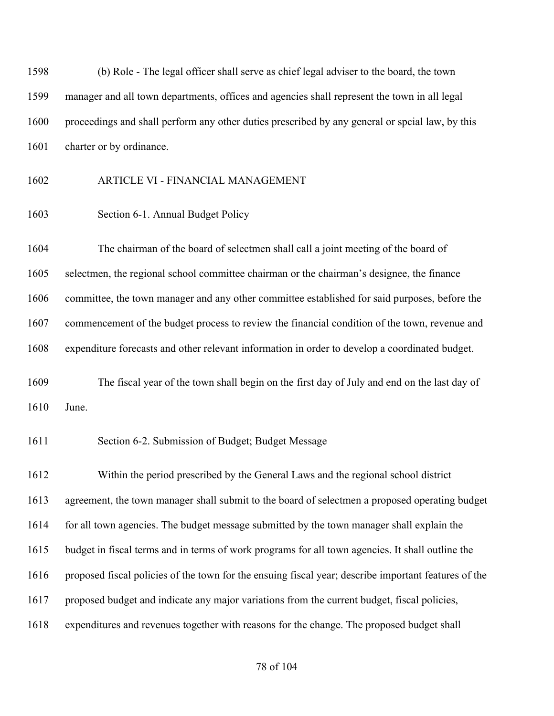(b) Role - The legal officer shall serve as chief legal adviser to the board, the town manager and all town departments, offices and agencies shall represent the town in all legal proceedings and shall perform any other duties prescribed by any general or spcial law, by this 1601 charter or by ordinance.

# ARTICLE VI - FINANCIAL MANAGEMENT

Section 6-1. Annual Budget Policy

 The chairman of the board of selectmen shall call a joint meeting of the board of selectmen, the regional school committee chairman or the chairman's designee, the finance committee, the town manager and any other committee established for said purposes, before the commencement of the budget process to review the financial condition of the town, revenue and expenditure forecasts and other relevant information in order to develop a coordinated budget.

 The fiscal year of the town shall begin on the first day of July and end on the last day of June.

Section 6-2. Submission of Budget; Budget Message

 Within the period prescribed by the General Laws and the regional school district agreement, the town manager shall submit to the board of selectmen a proposed operating budget for all town agencies. The budget message submitted by the town manager shall explain the budget in fiscal terms and in terms of work programs for all town agencies. It shall outline the proposed fiscal policies of the town for the ensuing fiscal year; describe important features of the proposed budget and indicate any major variations from the current budget, fiscal policies, expenditures and revenues together with reasons for the change. The proposed budget shall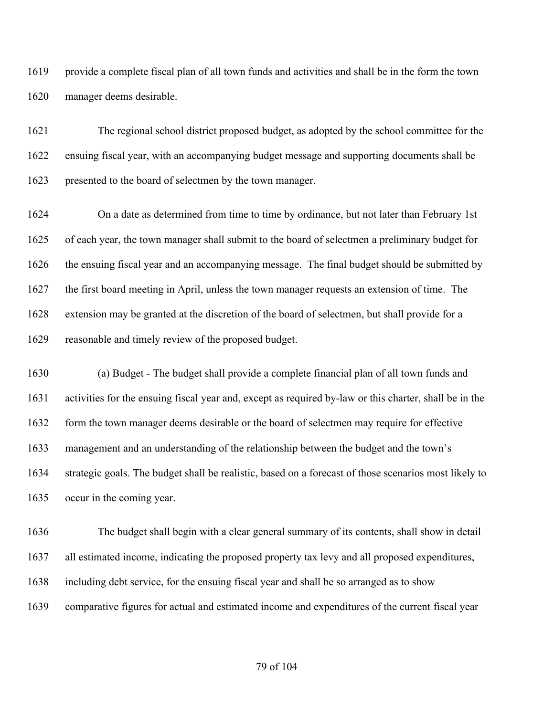provide a complete fiscal plan of all town funds and activities and shall be in the form the town manager deems desirable.

 The regional school district proposed budget, as adopted by the school committee for the ensuing fiscal year, with an accompanying budget message and supporting documents shall be presented to the board of selectmen by the town manager.

 On a date as determined from time to time by ordinance, but not later than February 1st of each year, the town manager shall submit to the board of selectmen a preliminary budget for the ensuing fiscal year and an accompanying message. The final budget should be submitted by the first board meeting in April, unless the town manager requests an extension of time. The extension may be granted at the discretion of the board of selectmen, but shall provide for a reasonable and timely review of the proposed budget.

 (a) Budget - The budget shall provide a complete financial plan of all town funds and activities for the ensuing fiscal year and, except as required by-law or this charter, shall be in the 1632 form the town manager deems desirable or the board of selectmen may require for effective management and an understanding of the relationship between the budget and the town's strategic goals. The budget shall be realistic, based on a forecast of those scenarios most likely to occur in the coming year.

 The budget shall begin with a clear general summary of its contents, shall show in detail all estimated income, indicating the proposed property tax levy and all proposed expenditures, including debt service, for the ensuing fiscal year and shall be so arranged as to show comparative figures for actual and estimated income and expenditures of the current fiscal year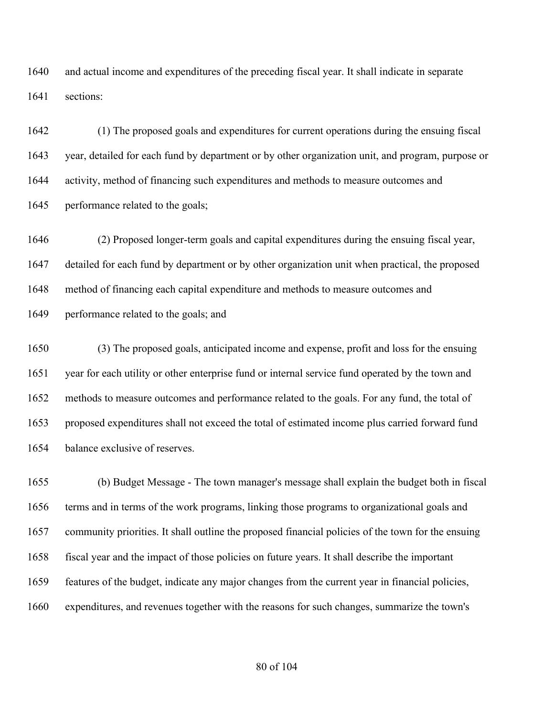and actual income and expenditures of the preceding fiscal year. It shall indicate in separate sections:

 (1) The proposed goals and expenditures for current operations during the ensuing fiscal year, detailed for each fund by department or by other organization unit, and program, purpose or activity, method of financing such expenditures and methods to measure outcomes and 1645 performance related to the goals;

 (2) Proposed longer-term goals and capital expenditures during the ensuing fiscal year, detailed for each fund by department or by other organization unit when practical, the proposed method of financing each capital expenditure and methods to measure outcomes and performance related to the goals; and

 (3) The proposed goals, anticipated income and expense, profit and loss for the ensuing year for each utility or other enterprise fund or internal service fund operated by the town and methods to measure outcomes and performance related to the goals. For any fund, the total of proposed expenditures shall not exceed the total of estimated income plus carried forward fund balance exclusive of reserves.

 (b) Budget Message - The town manager's message shall explain the budget both in fiscal terms and in terms of the work programs, linking those programs to organizational goals and community priorities. It shall outline the proposed financial policies of the town for the ensuing fiscal year and the impact of those policies on future years. It shall describe the important features of the budget, indicate any major changes from the current year in financial policies, expenditures, and revenues together with the reasons for such changes, summarize the town's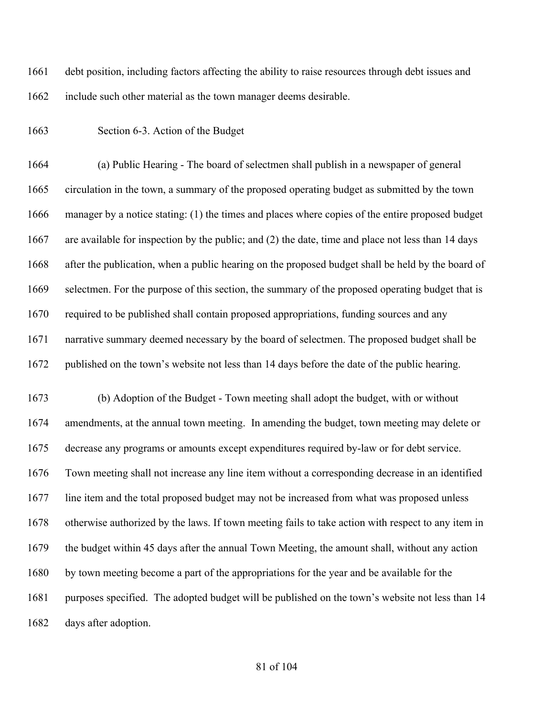debt position, including factors affecting the ability to raise resources through debt issues and 1662 include such other material as the town manager deems desirable.

Section 6-3. Action of the Budget

 (a) Public Hearing - The board of selectmen shall publish in a newspaper of general circulation in the town, a summary of the proposed operating budget as submitted by the town manager by a notice stating: (1) the times and places where copies of the entire proposed budget are available for inspection by the public; and (2) the date, time and place not less than 14 days after the publication, when a public hearing on the proposed budget shall be held by the board of selectmen. For the purpose of this section, the summary of the proposed operating budget that is required to be published shall contain proposed appropriations, funding sources and any narrative summary deemed necessary by the board of selectmen. The proposed budget shall be published on the town's website not less than 14 days before the date of the public hearing.

 (b) Adoption of the Budget - Town meeting shall adopt the budget, with or without amendments, at the annual town meeting. In amending the budget, town meeting may delete or decrease any programs or amounts except expenditures required by-law or for debt service. Town meeting shall not increase any line item without a corresponding decrease in an identified line item and the total proposed budget may not be increased from what was proposed unless otherwise authorized by the laws. If town meeting fails to take action with respect to any item in the budget within 45 days after the annual Town Meeting, the amount shall, without any action by town meeting become a part of the appropriations for the year and be available for the purposes specified. The adopted budget will be published on the town's website not less than 14 days after adoption.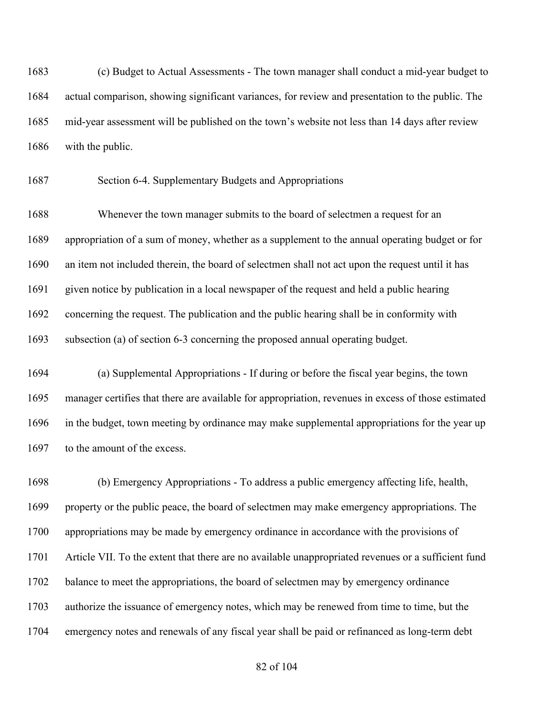(c) Budget to Actual Assessments - The town manager shall conduct a mid-year budget to actual comparison, showing significant variances, for review and presentation to the public. The mid-year assessment will be published on the town's website not less than 14 days after review with the public.

Section 6-4. Supplementary Budgets and Appropriations

 Whenever the town manager submits to the board of selectmen a request for an appropriation of a sum of money, whether as a supplement to the annual operating budget or for an item not included therein, the board of selectmen shall not act upon the request until it has given notice by publication in a local newspaper of the request and held a public hearing concerning the request. The publication and the public hearing shall be in conformity with subsection (a) of section 6-3 concerning the proposed annual operating budget.

 (a) Supplemental Appropriations - If during or before the fiscal year begins, the town manager certifies that there are available for appropriation, revenues in excess of those estimated in the budget, town meeting by ordinance may make supplemental appropriations for the year up 1697 to the amount of the excess.

 (b) Emergency Appropriations - To address a public emergency affecting life, health, property or the public peace, the board of selectmen may make emergency appropriations. The appropriations may be made by emergency ordinance in accordance with the provisions of Article VII. To the extent that there are no available unappropriated revenues or a sufficient fund balance to meet the appropriations, the board of selectmen may by emergency ordinance authorize the issuance of emergency notes, which may be renewed from time to time, but the emergency notes and renewals of any fiscal year shall be paid or refinanced as long-term debt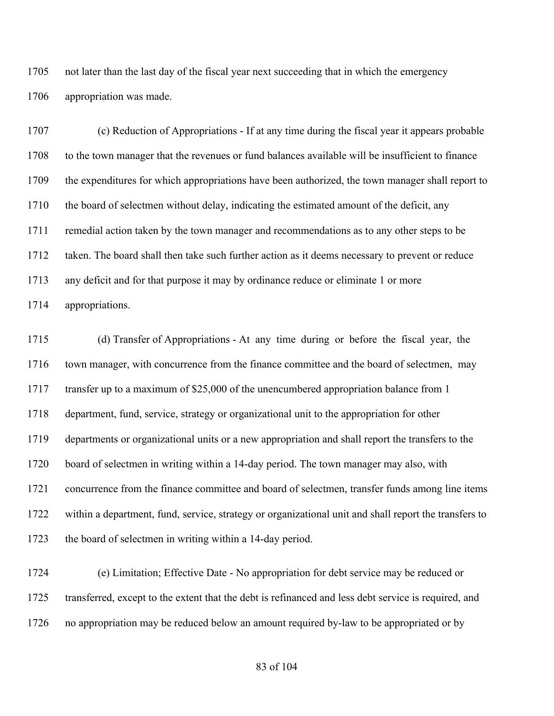not later than the last day of the fiscal year next succeeding that in which the emergency appropriation was made.

 (c) Reduction of Appropriations - If at any time during the fiscal year it appears probable to the town manager that the revenues or fund balances available will be insufficient to finance the expenditures for which appropriations have been authorized, the town manager shall report to 1710 the board of selectmen without delay, indicating the estimated amount of the deficit, any remedial action taken by the town manager and recommendations as to any other steps to be taken. The board shall then take such further action as it deems necessary to prevent or reduce any deficit and for that purpose it may by ordinance reduce or eliminate 1 or more appropriations.

 (d) Transfer of Appropriations - At any time during or before the fiscal year, the 1716 town manager, with concurrence from the finance committee and the board of selectmen, may transfer up to a maximum of \$25,000 of the unencumbered appropriation balance from 1 department, fund, service, strategy or organizational unit to the appropriation for other departments or organizational units or a new appropriation and shall report the transfers to the board of selectmen in writing within a 14-day period. The town manager may also, with concurrence from the finance committee and board of selectmen, transfer funds among line items within a department, fund, service, strategy or organizational unit and shall report the transfers to the board of selectmen in writing within a 14-day period.

 (e) Limitation; Effective Date - No appropriation for debt service may be reduced or transferred, except to the extent that the debt is refinanced and less debt service is required, and no appropriation may be reduced below an amount required by-law to be appropriated or by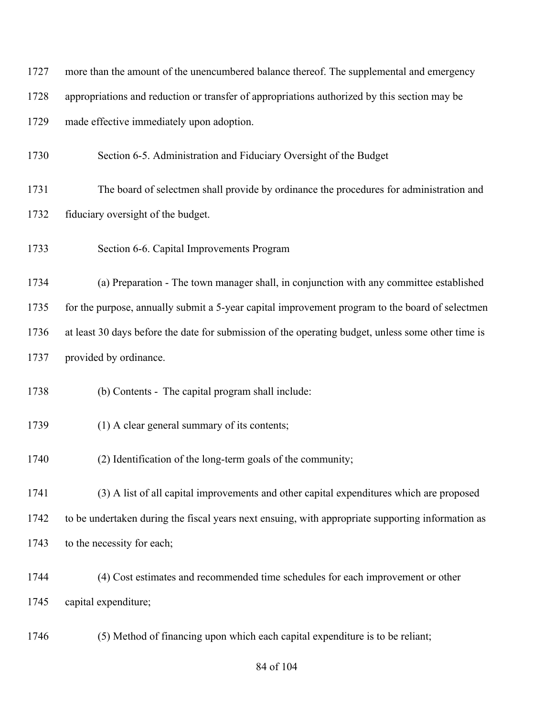| 1727 | more than the amount of the unencumbered balance thereof. The supplemental and emergency           |
|------|----------------------------------------------------------------------------------------------------|
| 1728 | appropriations and reduction or transfer of appropriations authorized by this section may be       |
| 1729 | made effective immediately upon adoption.                                                          |
| 1730 | Section 6-5. Administration and Fiduciary Oversight of the Budget                                  |
| 1731 | The board of selectmen shall provide by ordinance the procedures for administration and            |
| 1732 | fiduciary oversight of the budget.                                                                 |
| 1733 | Section 6-6. Capital Improvements Program                                                          |
| 1734 | (a) Preparation - The town manager shall, in conjunction with any committee established            |
| 1735 | for the purpose, annually submit a 5-year capital improvement program to the board of selectmen    |
| 1736 | at least 30 days before the date for submission of the operating budget, unless some other time is |
| 1737 | provided by ordinance.                                                                             |
| 1738 | (b) Contents - The capital program shall include:                                                  |
| 1739 | (1) A clear general summary of its contents;                                                       |
| 1740 | (2) Identification of the long-term goals of the community;                                        |
| 1741 | (3) A list of all capital improvements and other capital expenditures which are proposed           |
| 1742 | to be undertaken during the fiscal years next ensuing, with appropriate supporting information as  |
| 1743 | to the necessity for each;                                                                         |
| 1744 | (4) Cost estimates and recommended time schedules for each improvement or other                    |
| 1745 | capital expenditure;                                                                               |
| 1746 | (5) Method of financing upon which each capital expenditure is to be reliant;                      |

# of 104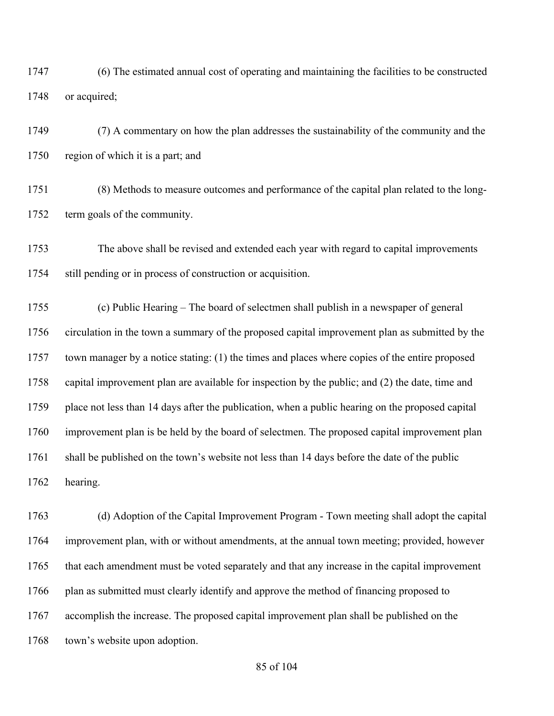(6) The estimated annual cost of operating and maintaining the facilities to be constructed or acquired;

 (7) A commentary on how the plan addresses the sustainability of the community and the region of which it is a part; and

 (8) Methods to measure outcomes and performance of the capital plan related to the long-term goals of the community.

 The above shall be revised and extended each year with regard to capital improvements still pending or in process of construction or acquisition.

 (c) Public Hearing – The board of selectmen shall publish in a newspaper of general circulation in the town a summary of the proposed capital improvement plan as submitted by the town manager by a notice stating: (1) the times and places where copies of the entire proposed capital improvement plan are available for inspection by the public; and (2) the date, time and place not less than 14 days after the publication, when a public hearing on the proposed capital improvement plan is be held by the board of selectmen. The proposed capital improvement plan 1761 shall be published on the town's website not less than 14 days before the date of the public hearing.

 (d) Adoption of the Capital Improvement Program - Town meeting shall adopt the capital improvement plan, with or without amendments, at the annual town meeting; provided, however 1765 that each amendment must be voted separately and that any increase in the capital improvement 1766 plan as submitted must clearly identify and approve the method of financing proposed to accomplish the increase. The proposed capital improvement plan shall be published on the town's website upon adoption.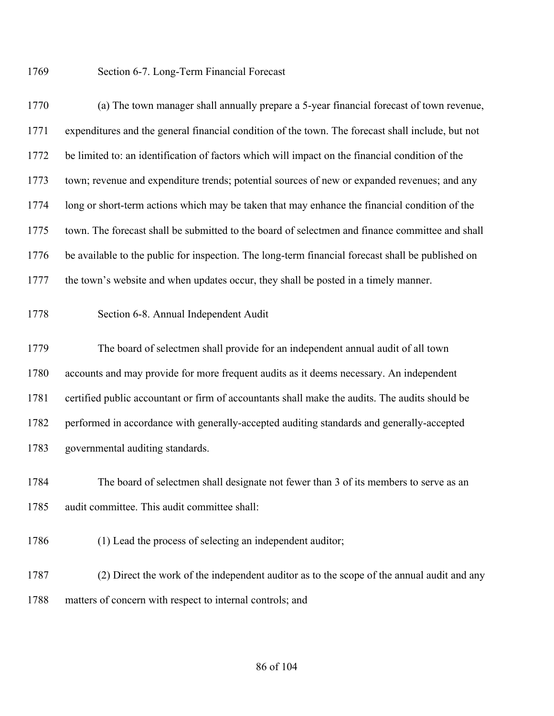#### Section 6-7. Long-Term Financial Forecast

 (a) The town manager shall annually prepare a 5-year financial forecast of town revenue, expenditures and the general financial condition of the town. The forecast shall include, but not be limited to: an identification of factors which will impact on the financial condition of the town; revenue and expenditure trends; potential sources of new or expanded revenues; and any long or short-term actions which may be taken that may enhance the financial condition of the town. The forecast shall be submitted to the board of selectmen and finance committee and shall be available to the public for inspection. The long-term financial forecast shall be published on the town's website and when updates occur, they shall be posted in a timely manner.

# Section 6-8. Annual Independent Audit

 The board of selectmen shall provide for an independent annual audit of all town accounts and may provide for more frequent audits as it deems necessary. An independent certified public accountant or firm of accountants shall make the audits. The audits should be performed in accordance with generally-accepted auditing standards and generally-accepted governmental auditing standards.

 The board of selectmen shall designate not fewer than 3 of its members to serve as an audit committee. This audit committee shall:

1786 (1) Lead the process of selecting an independent auditor;

 (2) Direct the work of the independent auditor as to the scope of the annual audit and any 1788 matters of concern with respect to internal controls; and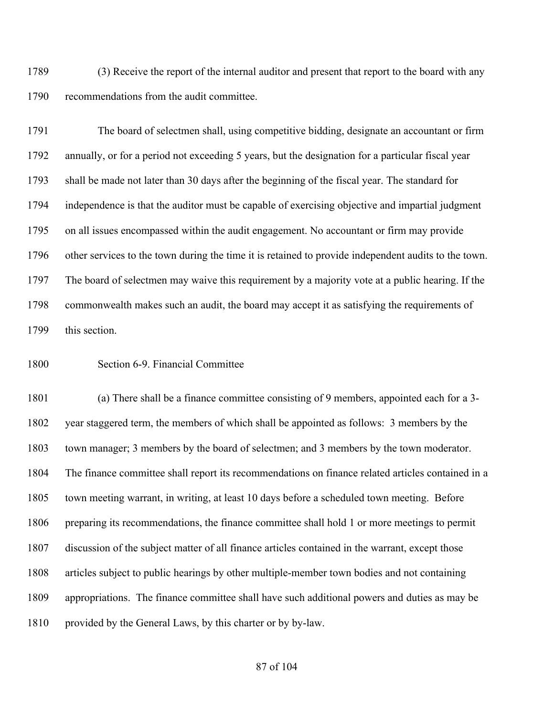(3) Receive the report of the internal auditor and present that report to the board with any recommendations from the audit committee.

 The board of selectmen shall, using competitive bidding, designate an accountant or firm annually, or for a period not exceeding 5 years, but the designation for a particular fiscal year shall be made not later than 30 days after the beginning of the fiscal year. The standard for independence is that the auditor must be capable of exercising objective and impartial judgment on all issues encompassed within the audit engagement. No accountant or firm may provide other services to the town during the time it is retained to provide independent audits to the town. The board of selectmen may waive this requirement by a majority vote at a public hearing. If the commonwealth makes such an audit, the board may accept it as satisfying the requirements of this section.

Section 6-9. Financial Committee

 (a) There shall be a finance committee consisting of 9 members, appointed each for a 3- year staggered term, the members of which shall be appointed as follows: 3 members by the town manager; 3 members by the board of selectmen; and 3 members by the town moderator. The finance committee shall report its recommendations on finance related articles contained in a town meeting warrant, in writing, at least 10 days before a scheduled town meeting. Before preparing its recommendations, the finance committee shall hold 1 or more meetings to permit discussion of the subject matter of all finance articles contained in the warrant, except those articles subject to public hearings by other multiple-member town bodies and not containing appropriations. The finance committee shall have such additional powers and duties as may be provided by the General Laws, by this charter or by by-law.

#### of 104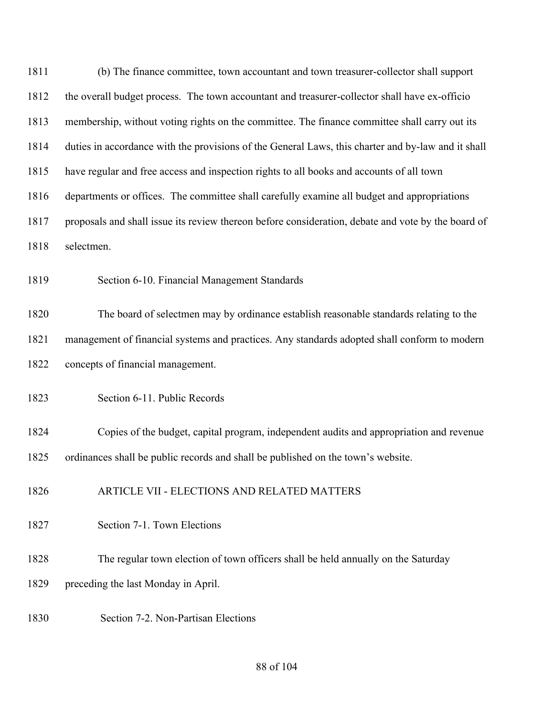(b) The finance committee, town accountant and town treasurer-collector shall support the overall budget process. The town accountant and treasurer-collector shall have ex-officio membership, without voting rights on the committee. The finance committee shall carry out its duties in accordance with the provisions of the General Laws, this charter and by-law and it shall have regular and free access and inspection rights to all books and accounts of all town departments or offices. The committee shall carefully examine all budget and appropriations proposals and shall issue its review thereon before consideration, debate and vote by the board of selectmen. Section 6-10. Financial Management Standards The board of selectmen may by ordinance establish reasonable standards relating to the management of financial systems and practices. Any standards adopted shall conform to modern concepts of financial management. Section 6-11. Public Records Copies of the budget, capital program, independent audits and appropriation and revenue ordinances shall be public records and shall be published on the town's website. ARTICLE VII - ELECTIONS AND RELATED MATTERS Section 7-1. Town Elections The regular town election of town officers shall be held annually on the Saturday preceding the last Monday in April. Section 7-2. Non-Partisan Elections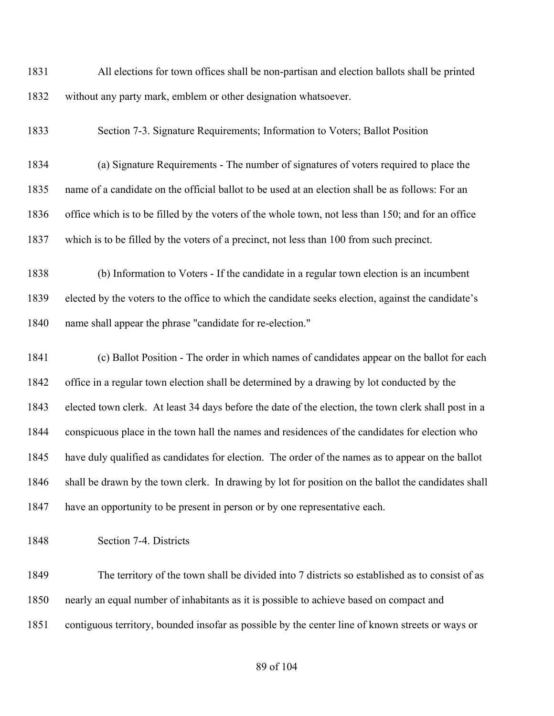All elections for town offices shall be non-partisan and election ballots shall be printed without any party mark, emblem or other designation whatsoever.

Section 7-3. Signature Requirements; Information to Voters; Ballot Position

 (a) Signature Requirements - The number of signatures of voters required to place the name of a candidate on the official ballot to be used at an election shall be as follows: For an office which is to be filled by the voters of the whole town, not less than 150; and for an office which is to be filled by the voters of a precinct, not less than 100 from such precinct.

 (b) Information to Voters - If the candidate in a regular town election is an incumbent elected by the voters to the office to which the candidate seeks election, against the candidate's name shall appear the phrase "candidate for re-election."

 (c) Ballot Position - The order in which names of candidates appear on the ballot for each office in a regular town election shall be determined by a drawing by lot conducted by the elected town clerk. At least 34 days before the date of the election, the town clerk shall post in a conspicuous place in the town hall the names and residences of the candidates for election who have duly qualified as candidates for election. The order of the names as to appear on the ballot shall be drawn by the town clerk. In drawing by lot for position on the ballot the candidates shall have an opportunity to be present in person or by one representative each.

Section 7-4. Districts

 The territory of the town shall be divided into 7 districts so established as to consist of as nearly an equal number of inhabitants as it is possible to achieve based on compact and contiguous territory, bounded insofar as possible by the center line of known streets or ways or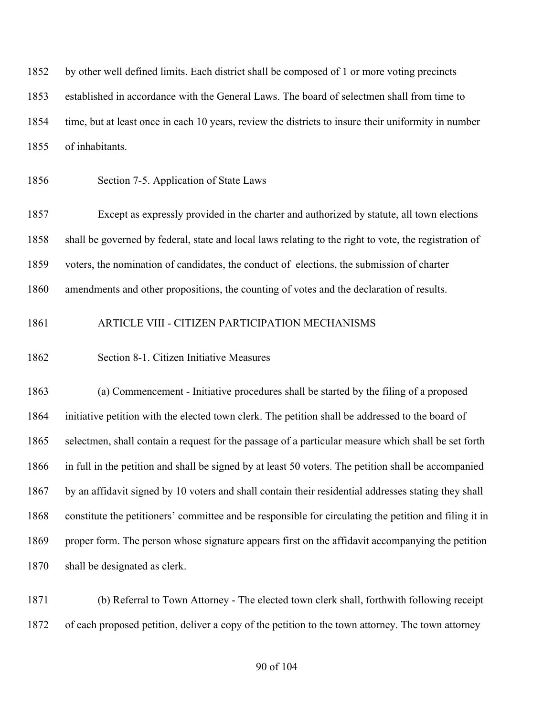by other well defined limits. Each district shall be composed of 1 or more voting precincts established in accordance with the General Laws. The board of selectmen shall from time to time, but at least once in each 10 years, review the districts to insure their uniformity in number of inhabitants.

Section 7-5. Application of State Laws

 Except as expressly provided in the charter and authorized by statute, all town elections shall be governed by federal, state and local laws relating to the right to vote, the registration of voters, the nomination of candidates, the conduct of elections, the submission of charter amendments and other propositions, the counting of votes and the declaration of results.

# ARTICLE VIII - CITIZEN PARTICIPATION MECHANISMS

## Section 8-1. Citizen Initiative Measures

 (a) Commencement - Initiative procedures shall be started by the filing of a proposed initiative petition with the elected town clerk. The petition shall be addressed to the board of selectmen, shall contain a request for the passage of a particular measure which shall be set forth in full in the petition and shall be signed by at least 50 voters. The petition shall be accompanied by an affidavit signed by 10 voters and shall contain their residential addresses stating they shall constitute the petitioners' committee and be responsible for circulating the petition and filing it in proper form. The person whose signature appears first on the affidavit accompanying the petition shall be designated as clerk.

 (b) Referral to Town Attorney - The elected town clerk shall, forthwith following receipt of each proposed petition, deliver a copy of the petition to the town attorney. The town attorney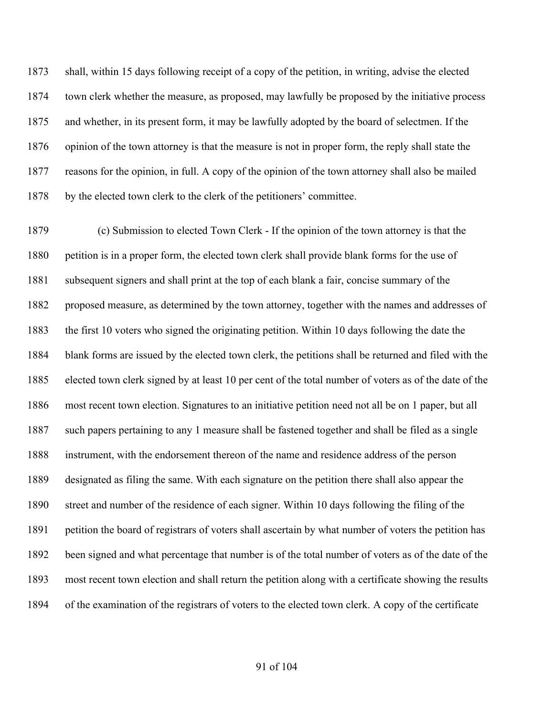shall, within 15 days following receipt of a copy of the petition, in writing, advise the elected town clerk whether the measure, as proposed, may lawfully be proposed by the initiative process and whether, in its present form, it may be lawfully adopted by the board of selectmen. If the opinion of the town attorney is that the measure is not in proper form, the reply shall state the reasons for the opinion, in full. A copy of the opinion of the town attorney shall also be mailed by the elected town clerk to the clerk of the petitioners' committee.

 (c) Submission to elected Town Clerk - If the opinion of the town attorney is that the petition is in a proper form, the elected town clerk shall provide blank forms for the use of subsequent signers and shall print at the top of each blank a fair, concise summary of the proposed measure, as determined by the town attorney, together with the names and addresses of the first 10 voters who signed the originating petition. Within 10 days following the date the blank forms are issued by the elected town clerk, the petitions shall be returned and filed with the elected town clerk signed by at least 10 per cent of the total number of voters as of the date of the most recent town election. Signatures to an initiative petition need not all be on 1 paper, but all such papers pertaining to any 1 measure shall be fastened together and shall be filed as a single instrument, with the endorsement thereon of the name and residence address of the person designated as filing the same. With each signature on the petition there shall also appear the street and number of the residence of each signer. Within 10 days following the filing of the petition the board of registrars of voters shall ascertain by what number of voters the petition has been signed and what percentage that number is of the total number of voters as of the date of the most recent town election and shall return the petition along with a certificate showing the results of the examination of the registrars of voters to the elected town clerk. A copy of the certificate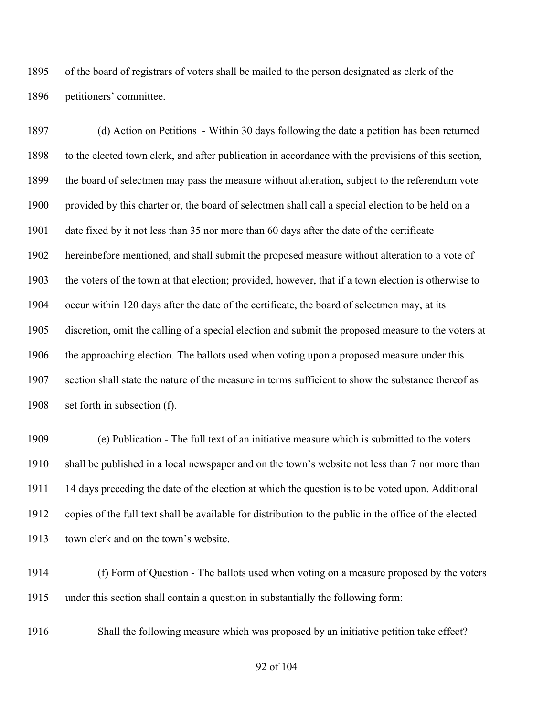of the board of registrars of voters shall be mailed to the person designated as clerk of the petitioners' committee.

 (d) Action on Petitions - Within 30 days following the date a petition has been returned to the elected town clerk, and after publication in accordance with the provisions of this section, the board of selectmen may pass the measure without alteration, subject to the referendum vote provided by this charter or, the board of selectmen shall call a special election to be held on a date fixed by it not less than 35 nor more than 60 days after the date of the certificate hereinbefore mentioned, and shall submit the proposed measure without alteration to a vote of the voters of the town at that election; provided, however, that if a town election is otherwise to occur within 120 days after the date of the certificate, the board of selectmen may, at its discretion, omit the calling of a special election and submit the proposed measure to the voters at the approaching election. The ballots used when voting upon a proposed measure under this section shall state the nature of the measure in terms sufficient to show the substance thereof as set forth in subsection (f).

 (e) Publication - The full text of an initiative measure which is submitted to the voters shall be published in a local newspaper and on the town's website not less than 7 nor more than 14 days preceding the date of the election at which the question is to be voted upon. Additional copies of the full text shall be available for distribution to the public in the office of the elected town clerk and on the town's website.

 (f) Form of Question - The ballots used when voting on a measure proposed by the voters under this section shall contain a question in substantially the following form:

Shall the following measure which was proposed by an initiative petition take effect?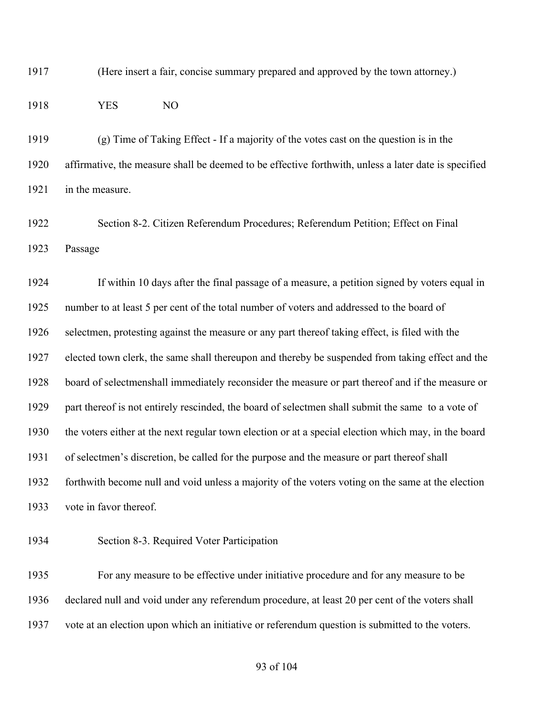(Here insert a fair, concise summary prepared and approved by the town attorney.)

#### YES NO

 (g) Time of Taking Effect - If a majority of the votes cast on the question is in the affirmative, the measure shall be deemed to be effective forthwith, unless a later date is specified in the measure.

 Section 8-2. Citizen Referendum Procedures; Referendum Petition; Effect on Final Passage

 If within 10 days after the final passage of a measure, a petition signed by voters equal in number to at least 5 per cent of the total number of voters and addressed to the board of selectmen, protesting against the measure or any part thereof taking effect, is filed with the elected town clerk, the same shall thereupon and thereby be suspended from taking effect and the board of selectmenshall immediately reconsider the measure or part thereof and if the measure or part thereof is not entirely rescinded, the board of selectmen shall submit the same to a vote of the voters either at the next regular town election or at a special election which may, in the board of selectmen's discretion, be called for the purpose and the measure or part thereof shall forthwith become null and void unless a majority of the voters voting on the same at the election vote in favor thereof.

Section 8-3. Required Voter Participation

 For any measure to be effective under initiative procedure and for any measure to be declared null and void under any referendum procedure, at least 20 per cent of the voters shall vote at an election upon which an initiative or referendum question is submitted to the voters.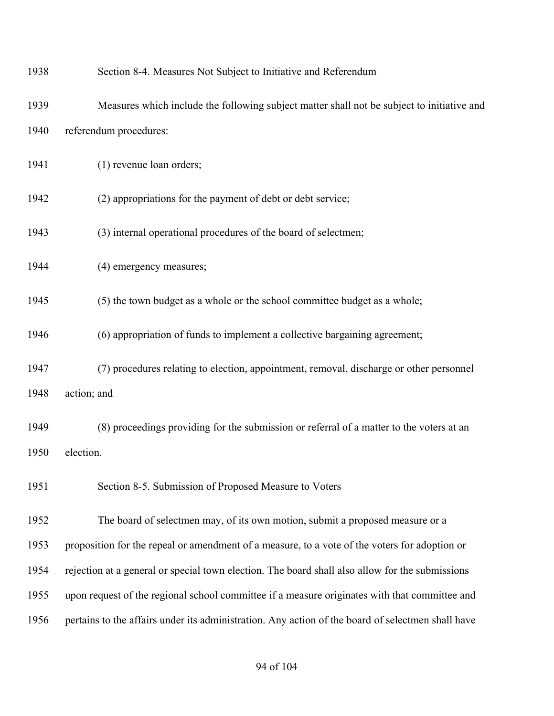| 1938 | Section 8-4. Measures Not Subject to Initiative and Referendum                                    |
|------|---------------------------------------------------------------------------------------------------|
| 1939 | Measures which include the following subject matter shall not be subject to initiative and        |
| 1940 | referendum procedures:                                                                            |
| 1941 | (1) revenue loan orders;                                                                          |
| 1942 | (2) appropriations for the payment of debt or debt service;                                       |
| 1943 | (3) internal operational procedures of the board of selectmen;                                    |
| 1944 | (4) emergency measures;                                                                           |
| 1945 | (5) the town budget as a whole or the school committee budget as a whole;                         |
| 1946 | (6) appropriation of funds to implement a collective bargaining agreement;                        |
| 1947 | (7) procedures relating to election, appointment, removal, discharge or other personnel           |
| 1948 | action; and                                                                                       |
| 1949 | (8) proceedings providing for the submission or referral of a matter to the voters at an          |
| 1950 | election.                                                                                         |
| 1951 | Section 8-5. Submission of Proposed Measure to Voters                                             |
| 1952 | The board of selectmen may, of its own motion, submit a proposed measure or a                     |
| 1953 | proposition for the repeal or amendment of a measure, to a vote of the voters for adoption or     |
| 1954 | rejection at a general or special town election. The board shall also allow for the submissions   |
| 1955 | upon request of the regional school committee if a measure originates with that committee and     |
| 1956 | pertains to the affairs under its administration. Any action of the board of selectmen shall have |
|      |                                                                                                   |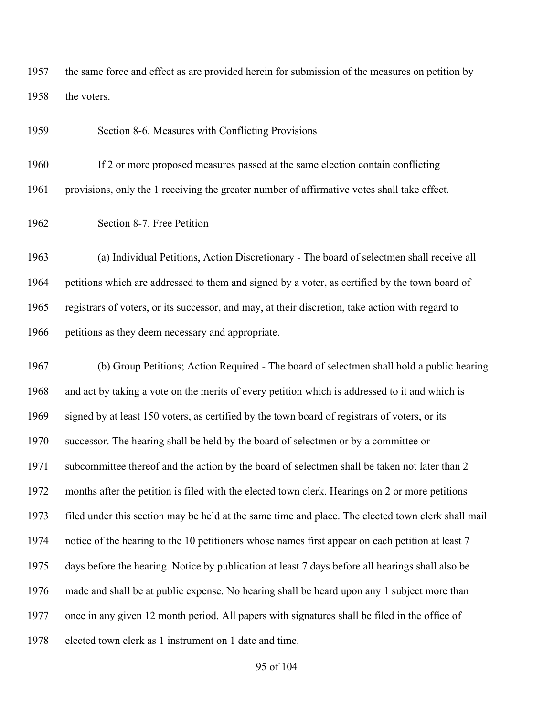the same force and effect as are provided herein for submission of the measures on petition by 1958 the voters.

Section 8-6. Measures with Conflicting Provisions

 If 2 or more proposed measures passed at the same election contain conflicting provisions, only the 1 receiving the greater number of affirmative votes shall take effect.

Section 8-7. Free Petition

 (a) Individual Petitions, Action Discretionary - The board of selectmen shall receive all petitions which are addressed to them and signed by a voter, as certified by the town board of registrars of voters, or its successor, and may, at their discretion, take action with regard to petitions as they deem necessary and appropriate.

 (b) Group Petitions; Action Required - The board of selectmen shall hold a public hearing and act by taking a vote on the merits of every petition which is addressed to it and which is signed by at least 150 voters, as certified by the town board of registrars of voters, or its successor. The hearing shall be held by the board of selectmen or by a committee or subcommittee thereof and the action by the board of selectmen shall be taken not later than 2 months after the petition is filed with the elected town clerk. Hearings on 2 or more petitions filed under this section may be held at the same time and place. The elected town clerk shall mail 1974 notice of the hearing to the 10 petitioners whose names first appear on each petition at least 7 days before the hearing. Notice by publication at least 7 days before all hearings shall also be made and shall be at public expense. No hearing shall be heard upon any 1 subject more than once in any given 12 month period. All papers with signatures shall be filed in the office of elected town clerk as 1 instrument on 1 date and time.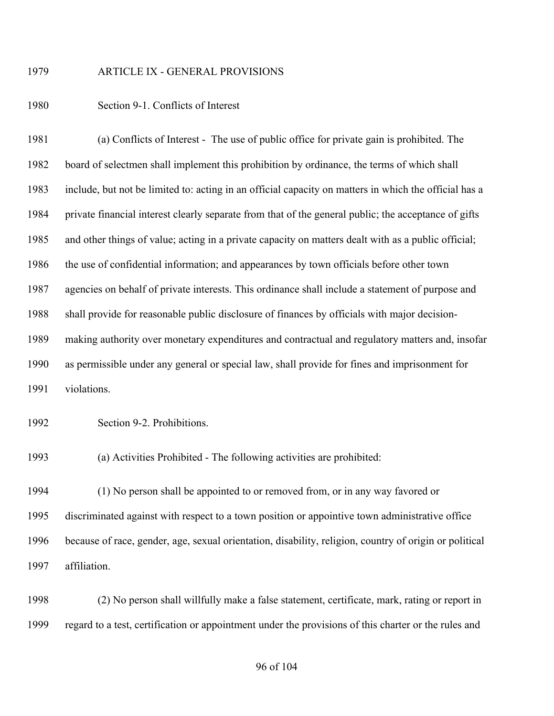ARTICLE IX - GENERAL PROVISIONS

Section 9-1. Conflicts of Interest

 (a) Conflicts of Interest - The use of public office for private gain is prohibited. The board of selectmen shall implement this prohibition by ordinance, the terms of which shall include, but not be limited to: acting in an official capacity on matters in which the official has a private financial interest clearly separate from that of the general public; the acceptance of gifts and other things of value; acting in a private capacity on matters dealt with as a public official; the use of confidential information; and appearances by town officials before other town agencies on behalf of private interests. This ordinance shall include a statement of purpose and shall provide for reasonable public disclosure of finances by officials with major decision- making authority over monetary expenditures and contractual and regulatory matters and, insofar as permissible under any general or special law, shall provide for fines and imprisonment for violations.

Section 9-2. Prohibitions.

(a) Activities Prohibited - The following activities are prohibited:

 (1) No person shall be appointed to or removed from, or in any way favored or discriminated against with respect to a town position or appointive town administrative office because of race, gender, age, sexual orientation, disability, religion, country of origin or political affiliation.

 (2) No person shall willfully make a false statement, certificate, mark, rating or report in regard to a test, certification or appointment under the provisions of this charter or the rules and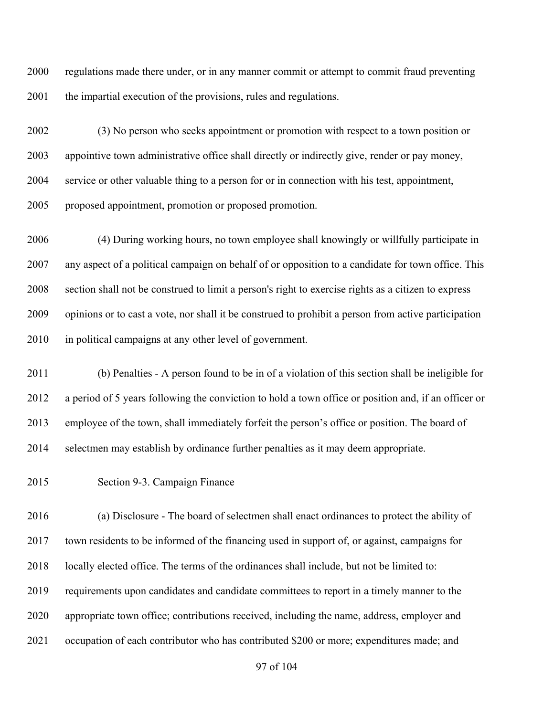regulations made there under, or in any manner commit or attempt to commit fraud preventing 2001 the impartial execution of the provisions, rules and regulations.

 (3) No person who seeks appointment or promotion with respect to a town position or appointive town administrative office shall directly or indirectly give, render or pay money, service or other valuable thing to a person for or in connection with his test, appointment, proposed appointment, promotion or proposed promotion.

 (4) During working hours, no town employee shall knowingly or willfully participate in any aspect of a political campaign on behalf of or opposition to a candidate for town office. This section shall not be construed to limit a person's right to exercise rights as a citizen to express opinions or to cast a vote, nor shall it be construed to prohibit a person from active participation 2010 in political campaigns at any other level of government.

 (b) Penalties - A person found to be in of a violation of this section shall be ineligible for a period of 5 years following the conviction to hold a town office or position and, if an officer or employee of the town, shall immediately forfeit the person's office or position. The board of selectmen may establish by ordinance further penalties as it may deem appropriate.

Section 9-3. Campaign Finance

 (a) Disclosure - The board of selectmen shall enact ordinances to protect the ability of town residents to be informed of the financing used in support of, or against, campaigns for 2018 locally elected office. The terms of the ordinances shall include, but not be limited to: requirements upon candidates and candidate committees to report in a timely manner to the appropriate town office; contributions received, including the name, address, employer and occupation of each contributor who has contributed \$200 or more; expenditures made; and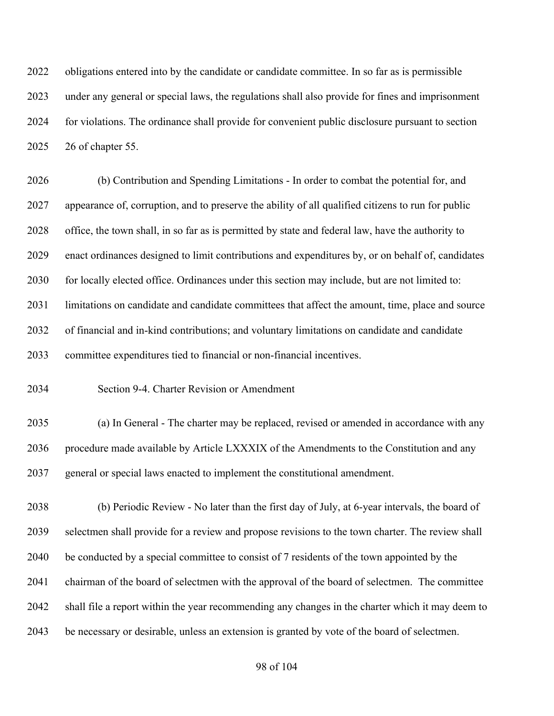obligations entered into by the candidate or candidate committee. In so far as is permissible under any general or special laws, the regulations shall also provide for fines and imprisonment for violations. The ordinance shall provide for convenient public disclosure pursuant to section 26 of chapter 55.

 (b) Contribution and Spending Limitations - In order to combat the potential for, and appearance of, corruption, and to preserve the ability of all qualified citizens to run for public office, the town shall, in so far as is permitted by state and federal law, have the authority to enact ordinances designed to limit contributions and expenditures by, or on behalf of, candidates 2030 for locally elected office. Ordinances under this section may include, but are not limited to: limitations on candidate and candidate committees that affect the amount, time, place and source of financial and in-kind contributions; and voluntary limitations on candidate and candidate committee expenditures tied to financial or non-financial incentives.

Section 9-4. Charter Revision or Amendment

 (a) In General - The charter may be replaced, revised or amended in accordance with any procedure made available by Article LXXXIX of the Amendments to the Constitution and any general or special laws enacted to implement the constitutional amendment.

 (b) Periodic Review - No later than the first day of July, at 6-year intervals, the board of selectmen shall provide for a review and propose revisions to the town charter. The review shall 2040 be conducted by a special committee to consist of 7 residents of the town appointed by the chairman of the board of selectmen with the approval of the board of selectmen. The committee shall file a report within the year recommending any changes in the charter which it may deem to be necessary or desirable, unless an extension is granted by vote of the board of selectmen.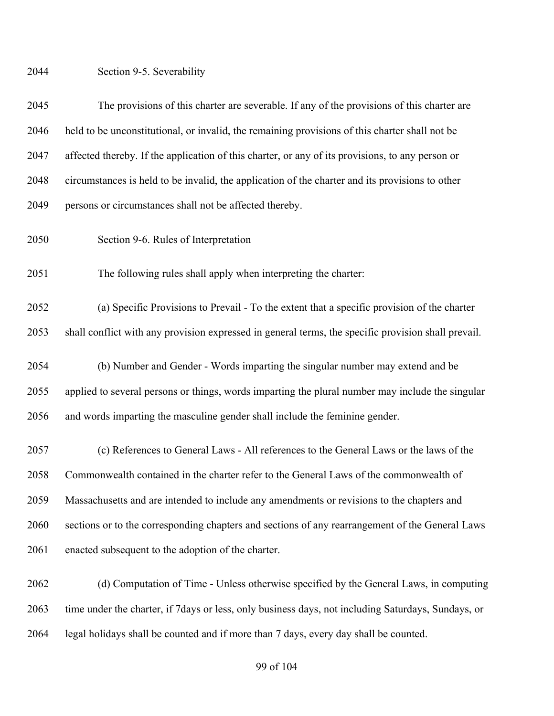Section 9-5. Severability

 The provisions of this charter are severable. If any of the provisions of this charter are held to be unconstitutional, or invalid, the remaining provisions of this charter shall not be affected thereby. If the application of this charter, or any of its provisions, to any person or circumstances is held to be invalid, the application of the charter and its provisions to other persons or circumstances shall not be affected thereby.

Section 9-6. Rules of Interpretation

The following rules shall apply when interpreting the charter:

 (a) Specific Provisions to Prevail - To the extent that a specific provision of the charter shall conflict with any provision expressed in general terms, the specific provision shall prevail.

 (b) Number and Gender - Words imparting the singular number may extend and be applied to several persons or things, words imparting the plural number may include the singular and words imparting the masculine gender shall include the feminine gender.

 (c) References to General Laws - All references to the General Laws or the laws of the Commonwealth contained in the charter refer to the General Laws of the commonwealth of Massachusetts and are intended to include any amendments or revisions to the chapters and sections or to the corresponding chapters and sections of any rearrangement of the General Laws enacted subsequent to the adoption of the charter.

 (d) Computation of Time - Unless otherwise specified by the General Laws, in computing time under the charter, if 7days or less, only business days, not including Saturdays, Sundays, or legal holidays shall be counted and if more than 7 days, every day shall be counted.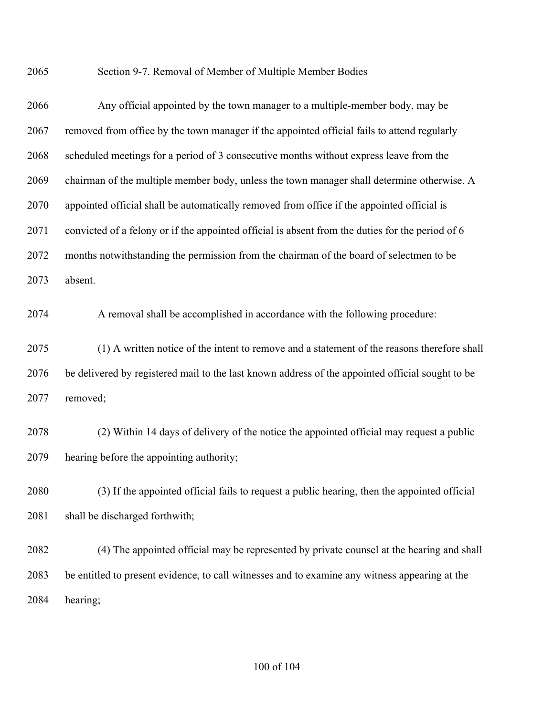Section 9-7. Removal of Member of Multiple Member Bodies

| 2066 | Any official appointed by the town manager to a multiple-member body, may be                     |
|------|--------------------------------------------------------------------------------------------------|
| 2067 | removed from office by the town manager if the appointed official fails to attend regularly      |
| 2068 | scheduled meetings for a period of 3 consecutive months without express leave from the           |
| 2069 | chairman of the multiple member body, unless the town manager shall determine otherwise. A       |
| 2070 | appointed official shall be automatically removed from office if the appointed official is       |
| 2071 | convicted of a felony or if the appointed official is absent from the duties for the period of 6 |
| 2072 | months notwithstanding the permission from the chairman of the board of selectmen to be          |
| 2073 | absent.                                                                                          |
| 2074 | A removal shall be accomplished in accordance with the following procedure:                      |
| 2075 | (1) A written notice of the intent to remove and a statement of the reasons therefore shall      |
| 2076 | be delivered by registered mail to the last known address of the appointed official sought to be |
| 2077 | removed;                                                                                         |
| 2078 | (2) Within 14 days of delivery of the notice the appointed official may request a public         |
| 2079 | hearing before the appointing authority;                                                         |
| 2080 | (3) If the appointed official fails to request a public hearing, then the appointed official     |
| 2081 | shall be discharged forthwith;                                                                   |
| 2082 | (4) The appointed official may be represented by private counsel at the hearing and shall        |
| 2083 | be entitled to present evidence, to call witnesses and to examine any witness appearing at the   |
| 2084 | hearing;                                                                                         |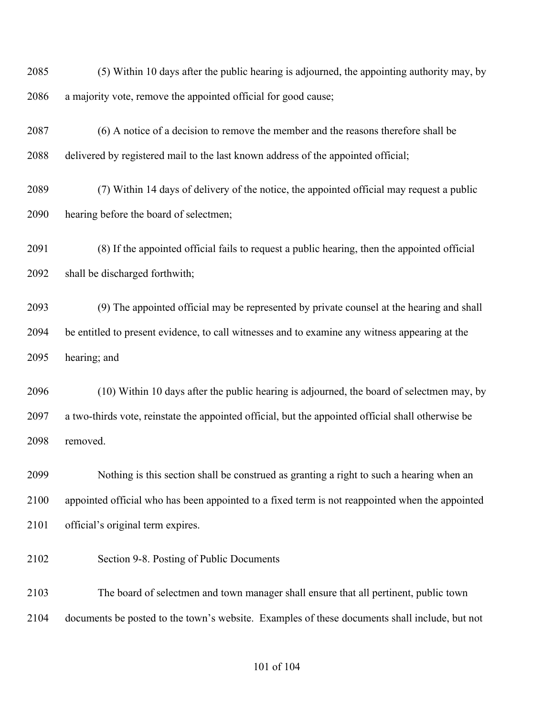(5) Within 10 days after the public hearing is adjourned, the appointing authority may, by a majority vote, remove the appointed official for good cause;

- (6) A notice of a decision to remove the member and the reasons therefore shall be delivered by registered mail to the last known address of the appointed official;
- (7) Within 14 days of delivery of the notice, the appointed official may request a public hearing before the board of selectmen;
- (8) If the appointed official fails to request a public hearing, then the appointed official shall be discharged forthwith;

 (9) The appointed official may be represented by private counsel at the hearing and shall be entitled to present evidence, to call witnesses and to examine any witness appearing at the hearing; and

 (10) Within 10 days after the public hearing is adjourned, the board of selectmen may, by a two-thirds vote, reinstate the appointed official, but the appointed official shall otherwise be removed.

 Nothing is this section shall be construed as granting a right to such a hearing when an appointed official who has been appointed to a fixed term is not reappointed when the appointed official's original term expires.

Section 9-8. Posting of Public Documents

 The board of selectmen and town manager shall ensure that all pertinent, public town documents be posted to the town's website. Examples of these documents shall include, but not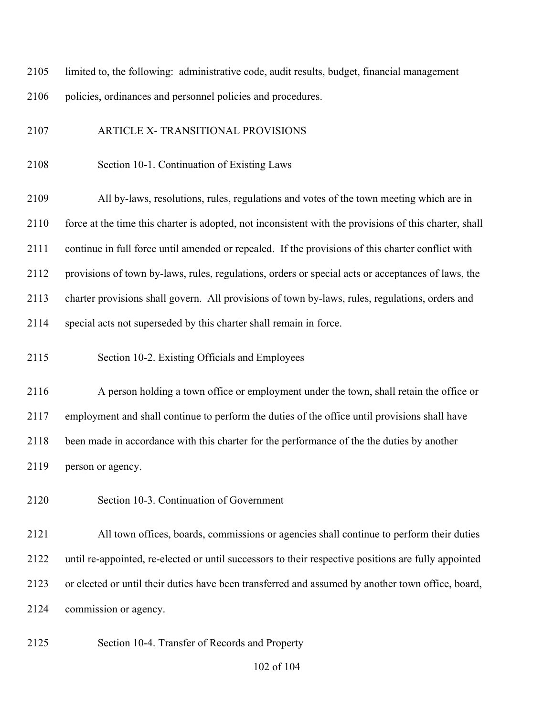limited to, the following: administrative code, audit results, budget, financial management policies, ordinances and personnel policies and procedures.

- ARTICLE X- TRANSITIONAL PROVISIONS
- Section 10-1. Continuation of Existing Laws

 All by-laws, resolutions, rules, regulations and votes of the town meeting which are in 2110 force at the time this charter is adopted, not inconsistent with the provisions of this charter, shall continue in full force until amended or repealed. If the provisions of this charter conflict with provisions of town by-laws, rules, regulations, orders or special acts or acceptances of laws, the charter provisions shall govern. All provisions of town by-laws, rules, regulations, orders and special acts not superseded by this charter shall remain in force.

Section 10-2. Existing Officials and Employees

 A person holding a town office or employment under the town, shall retain the office or employment and shall continue to perform the duties of the office until provisions shall have been made in accordance with this charter for the performance of the the duties by another person or agency.

Section 10-3. Continuation of Government

 All town offices, boards, commissions or agencies shall continue to perform their duties until re-appointed, re-elected or until successors to their respective positions are fully appointed or elected or until their duties have been transferred and assumed by another town office, board, commission or agency.

Section 10-4. Transfer of Records and Property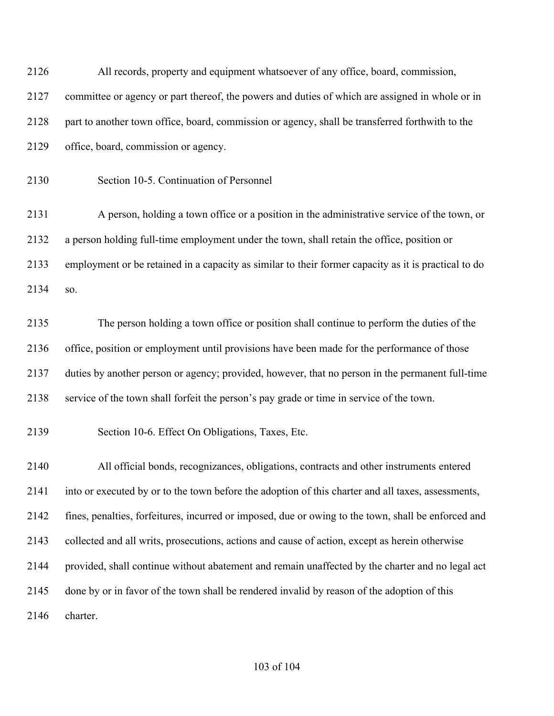| 2126 | All records, property and equipment whatsoever of any office, board, commission,                     |
|------|------------------------------------------------------------------------------------------------------|
| 2127 | committee or agency or part thereof, the powers and duties of which are assigned in whole or in      |
| 2128 | part to another town office, board, commission or agency, shall be transferred forthwith to the      |
| 2129 | office, board, commission or agency.                                                                 |
| 2130 | Section 10-5. Continuation of Personnel                                                              |
| 2131 | A person, holding a town office or a position in the administrative service of the town, or          |
| 2132 | a person holding full-time employment under the town, shall retain the office, position or           |
| 2133 | employment or be retained in a capacity as similar to their former capacity as it is practical to do |
| 2134 | SO.                                                                                                  |
| 2135 | The person holding a town office or position shall continue to perform the duties of the             |
| 2136 | office, position or employment until provisions have been made for the performance of those          |
| 2137 | duties by another person or agency; provided, however, that no person in the permanent full-time     |
| 2138 | service of the town shall forfeit the person's pay grade or time in service of the town.             |
| 2139 | Section 10-6. Effect On Obligations, Taxes, Etc.                                                     |
| 2140 | All official bonds, recognizances, obligations, contracts and other instruments entered              |
| 2141 | into or executed by or to the town before the adoption of this charter and all taxes, assessments,   |
| 2142 | fines, penalties, forfeitures, incurred or imposed, due or owing to the town, shall be enforced and  |
| 2143 | collected and all writs, prosecutions, actions and cause of action, except as herein otherwise       |
| 2144 | provided, shall continue without abatement and remain unaffected by the charter and no legal act     |
| 2145 | done by or in favor of the town shall be rendered invalid by reason of the adoption of this          |
| 2146 | charter.                                                                                             |
|      |                                                                                                      |